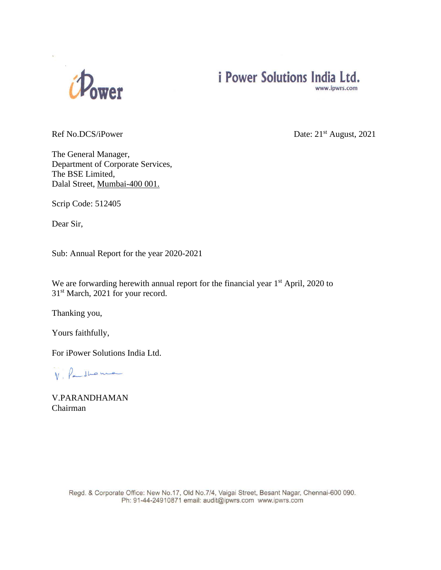



Ref No.DCS/iPower Date: 21<sup>st</sup> August, 2021

The General Manager, Department of Corporate Services, The BSE Limited, Dalal Street, Mumbai-400 001.

Scrip Code: 512405

Dear Sir,

Sub: Annual Report for the year 2020-2021

We are forwarding herewith annual report for the financial year 1<sup>st</sup> April, 2020 to 31<sup>st</sup> March, 2021 for your record.

Thanking you,

Yours faithfully,

For iPower Solutions India Ltd.

V. Paulhouse

V.PARANDHAMAN Chairman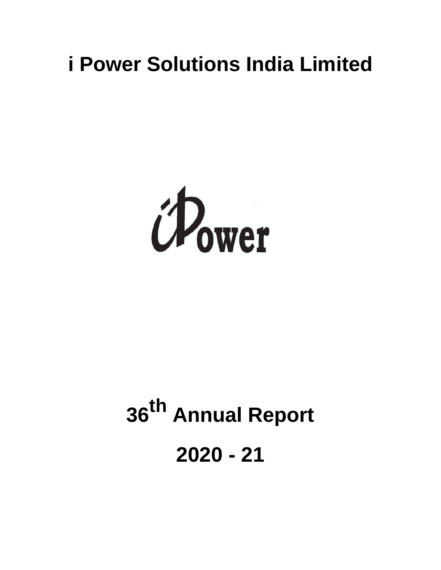# **i Power Solutions India Limited**



# **36th Annual Report 2020 - 21**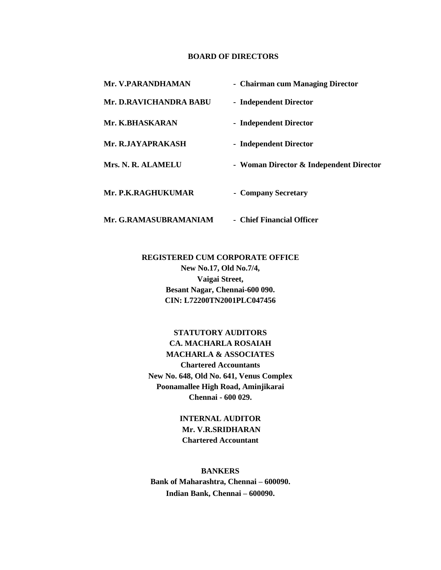#### **BOARD OF DIRECTORS**

| Mr. V.PARANDHAMAN      | - Chairman cum Managing Director        |
|------------------------|-----------------------------------------|
| Mr. D.RAVICHANDRA BABU | - Independent Director                  |
| Mr. K.BHASKARAN        | - Independent Director                  |
| Mr. R.JAYAPRAKASH      | - Independent Director                  |
| Mrs. N. R. ALAMELU     | - Woman Director & Independent Director |
| Mr. P.K.RAGHUKUMAR     | - Company Secretary                     |
| Mr. G.RAMASUBRAMANIAM  | - Chief Financial Officer               |

# **REGISTERED CUM CORPORATE OFFICE**

**New No.17, Old No.7/4, Vaigai Street, Besant Nagar, Chennai-600 090. CIN: L72200TN2001PLC047456**

**STATUTORY AUDITORS CA. MACHARLA ROSAIAH MACHARLA & ASSOCIATES Chartered Accountants New No. 648, Old No. 641, Venus Complex Poonamallee High Road, Aminjikarai Chennai - 600 029.**

> **INTERNAL AUDITOR Mr. V.R.SRIDHARAN Chartered Accountant**

# **BANKERS**

**Bank of Maharashtra, Chennai – 600090. Indian Bank, Chennai – 600090.**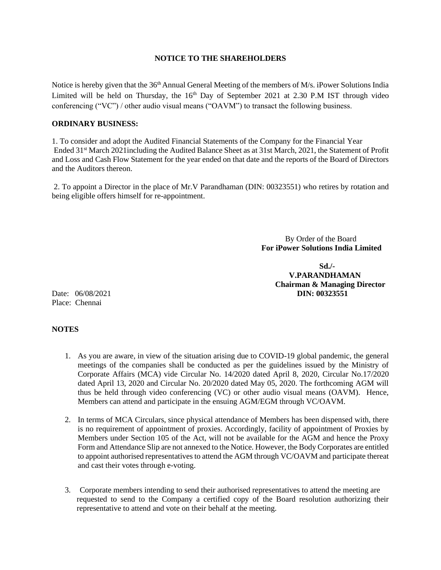#### **NOTICE TO THE SHAREHOLDERS**

Notice is hereby given that the 36<sup>th</sup> Annual General Meeting of the members of M/s. iPower Solutions India Limited will be held on Thursday, the  $16<sup>th</sup>$  Day of September 2021 at 2.30 P.M IST through video conferencing ("VC") / other audio visual means ("OAVM") to transact the following business.

#### **ORDINARY BUSINESS:**

1. To consider and adopt the Audited Financial Statements of the Company for the Financial Year Ended 31st March 2021including the Audited Balance Sheet as at 31st March, 2021, the Statement of Profit and Loss and Cash Flow Statement for the year ended on that date and the reports of the Board of Directors and the Auditors thereon.

2. To appoint a Director in the place of Mr.V Parandhaman (DIN: 00323551) who retires by rotation and being eligible offers himself for re-appointment.

> By Order of the Board **For iPower Solutions India Limited**

 **Sd./- V.PARANDHAMAN Chairman & Managing Director**

Date: 06/08/2021 Place: Chennai

#### **NOTES**

- 1. As you are aware, in view of the situation arising due to COVID-19 global pandemic, the general meetings of the companies shall be conducted as per the guidelines issued by the Ministry of Corporate Affairs (MCA) vide Circular No. 14/2020 dated April 8, 2020, Circular No.17/2020 dated April 13, 2020 and Circular No. 20/2020 dated May 05, 2020. The forthcoming AGM will thus be held through video conferencing (VC) or other audio visual means (OAVM). Hence, Members can attend and participate in the ensuing AGM/EGM through VC/OAVM.
- 2. In terms of MCA Circulars, since physical attendance of Members has been dispensed with, there is no requirement of appointment of proxies. Accordingly, facility of appointment of Proxies by Members under Section 105 of the Act, will not be available for the AGM and hence the Proxy Form and Attendance Slip are not annexed to the Notice. However, the Body Corporates are entitled to appoint authorised representatives to attend the AGM through VC/OAVM and participate thereat and cast their votes through e-voting.
- 3. Corporate members intending to send their authorised representatives to attend the meeting are requested to send to the Company a certified copy of the Board resolution authorizing their representative to attend and vote on their behalf at the meeting.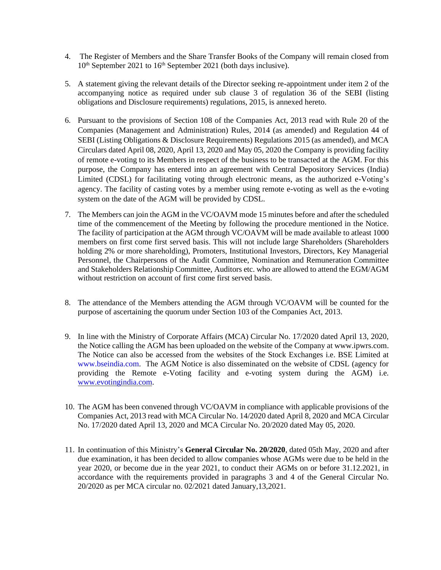- 4. The Register of Members and the Share Transfer Books of the Company will remain closed from 10<sup>th</sup> September 2021 to 16<sup>th</sup> September 2021 (both days inclusive).
- 5. A statement giving the relevant details of the Director seeking re-appointment under item 2 of the accompanying notice as required under sub clause 3 of regulation 36 of the SEBI (listing obligations and Disclosure requirements) regulations, 2015, is annexed hereto.
- 6. Pursuant to the provisions of Section 108 of the Companies Act, 2013 read with Rule 20 of the Companies (Management and Administration) Rules, 2014 (as amended) and Regulation 44 of SEBI (Listing Obligations & Disclosure Requirements) Regulations 2015 (as amended), and MCA Circulars dated April 08, 2020, April 13, 2020 and May 05, 2020 the Company is providing facility of remote e-voting to its Members in respect of the business to be transacted at the AGM. For this purpose, the Company has entered into an agreement with Central Depository Services (India) Limited (CDSL) for facilitating voting through electronic means, as the authorized e-Voting's agency. The facility of casting votes by a member using remote e-voting as well as the e-voting system on the date of the AGM will be provided by CDSL.
- 7. The Members can join the AGM in the VC/OAVM mode 15 minutes before and after the scheduled time of the commencement of the Meeting by following the procedure mentioned in the Notice. The facility of participation at the AGM through VC/OAVM will be made available to atleast 1000 members on first come first served basis. This will not include large Shareholders (Shareholders holding 2% or more shareholding), Promoters, Institutional Investors, Directors, Key Managerial Personnel, the Chairpersons of the Audit Committee, Nomination and Remuneration Committee and Stakeholders Relationship Committee, Auditors etc. who are allowed to attend the EGM/AGM without restriction on account of first come first served basis.
- 8. The attendance of the Members attending the AGM through VC/OAVM will be counted for the purpose of ascertaining the quorum under Section 103 of the Companies Act, 2013.
- 9. In line with the Ministry of Corporate Affairs (MCA) Circular No. 17/2020 dated April 13, 2020, the Notice calling the AGM has been uploaded on the website of the Company at www.ipwrs.com. The Notice can also be accessed from the websites of the Stock Exchanges i.e. BSE Limited at www.bseindia.com. The AGM Notice is also disseminated on the website of CDSL (agency for providing the Remote e-Voting facility and e-voting system during the AGM) i.e. [www.evotingindia.com.](http://www.evotingindia.com/)
- 10. The AGM has been convened through VC/OAVM in compliance with applicable provisions of the Companies Act, 2013 read with MCA Circular No. 14/2020 dated April 8, 2020 and MCA Circular No. 17/2020 dated April 13, 2020 and MCA Circular No. 20/2020 dated May 05, 2020.
- 11. In continuation of this Ministry's **[General Circular No. 20/2020](https://abcaus.in/companies-act/cos-allowed-conduct-agm-video-conferencing-audio-visual-means-during-calendar-year-2020.html)**, dated 05th May, 2020 and after due examination, it has been decided to allow companies whose AGMs were due to be held in the year 2020, or become due in the year 2021, to conduct their AGMs on or before 31.12.2021, in accordance with the requirements provided in paragraphs 3 and 4 of the General Circular No. 20/2020 as per MCA circular no. 02/2021 dated January,13,2021.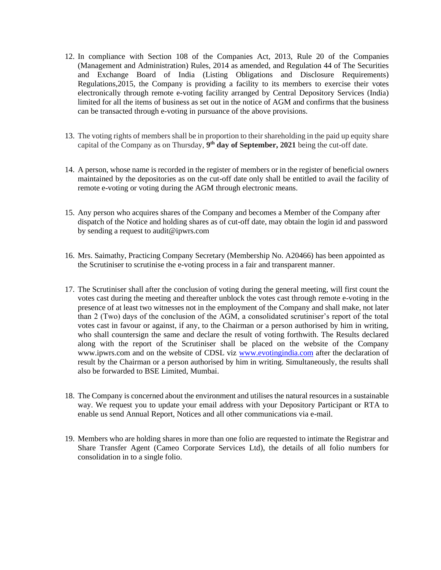- 12. In compliance with Section 108 of the Companies Act, 2013, Rule 20 of the Companies (Management and Administration) Rules, 2014 as amended, and Regulation 44 of The Securities and Exchange Board of India (Listing Obligations and Disclosure Requirements) Regulations,2015, the Company is providing a facility to its members to exercise their votes electronically through remote e-voting facility arranged by Central Depository Services (India) limited for all the items of business as set out in the notice of AGM and confirms that the business can be transacted through e-voting in pursuance of the above provisions.
- 13. The voting rights of members shall be in proportion to their shareholding in the paid up equity share capital of the Company as on Thursday, 9<sup>th</sup> day of September, 2021 being the cut-off date.
- 14. A person, whose name is recorded in the register of members or in the register of beneficial owners maintained by the depositories as on the cut-off date only shall be entitled to avail the facility of remote e-voting or voting during the AGM through electronic means.
- 15. Any person who acquires shares of the Company and becomes a Member of the Company after dispatch of the Notice and holding shares as of cut-off date, may obtain the login id and password by sending a request to audit@ipwrs.com
- 16. Mrs. Saimathy, Practicing Company Secretary (Membership No. A20466) has been appointed as the Scrutiniser to scrutinise the e-voting process in a fair and transparent manner.
- 17. The Scrutiniser shall after the conclusion of voting during the general meeting, will first count the votes cast during the meeting and thereafter unblock the votes cast through remote e-voting in the presence of at least two witnesses not in the employment of the Company and shall make, not later than 2 (Two) days of the conclusion of the AGM, a consolidated scrutiniser's report of the total votes cast in favour or against, if any, to the Chairman or a person authorised by him in writing, who shall countersign the same and declare the result of voting forthwith. The Results declared along with the report of the Scrutiniser shall be placed on the website of the Company www.ipwrs.com and on the website of CDSL viz [www.evotingindia.com](http://www.evotingindia.com/) after the declaration of result by the Chairman or a person authorised by him in writing. Simultaneously, the results shall also be forwarded to BSE Limited, Mumbai.
- 18. The Company is concerned about the environment and utilises the natural resources in a sustainable way. We request you to update your email address with your Depository Participant or RTA to enable us send Annual Report, Notices and all other communications via e-mail.
- 19. Members who are holding shares in more than one folio are requested to intimate the Registrar and Share Transfer Agent (Cameo Corporate Services Ltd), the details of all folio numbers for consolidation in to a single folio.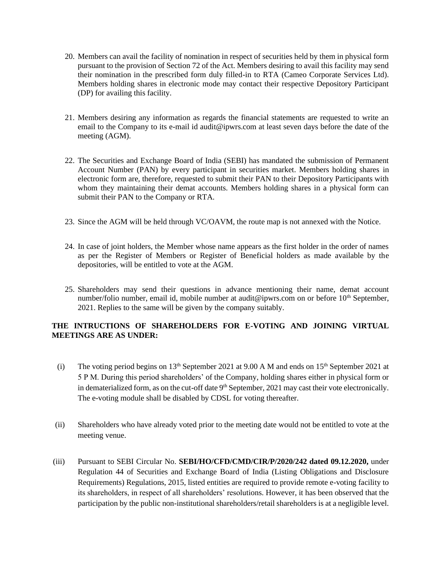- 20. Members can avail the facility of nomination in respect of securities held by them in physical form pursuant to the provision of Section 72 of the Act. Members desiring to avail this facility may send their nomination in the prescribed form duly filled-in to RTA (Cameo Corporate Services Ltd). Members holding shares in electronic mode may contact their respective Depository Participant (DP) for availing this facility.
- 21. Members desiring any information as regards the financial statements are requested to write an email to the Company to its e-mail id audit@ipwrs.com at least seven days before the date of the meeting (AGM).
- 22. The Securities and Exchange Board of India (SEBI) has mandated the submission of Permanent Account Number (PAN) by every participant in securities market. Members holding shares in electronic form are, therefore, requested to submit their PAN to their Depository Participants with whom they maintaining their demat accounts. Members holding shares in a physical form can submit their PAN to the Company or RTA.
- 23. Since the AGM will be held through VC/OAVM, the route map is not annexed with the Notice.
- 24. In case of joint holders, the Member whose name appears as the first holder in the order of names as per the Register of Members or Register of Beneficial holders as made available by the depositories, will be entitled to vote at the AGM.
- 25. Shareholders may send their questions in advance mentioning their name, demat account number/folio number, email id, mobile number at audit@ipwrs.com on or before 10<sup>th</sup> September, 2021. Replies to the same will be given by the company suitably.

# **THE INTRUCTIONS OF SHAREHOLDERS FOR E-VOTING AND JOINING VIRTUAL MEETINGS ARE AS UNDER:**

- (i) The voting period begins on  $13<sup>th</sup>$  September 2021 at 9.00 A M and ends on  $15<sup>th</sup>$  September 2021 at 5 P M. During this period shareholders' of the Company, holding shares either in physical form or in dematerialized form, as on the cut-off date 9<sup>th</sup> September, 2021 may cast their vote electronically. The e-voting module shall be disabled by CDSL for voting thereafter.
- (ii) Shareholders who have already voted prior to the meeting date would not be entitled to vote at the meeting venue.
- (iii) Pursuant to SEBI Circular No. **SEBI/HO/CFD/CMD/CIR/P/2020/242 dated 09.12.2020,** under Regulation 44 of Securities and Exchange Board of India (Listing Obligations and Disclosure Requirements) Regulations, 2015, listed entities are required to provide remote e-voting facility to its shareholders, in respect of all shareholders' resolutions. However, it has been observed that the participation by the public non-institutional shareholders/retail shareholders is at a negligible level.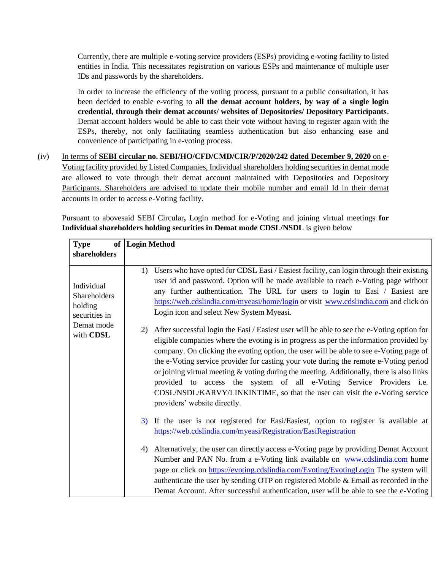Currently, there are multiple e-voting service providers (ESPs) providing e-voting facility to listed entities in India. This necessitates registration on various ESPs and maintenance of multiple user IDs and passwords by the shareholders.

In order to increase the efficiency of the voting process, pursuant to a public consultation, it has been decided to enable e-voting to **all the demat account holders**, **by way of a single login credential, through their demat accounts/ websites of Depositories/ Depository Participants**. Demat account holders would be able to cast their vote without having to register again with the ESPs, thereby, not only facilitating seamless authentication but also enhancing ease and convenience of participating in e-voting process.

(iv) In terms of **SEBI circular no. SEBI/HO/CFD/CMD/CIR/P/2020/242 dated December 9, 2020** on e-Voting facility provided by Listed Companies, Individual shareholders holding securities in demat mode are allowed to vote through their demat account maintained with Depositories and Depository Participants. Shareholders are advised to update their mobile number and email Id in their demat accounts in order to access e-Voting facility.

Pursuant to abovesaid SEBI Circular**,** Login method for e-Voting and joining virtual meetings **for Individual shareholders holding securities in Demat mode CDSL/NSDL** is given below

| <b>Type</b><br>shareholders                                                       | of Login Method                                                                                                                                                                                                                                                                                                                                                                                                                                                                                                                                                                                   |
|-----------------------------------------------------------------------------------|---------------------------------------------------------------------------------------------------------------------------------------------------------------------------------------------------------------------------------------------------------------------------------------------------------------------------------------------------------------------------------------------------------------------------------------------------------------------------------------------------------------------------------------------------------------------------------------------------|
| Individual<br>Shareholders<br>holding<br>securities in<br>Demat mode<br>with CDSL | 1) Users who have opted for CDSL Easi / Easiest facility, can login through their existing<br>user id and password. Option will be made available to reach e-Voting page without<br>any further authentication. The URL for users to login to Easi / Easiest are<br>https://web.cdslindia.com/myeasi/home/login or visit www.cdslindia.com and click on<br>Login icon and select New System Myeasi.<br>After successful login the Easi / Easiest user will be able to see the e-Voting option for<br>2)<br>eligible companies where the evoting is in progress as per the information provided by |
|                                                                                   | company. On clicking the evoting option, the user will be able to see e-Voting page of<br>the e-Voting service provider for casting your vote during the remote e-Voting period<br>or joining virtual meeting $\&$ voting during the meeting. Additionally, there is also links<br>provided to access the system of all e-Voting Service Providers i.e.<br>CDSL/NSDL/KARVY/LINKINTIME, so that the user can visit the e-Voting service<br>providers' website directly.                                                                                                                            |
|                                                                                   | If the user is not registered for Easi/Easiest, option to register is available at<br>3 <sup>)</sup><br>https://web.cdslindia.com/myeasi/Registration/EasiRegistration                                                                                                                                                                                                                                                                                                                                                                                                                            |
|                                                                                   | Alternatively, the user can directly access e-Voting page by providing Demat Account<br>4)<br>Number and PAN No. from a e-Voting link available on www.cdslindia.com home<br>page or click on https://evoting.cdslindia.com/Evoting/EvotingLogin The system will<br>authenticate the user by sending OTP on registered Mobile & Email as recorded in the<br>Demat Account. After successful authentication, user will be able to see the e-Voting                                                                                                                                                 |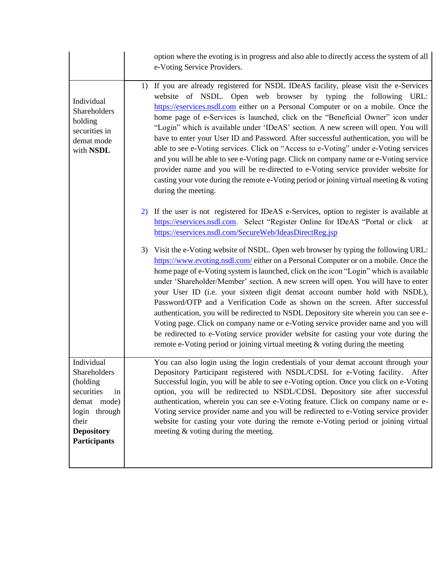|                                                                                                                                                 | option where the evoting is in progress and also able to directly access the system of all<br>e-Voting Service Providers.                                                                                                                                                                                                                                                                                                                                                                                                                                                                                                                                                                                                                                                                                                                                                                              |
|-------------------------------------------------------------------------------------------------------------------------------------------------|--------------------------------------------------------------------------------------------------------------------------------------------------------------------------------------------------------------------------------------------------------------------------------------------------------------------------------------------------------------------------------------------------------------------------------------------------------------------------------------------------------------------------------------------------------------------------------------------------------------------------------------------------------------------------------------------------------------------------------------------------------------------------------------------------------------------------------------------------------------------------------------------------------|
| Individual<br>Shareholders<br>holding<br>securities in<br>demat mode<br>with NSDL                                                               | 1) If you are already registered for NSDL IDeAS facility, please visit the e-Services<br>website of NSDL. Open web browser by typing the following URL:<br>https://eservices.nsdl.com either on a Personal Computer or on a mobile. Once the<br>home page of e-Services is launched, click on the "Beneficial Owner" icon under<br>"Login" which is available under 'IDeAS' section. A new screen will open. You will<br>have to enter your User ID and Password. After successful authentication, you will be<br>able to see e-Voting services. Click on "Access to e-Voting" under e-Voting services<br>and you will be able to see e-Voting page. Click on company name or e-Voting service<br>provider name and you will be re-directed to e-Voting service provider website for<br>casting your vote during the remote e-Voting period or joining virtual meeting & voting<br>during the meeting. |
|                                                                                                                                                 | 2) If the user is not registered for IDeAS e-Services, option to register is available at<br>https://eservices.nsdl.com. Select "Register Online for IDeAS "Portal or click at<br>https://eservices.nsdl.com/SecureWeb/IdeasDirectReg.jsp                                                                                                                                                                                                                                                                                                                                                                                                                                                                                                                                                                                                                                                              |
|                                                                                                                                                 | 3) Visit the e-Voting website of NSDL. Open web browser by typing the following URL:<br>https://www.evoting.nsdl.com/ either on a Personal Computer or on a mobile. Once the<br>home page of e-Voting system is launched, click on the icon "Login" which is available<br>under 'Shareholder/Member' section. A new screen will open. You will have to enter<br>your User ID (i.e. your sixteen digit demat account number hold with NSDL),<br>Password/OTP and a Verification Code as shown on the screen. After successful<br>authentication, you will be redirected to NSDL Depository site wherein you can see e-<br>Voting page. Click on company name or e-Voting service provider name and you will<br>be redirected to e-Voting service provider website for casting your vote during the<br>remote e-Voting period or joining virtual meeting $\&$ voting during the meeting                  |
| Individual<br>Shareholders<br>(holding<br>securities<br>in<br>demat mode)<br>login through<br>their<br><b>Depository</b><br><b>Participants</b> | You can also login using the login credentials of your demat account through your<br>Depository Participant registered with NSDL/CDSL for e-Voting facility. After<br>Successful login, you will be able to see e-Voting option. Once you click on e-Voting<br>option, you will be redirected to NSDL/CDSL Depository site after successful<br>authentication, wherein you can see e-Voting feature. Click on company name or e-<br>Voting service provider name and you will be redirected to e-Voting service provider<br>website for casting your vote during the remote e-Voting period or joining virtual<br>meeting $\&$ voting during the meeting.                                                                                                                                                                                                                                              |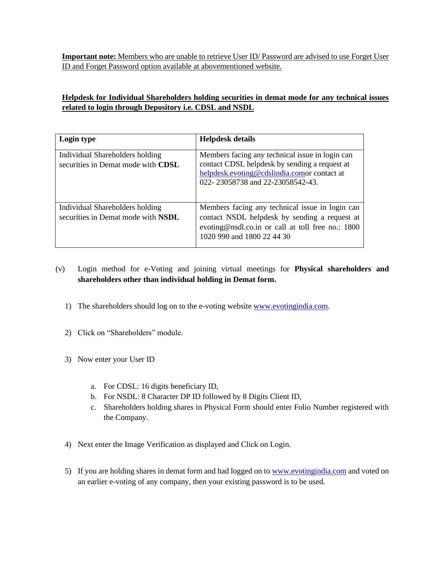**Important note:** Members who are unable to retrieve User ID/ Password are advised to use Forget User ID and Forget Password option available at abovementioned website.

# **Helpdesk for Individual Shareholders holding securities in demat mode for any technical issues related to login through Depository i.e. CDSL and NSDL**

| Login type                                                            | <b>Helpdesk details</b>                                                                                                                                                             |
|-----------------------------------------------------------------------|-------------------------------------------------------------------------------------------------------------------------------------------------------------------------------------|
| Individual Shareholders holding<br>securities in Demat mode with CDSL | Members facing any technical issue in login can<br>contact CDSL helpdesk by sending a request at<br>helpdesk.evoting@cdslindia.comor contact at<br>022-23058738 and 22-23058542-43. |
| Individual Shareholders holding<br>securities in Demat mode with NSDL | Members facing any technical issue in login can<br>contact NSDL helpdesk by sending a request at<br>evoting@nsdl.co.in or call at toll free no.: 1800<br>1020 990 and 1800 22 44 30 |

# (v) Login method for e-Voting and joining virtual meetings for **Physical shareholders and shareholders other than individual holding in Demat form.**

- 1) The shareholders should log on to the e-voting website [www.evotingindia.com.](http://www.evotingindia.com/)
- 2) Click on "Shareholders" module.
- 3) Now enter your User ID
	- a. For CDSL: 16 digits beneficiary ID,
	- b. For NSDL: 8 Character DP ID followed by 8 Digits Client ID,
	- c. Shareholders holding shares in Physical Form should enter Folio Number registered with the Company.
- 4) Next enter the Image Verification as displayed and Click on Login.
- 5) If you are holding shares in demat form and had logged on t[o www.evotingindia.com](http://www.evotingindia.com/) and voted on an earlier e-voting of any company, then your existing password is to be used.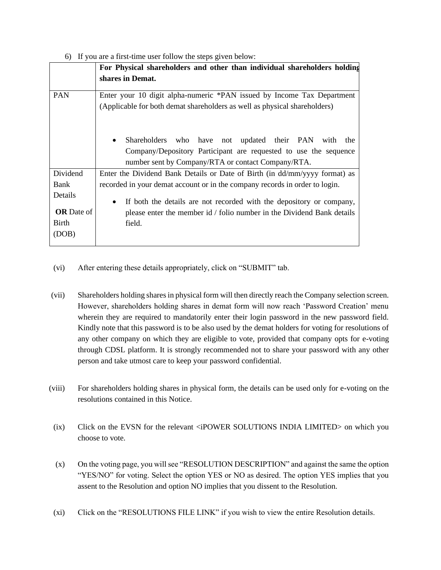6) If you are a first-time user follow the steps given below:

|                                       | For Physical shareholders and other than individual shareholders holding                                                                                                                       |  |  |
|---------------------------------------|------------------------------------------------------------------------------------------------------------------------------------------------------------------------------------------------|--|--|
|                                       | shares in Demat.                                                                                                                                                                               |  |  |
| <b>PAN</b>                            | Enter your 10 digit alpha-numeric *PAN issued by Income Tax Department<br>(Applicable for both demat shareholders as well as physical shareholders)                                            |  |  |
|                                       | Shareholders who have not updated their PAN with<br>the<br>$\bullet$<br>Company/Depository Participant are requested to use the sequence<br>number sent by Company/RTA or contact Company/RTA. |  |  |
| Dividend                              | Enter the Dividend Bank Details or Date of Birth (in dd/mm/yyyy format) as                                                                                                                     |  |  |
| Bank                                  | recorded in your demat account or in the company records in order to login.                                                                                                                    |  |  |
| Details<br><b>OR</b> Date of<br>Birth | If both the details are not recorded with the depository or company,<br>$\bullet$<br>please enter the member id / folio number in the Dividend Bank details<br>field.                          |  |  |
| (DOB)                                 |                                                                                                                                                                                                |  |  |

- (vi) After entering these details appropriately, click on "SUBMIT" tab.
- (vii) Shareholders holding shares in physical form will then directly reach the Company selection screen. However, shareholders holding shares in demat form will now reach 'Password Creation' menu wherein they are required to mandatorily enter their login password in the new password field. Kindly note that this password is to be also used by the demat holders for voting for resolutions of any other company on which they are eligible to vote, provided that company opts for e-voting through CDSL platform. It is strongly recommended not to share your password with any other person and take utmost care to keep your password confidential.
- (viii) For shareholders holding shares in physical form, the details can be used only for e-voting on the resolutions contained in this Notice.
- (ix) Click on the EVSN for the relevant <iPOWER SOLUTIONS INDIA LIMITED> on which you choose to vote.
- (x) On the voting page, you will see "RESOLUTION DESCRIPTION" and against the same the option "YES/NO" for voting. Select the option YES or NO as desired. The option YES implies that you assent to the Resolution and option NO implies that you dissent to the Resolution.
- (xi) Click on the "RESOLUTIONS FILE LINK" if you wish to view the entire Resolution details.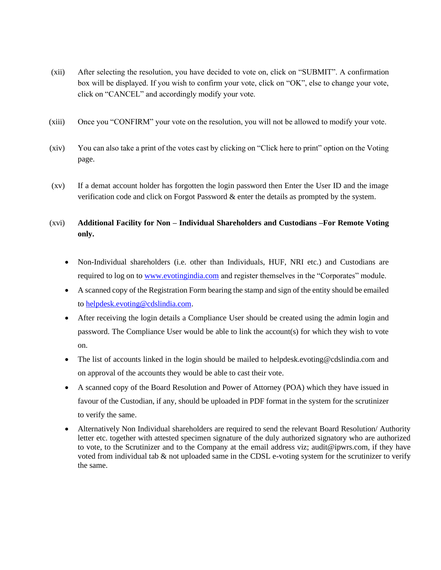- (xii) After selecting the resolution, you have decided to vote on, click on "SUBMIT". A confirmation box will be displayed. If you wish to confirm your vote, click on "OK", else to change your vote, click on "CANCEL" and accordingly modify your vote.
- (xiii) Once you "CONFIRM" your vote on the resolution, you will not be allowed to modify your vote.
- (xiv) You can also take a print of the votes cast by clicking on "Click here to print" option on the Voting page.
- (xv) If a demat account holder has forgotten the login password then Enter the User ID and the image verification code and click on Forgot Password & enter the details as prompted by the system.
- (xvi) **Additional Facility for Non – Individual Shareholders and Custodians –For Remote Voting only.**
	- Non-Individual shareholders (i.e. other than Individuals, HUF, NRI etc.) and Custodians are required to log on to [www.evotingindia.com](http://www.evotingindia.com/) and register themselves in the "Corporates" module.
	- A scanned copy of the Registration Form bearing the stamp and sign of the entity should be emailed to [helpdesk.evoting@cdslindia.com.](mailto:helpdesk.evoting@cdslindia.com)
	- After receiving the login details a Compliance User should be created using the admin login and password. The Compliance User would be able to link the account(s) for which they wish to vote on.
	- The list of accounts linked in the login should be mailed to helpdesk.evoting@cdslindia.com and on approval of the accounts they would be able to cast their vote.
	- A scanned copy of the Board Resolution and Power of Attorney (POA) which they have issued in favour of the Custodian, if any, should be uploaded in PDF format in the system for the scrutinizer to verify the same.
	- Alternatively Non Individual shareholders are required to send the relevant Board Resolution/Authority letter etc. together with attested specimen signature of the duly authorized signatory who are authorized to vote, to the Scrutinizer and to the Company at the email address viz; audit@ipwrs.com, if they have voted from individual tab  $\&$  not uploaded same in the CDSL e-voting system for the scrutinizer to verify the same.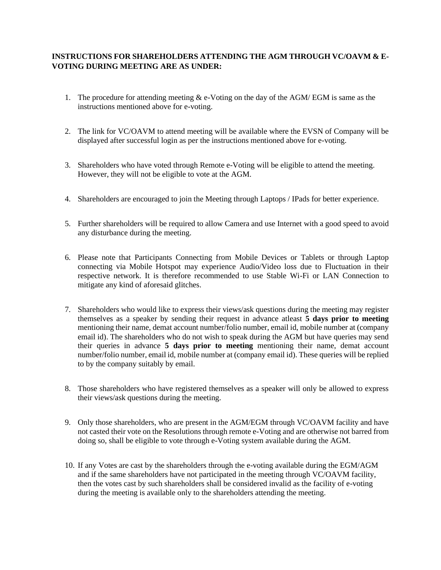# **INSTRUCTIONS FOR SHAREHOLDERS ATTENDING THE AGM THROUGH VC/OAVM & E-VOTING DURING MEETING ARE AS UNDER:**

- 1. The procedure for attending meeting  $&$  e-Voting on the day of the AGM/EGM is same as the instructions mentioned above for e-voting.
- 2. The link for VC/OAVM to attend meeting will be available where the EVSN of Company will be displayed after successful login as per the instructions mentioned above for e-voting.
- 3. Shareholders who have voted through Remote e-Voting will be eligible to attend the meeting. However, they will not be eligible to vote at the AGM.
- 4. Shareholders are encouraged to join the Meeting through Laptops / IPads for better experience.
- 5. Further shareholders will be required to allow Camera and use Internet with a good speed to avoid any disturbance during the meeting.
- 6. Please note that Participants Connecting from Mobile Devices or Tablets or through Laptop connecting via Mobile Hotspot may experience Audio/Video loss due to Fluctuation in their respective network. It is therefore recommended to use Stable Wi-Fi or LAN Connection to mitigate any kind of aforesaid glitches.
- 7. Shareholders who would like to express their views/ask questions during the meeting may register themselves as a speaker by sending their request in advance atleast **5 days prior to meeting** mentioning their name, demat account number/folio number, email id, mobile number at (company email id). The shareholders who do not wish to speak during the AGM but have queries may send their queries in advance **5 days prior to meeting** mentioning their name, demat account number/folio number, email id, mobile number at (company email id). These queries will be replied to by the company suitably by email.
- 8. Those shareholders who have registered themselves as a speaker will only be allowed to express their views/ask questions during the meeting.
- 9. Only those shareholders, who are present in the AGM/EGM through VC/OAVM facility and have not casted their vote on the Resolutions through remote e-Voting and are otherwise not barred from doing so, shall be eligible to vote through e-Voting system available during the AGM.
- 10. If any Votes are cast by the shareholders through the e-voting available during the EGM/AGM and if the same shareholders have not participated in the meeting through VC/OAVM facility, then the votes cast by such shareholders shall be considered invalid as the facility of e-voting during the meeting is available only to the shareholders attending the meeting.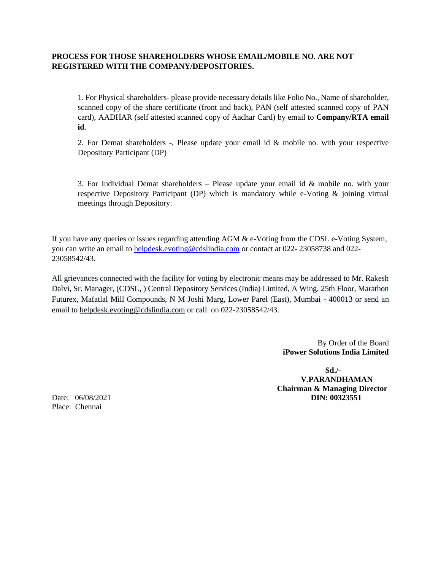# **PROCESS FOR THOSE SHAREHOLDERS WHOSE EMAIL/MOBILE NO. ARE NOT REGISTERED WITH THE COMPANY/DEPOSITORIES.**

1. For Physical shareholders- please provide necessary details like Folio No., Name of shareholder, scanned copy of the share certificate (front and back), PAN (self attested scanned copy of PAN card), AADHAR (self attested scanned copy of Aadhar Card) by email to **Company/RTA email id**.

2. For Demat shareholders -, Please update your email id & mobile no. with your respective Depository Participant (DP)

3. For Individual Demat shareholders – Please update your email id  $\&$  mobile no. with your respective Depository Participant (DP) which is mandatory while e-Voting & joining virtual meetings through Depository.

If you have any queries or issues regarding attending AGM & e-Voting from the CDSL e-Voting System, you can write an email to [helpdesk.evoting@cdslindia.com](mailto:helpdesk.evoting@cdslindia.com) or contact at 022- 23058738 and 022- 23058542/43.

All grievances connected with the facility for voting by electronic means may be addressed to Mr. Rakesh Dalvi, Sr. Manager, (CDSL, ) Central Depository Services (India) Limited, A Wing, 25th Floor, Marathon Futurex, Mafatlal Mill Compounds, N M Joshi Marg, Lower Parel (East), Mumbai - 400013 or send an email to [helpdesk.evoting@cdslindia.com](mailto:helpdesk.evoting@cdslindia.com) or call on 022-23058542/43.

> By Order of the Board **iPower Solutions India Limited**

 **Sd./- V.PARANDHAMAN Chairman & Managing Director** Date: 06/08/2021 **DIN: 00323551** 

Place: Chennai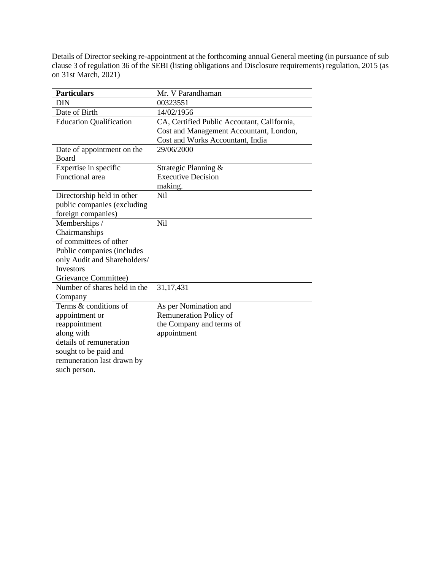Details of Director seeking re-appointment at the forthcoming annual General meeting (in pursuance of sub clause 3 of regulation 36 of the SEBI (listing obligations and Disclosure requirements) regulation, 2015 (as on 31st March, 2021)

| <b>Particulars</b>             | Mr. V Parandhaman                           |
|--------------------------------|---------------------------------------------|
| <b>DIN</b>                     | 00323551                                    |
| Date of Birth                  | 14/02/1956                                  |
| <b>Education Qualification</b> | CA, Certified Public Accoutant, California, |
|                                | Cost and Management Accountant, London,     |
|                                | Cost and Works Accountant, India            |
| Date of appointment on the     | 29/06/2000                                  |
| Board                          |                                             |
| Expertise in specific          | Strategic Planning &                        |
| Functional area                | <b>Executive Decision</b>                   |
|                                | making.                                     |
| Directorship held in other     | Nil                                         |
| public companies (excluding    |                                             |
| foreign companies)             |                                             |
| Memberships /                  | Nil                                         |
| Chairmanships                  |                                             |
| of committees of other         |                                             |
| Public companies (includes     |                                             |
| only Audit and Shareholders/   |                                             |
| <b>Investors</b>               |                                             |
| Grievance Committee)           |                                             |
| Number of shares held in the   | 31, 17, 431                                 |
| Company                        |                                             |
| Terms & conditions of          | As per Nomination and                       |
| appointment or                 | <b>Remuneration Policy of</b>               |
| reappointment                  | the Company and terms of                    |
| along with                     | appointment                                 |
| details of remuneration        |                                             |
| sought to be paid and          |                                             |
| remuneration last drawn by     |                                             |
| such person.                   |                                             |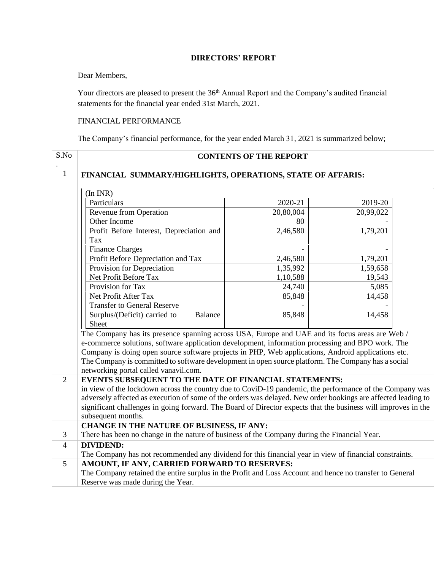#### **DIRECTORS' REPORT**

# Dear Members,

Your directors are pleased to present the 36<sup>th</sup> Annual Report and the Company's audited financial statements for the financial year ended 31st March, 2021.

# FINANCIAL PERFORMANCE

The Company's financial performance, for the year ended March 31, 2021 is summarized below;

| S.No           |                                                                                                                                                                                                          | <b>CONTENTS OF THE REPORT</b> |           |  |
|----------------|----------------------------------------------------------------------------------------------------------------------------------------------------------------------------------------------------------|-------------------------------|-----------|--|
| $\mathbf{1}$   | FINANCIAL SUMMARY/HIGHLIGHTS, OPERATIONS, STATE OF AFFARIS:                                                                                                                                              |                               |           |  |
|                | (In INR)                                                                                                                                                                                                 |                               |           |  |
|                | Particulars                                                                                                                                                                                              | 2020-21                       | 2019-20   |  |
|                | Revenue from Operation                                                                                                                                                                                   | 20,80,004                     | 20,99,022 |  |
|                | Other Income                                                                                                                                                                                             | 80                            |           |  |
|                | Profit Before Interest, Depreciation and                                                                                                                                                                 | 2,46,580                      | 1,79,201  |  |
|                | Tax                                                                                                                                                                                                      |                               |           |  |
|                | <b>Finance Charges</b>                                                                                                                                                                                   |                               |           |  |
|                | Profit Before Depreciation and Tax                                                                                                                                                                       | 2,46,580                      | 1,79,201  |  |
|                | Provision for Depreciation                                                                                                                                                                               | 1,35,992                      | 1,59,658  |  |
|                | Net Profit Before Tax                                                                                                                                                                                    | 1,10,588                      | 19,543    |  |
|                | Provision for Tax                                                                                                                                                                                        | 24,740                        | 5,085     |  |
|                | Net Profit After Tax                                                                                                                                                                                     | 85,848                        | 14,458    |  |
|                | <b>Transfer to General Reserve</b>                                                                                                                                                                       |                               |           |  |
|                | Surplus/(Deficit) carried to<br><b>Balance</b>                                                                                                                                                           | 85,848                        | 14,458    |  |
|                | Sheet                                                                                                                                                                                                    |                               |           |  |
|                | The Company has its presence spanning across USA, Europe and UAE and its focus areas are Web /                                                                                                           |                               |           |  |
|                | e-commerce solutions, software application development, information processing and BPO work. The                                                                                                         |                               |           |  |
|                | Company is doing open source software projects in PHP, Web applications, Android applications etc.<br>The Company is committed to software development in open source platform. The Company has a social |                               |           |  |
|                |                                                                                                                                                                                                          |                               |           |  |
|                | networking portal called vanavil.com.                                                                                                                                                                    |                               |           |  |
| $\overline{2}$ | EVENTS SUBSEQUENT TO THE DATE OF FINANCIAL STATEMENTS:                                                                                                                                                   |                               |           |  |
|                | in view of the lockdown across the country due to CoviD-19 pandemic, the performance of the Company was                                                                                                  |                               |           |  |
|                | adversely affected as execution of some of the orders was delayed. New order bookings are affected leading to                                                                                            |                               |           |  |
|                | significant challenges in going forward. The Board of Director expects that the business will improves in the                                                                                            |                               |           |  |
|                | subsequent months.                                                                                                                                                                                       |                               |           |  |
|                | CHANGE IN THE NATURE OF BUSINESS, IF ANY:                                                                                                                                                                |                               |           |  |
| 3              | There has been no change in the nature of business of the Company during the Financial Year.                                                                                                             |                               |           |  |
| $\overline{4}$ | <b>DIVIDEND:</b>                                                                                                                                                                                         |                               |           |  |
|                | The Company has not recommended any dividend for this financial year in view of financial constraints.                                                                                                   |                               |           |  |
| 5              | AMOUNT, IF ANY, CARRIED FORWARD TO RESERVES:                                                                                                                                                             |                               |           |  |
|                | The Company retained the entire surplus in the Profit and Loss Account and hence no transfer to General                                                                                                  |                               |           |  |
|                | Reserve was made during the Year.                                                                                                                                                                        |                               |           |  |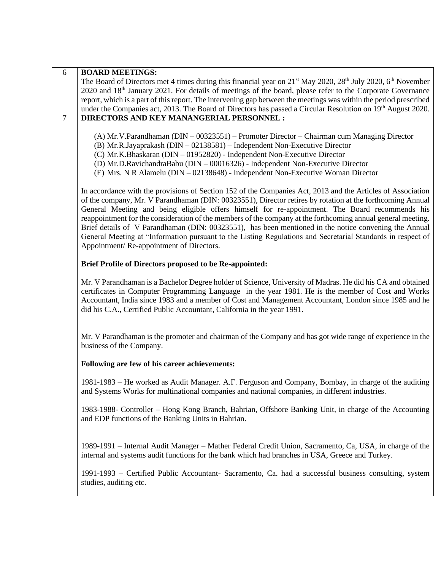| 6              | <b>BOARD MEETINGS:</b>                                                                                                                           |
|----------------|--------------------------------------------------------------------------------------------------------------------------------------------------|
|                | The Board of Directors met 4 times during this financial year on 21 <sup>st</sup> May 2020, 28 <sup>th</sup> July 2020, 6 <sup>th</sup> November |
|                | 2020 and 18th January 2021. For details of meetings of the board, please refer to the Corporate Governance                                       |
|                | report, which is a part of this report. The intervening gap between the meetings was within the period prescribed                                |
|                | under the Companies act, 2013. The Board of Directors has passed a Circular Resolution on 19th August 2020.                                      |
| $\overline{7}$ | DIRECTORS AND KEY MANANGERIAL PERSONNEL :                                                                                                        |
|                | $(A)$ Mr.V.Parandhaman (DIN $-$ 00323551) – Promoter Director – Chairman cum Managing Director                                                   |
|                | (B) Mr.R.Jayaprakash (DIN - 02138581) - Independent Non-Executive Director                                                                       |
|                | (C) Mr.K.Bhaskaran (DIN - 01952820) - Independent Non-Executive Director                                                                         |
|                | (D) Mr.D.RavichandraBabu (DIN - 00016326) - Independent Non-Executive Director                                                                   |
|                |                                                                                                                                                  |
|                | (E) Mrs. N R Alamelu (DIN - 02138648) - Independent Non-Executive Woman Director                                                                 |
|                | In accordance with the provisions of Section 152 of the Companies Act, 2013 and the Articles of Association                                      |
|                | of the company, Mr. V Parandhaman (DIN: 00323551), Director retires by rotation at the forthcoming Annual                                        |
|                | General Meeting and being eligible offers himself for re-appointment. The Board recommends his                                                   |
|                | reappointment for the consideration of the members of the company at the forthcoming annual general meeting.                                     |
|                | Brief details of V Parandhaman (DIN: 00323551), has been mentioned in the notice convening the Annual                                            |
|                | General Meeting at "Information pursuant to the Listing Regulations and Secretarial Standards in respect of                                      |
|                | Appointment/Re-appointment of Directors.                                                                                                         |
|                | <b>Brief Profile of Directors proposed to be Re-appointed:</b>                                                                                   |
|                | Mr. V Parandhaman is a Bachelor Degree holder of Science, University of Madras. He did his CA and obtained                                       |
|                | certificates in Computer Programming Language in the year 1981. He is the member of Cost and Works                                               |
|                | Accountant, India since 1983 and a member of Cost and Management Accountant, London since 1985 and he                                            |
|                | did his C.A., Certified Public Accountant, California in the year 1991.                                                                          |
|                |                                                                                                                                                  |
|                | Mr. V Parandhaman is the promoter and chairman of the Company and has got wide range of experience in the                                        |
|                | business of the Company.                                                                                                                         |
|                | Following are few of his career achievements:                                                                                                    |
|                |                                                                                                                                                  |
|                | 1981-1983 – He worked as Audit Manager. A.F. Ferguson and Company, Bombay, in charge of the auditing                                             |
|                | and Systems Works for multinational companies and national companies, in different industries.                                                   |
|                | 1983-1988- Controller – Hong Kong Branch, Bahrian, Offshore Banking Unit, in charge of the Accounting                                            |
|                | and EDP functions of the Banking Units in Bahrian.                                                                                               |
|                |                                                                                                                                                  |
|                | 1989-1991 – Internal Audit Manager – Mather Federal Credit Union, Sacramento, Ca, USA, in charge of the                                          |
|                | internal and systems audit functions for the bank which had branches in USA, Greece and Turkey.                                                  |
|                |                                                                                                                                                  |
|                | 1991-1993 - Certified Public Accountant- Sacramento, Ca. had a successful business consulting, system                                            |
|                | studies, auditing etc.                                                                                                                           |
|                |                                                                                                                                                  |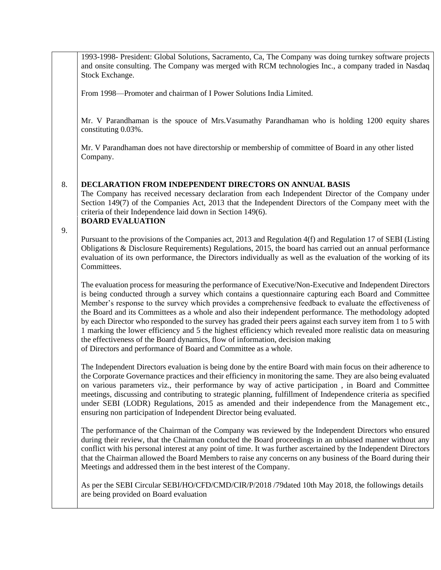|          | 1993-1998- President: Global Solutions, Sacramento, Ca, The Company was doing turnkey software projects<br>and onsite consulting. The Company was merged with RCM technologies Inc., a company traded in Nasdaq<br>Stock Exchange.                                                                                                                                                                                                                                                                                                                                                                                                                                                                                                                                                                                            |
|----------|-------------------------------------------------------------------------------------------------------------------------------------------------------------------------------------------------------------------------------------------------------------------------------------------------------------------------------------------------------------------------------------------------------------------------------------------------------------------------------------------------------------------------------------------------------------------------------------------------------------------------------------------------------------------------------------------------------------------------------------------------------------------------------------------------------------------------------|
|          | From 1998—Promoter and chairman of I Power Solutions India Limited.                                                                                                                                                                                                                                                                                                                                                                                                                                                                                                                                                                                                                                                                                                                                                           |
|          | Mr. V Parandhaman is the spouce of Mrs. Vasumathy Parandhaman who is holding 1200 equity shares<br>constituting 0.03%.                                                                                                                                                                                                                                                                                                                                                                                                                                                                                                                                                                                                                                                                                                        |
|          | Mr. V Parandhaman does not have directorship or membership of committee of Board in any other listed<br>Company.                                                                                                                                                                                                                                                                                                                                                                                                                                                                                                                                                                                                                                                                                                              |
| 8.<br>9. | <b>DECLARATION FROM INDEPENDENT DIRECTORS ON ANNUAL BASIS</b><br>The Company has received necessary declaration from each Independent Director of the Company under<br>Section 149(7) of the Companies Act, 2013 that the Independent Directors of the Company meet with the<br>criteria of their Independence laid down in Section 149(6).<br><b>BOARD EVALUATION</b>                                                                                                                                                                                                                                                                                                                                                                                                                                                        |
|          | Pursuant to the provisions of the Companies act, 2013 and Regulation 4(f) and Regulation 17 of SEBI (Listing<br>Obligations & Disclosure Requirements) Regulations, 2015, the board has carried out an annual performance<br>evaluation of its own performance, the Directors individually as well as the evaluation of the working of its<br>Committees.                                                                                                                                                                                                                                                                                                                                                                                                                                                                     |
|          | The evaluation process for measuring the performance of Executive/Non-Executive and Independent Directors<br>is being conducted through a survey which contains a questionnaire capturing each Board and Committee<br>Member's response to the survey which provides a comprehensive feedback to evaluate the effectiveness of<br>the Board and its Committees as a whole and also their independent performance. The methodology adopted<br>by each Director who responded to the survey has graded their peers against each survey item from 1 to 5 with<br>1 marking the lower efficiency and 5 the highest efficiency which revealed more realistic data on measuring<br>the effectiveness of the Board dynamics, flow of information, decision making<br>of Directors and performance of Board and Committee as a whole. |
|          | The Independent Directors evaluation is being done by the entire Board with main focus on their adherence to<br>the Corporate Governance practices and their efficiency in monitoring the same. They are also being evaluated<br>on various parameters viz., their performance by way of active participation, in Board and Committee<br>meetings, discussing and contributing to strategic planning, fulfillment of Independence criteria as specified<br>under SEBI (LODR) Regulations, 2015 as amended and their independence from the Management etc.,<br>ensuring non participation of Independent Director being evaluated.                                                                                                                                                                                             |
|          | The performance of the Chairman of the Company was reviewed by the Independent Directors who ensured<br>during their review, that the Chairman conducted the Board proceedings in an unbiased manner without any<br>conflict with his personal interest at any point of time. It was further ascertained by the Independent Directors<br>that the Chairman allowed the Board Members to raise any concerns on any business of the Board during their<br>Meetings and addressed them in the best interest of the Company.                                                                                                                                                                                                                                                                                                      |
|          | As per the SEBI Circular SEBI/HO/CFD/CMD/CIR/P/2018 /79dated 10th May 2018, the followings details<br>are being provided on Board evaluation                                                                                                                                                                                                                                                                                                                                                                                                                                                                                                                                                                                                                                                                                  |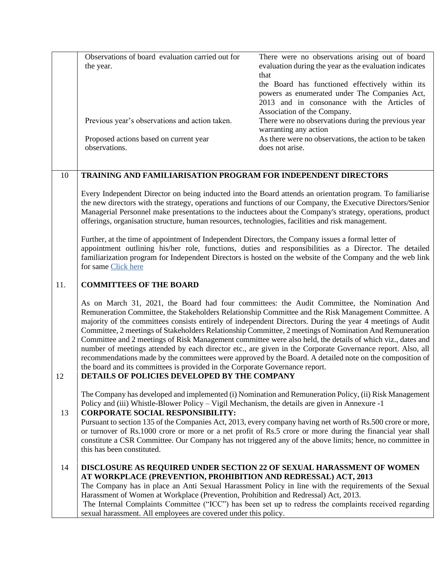|     | Observations of board evaluation carried out for<br>the year.                                                                                                                                                                                                                                     | There were no observations arising out of board<br>evaluation during the year as the evaluation indicates<br>that<br>the Board has functioned effectively within its<br>powers as enumerated under The Companies Act,<br>2013 and in consonance with the Articles of<br>Association of the Company.                                                                                                                                                                                                                                                                                                                                                                                                                                                                   |
|-----|---------------------------------------------------------------------------------------------------------------------------------------------------------------------------------------------------------------------------------------------------------------------------------------------------|-----------------------------------------------------------------------------------------------------------------------------------------------------------------------------------------------------------------------------------------------------------------------------------------------------------------------------------------------------------------------------------------------------------------------------------------------------------------------------------------------------------------------------------------------------------------------------------------------------------------------------------------------------------------------------------------------------------------------------------------------------------------------|
|     | Previous year's observations and action taken.                                                                                                                                                                                                                                                    | There were no observations during the previous year<br>warranting any action                                                                                                                                                                                                                                                                                                                                                                                                                                                                                                                                                                                                                                                                                          |
|     | Proposed actions based on current year<br>observations.                                                                                                                                                                                                                                           | As there were no observations, the action to be taken<br>does not arise.                                                                                                                                                                                                                                                                                                                                                                                                                                                                                                                                                                                                                                                                                              |
| 10  | <b>TRAINING AND FAMILIARISATION PROGRAM FOR INDEPENDENT DIRECTORS</b>                                                                                                                                                                                                                             |                                                                                                                                                                                                                                                                                                                                                                                                                                                                                                                                                                                                                                                                                                                                                                       |
|     | offerings, organisation structure, human resources, technologies, facilities and risk management.                                                                                                                                                                                                 | Every Independent Director on being inducted into the Board attends an orientation program. To familiarise<br>the new directors with the strategy, operations and functions of our Company, the Executive Directors/Senior<br>Managerial Personnel make presentations to the inductees about the Company's strategy, operations, product                                                                                                                                                                                                                                                                                                                                                                                                                              |
|     | Further, at the time of appointment of Independent Directors, the Company issues a formal letter of<br>for same Click here                                                                                                                                                                        | appointment outlining his/her role, functions, duties and responsibilities as a Director. The detailed<br>familiarization program for Independent Directors is hosted on the website of the Company and the web link                                                                                                                                                                                                                                                                                                                                                                                                                                                                                                                                                  |
| 11. | <b>COMMITTEES OF THE BOARD</b>                                                                                                                                                                                                                                                                    |                                                                                                                                                                                                                                                                                                                                                                                                                                                                                                                                                                                                                                                                                                                                                                       |
|     | the board and its committees is provided in the Corporate Governance report.                                                                                                                                                                                                                      | As on March 31, 2021, the Board had four committees: the Audit Committee, the Nomination And<br>Remuneration Committee, the Stakeholders Relationship Committee and the Risk Management Committee. A<br>majority of the committees consists entirely of independent Directors. During the year 4 meetings of Audit<br>Committee, 2 meetings of Stakeholders Relationship Committee, 2 meetings of Nomination And Remuneration<br>Committee and 2 meetings of Risk Management committee were also held, the details of which viz., dates and<br>number of meetings attended by each director etc., are given in the Corporate Governance report. Also, all<br>recommendations made by the committees were approved by the Board. A detailed note on the composition of |
| 12  | DETAILS OF POLICIES DEVELOPED BY THE COMPANY                                                                                                                                                                                                                                                      |                                                                                                                                                                                                                                                                                                                                                                                                                                                                                                                                                                                                                                                                                                                                                                       |
|     | Policy and (iii) Whistle-Blower Policy - Vigil Mechanism, the details are given in Annexure -1                                                                                                                                                                                                    | The Company has developed and implemented (i) Nomination and Remuneration Policy, (ii) Risk Management                                                                                                                                                                                                                                                                                                                                                                                                                                                                                                                                                                                                                                                                |
| 13  | <b>CORPORATE SOCIAL RESPONSIBILITY:</b><br>this has been constituted.                                                                                                                                                                                                                             | Pursuant to section 135 of the Companies Act, 2013, every company having net worth of Rs.500 crore or more,<br>or turnover of Rs.1000 crore or more or a net profit of Rs.5 crore or more during the financial year shall<br>constitute a CSR Committee. Our Company has not triggered any of the above limits; hence, no committee in                                                                                                                                                                                                                                                                                                                                                                                                                                |
| 14  | DISCLOSURE AS REQUIRED UNDER SECTION 22 OF SEXUAL HARASSMENT OF WOMEN<br>AT WORKPLACE (PREVENTION, PROHIBITION AND REDRESSAL) ACT, 2013<br>Harassment of Women at Workplace (Prevention, Prohibition and Redressal) Act, 2013.<br>sexual harassment. All employees are covered under this policy. | The Company has in place an Anti Sexual Harassment Policy in line with the requirements of the Sexual<br>The Internal Complaints Committee ("ICC") has been set up to redress the complaints received regarding                                                                                                                                                                                                                                                                                                                                                                                                                                                                                                                                                       |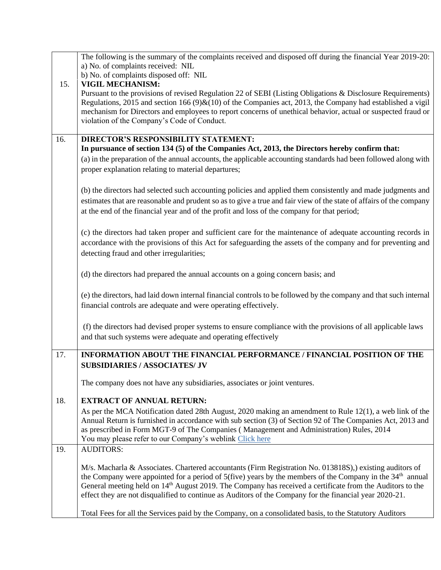| 15. | The following is the summary of the complaints received and disposed off during the financial Year 2019-20:<br>a) No. of complaints received: NIL<br>b) No. of complaints disposed off: NIL<br><b>VIGIL MECHANISM:</b><br>Pursuant to the provisions of revised Regulation 22 of SEBI (Listing Obligations & Disclosure Requirements)<br>Regulations, 2015 and section 166 (9) $\&$ (10) of the Companies act, 2013, the Company had established a vigil<br>mechanism for Directors and employees to report concerns of unethical behavior, actual or suspected fraud or<br>violation of the Company's Code of Conduct. |
|-----|-------------------------------------------------------------------------------------------------------------------------------------------------------------------------------------------------------------------------------------------------------------------------------------------------------------------------------------------------------------------------------------------------------------------------------------------------------------------------------------------------------------------------------------------------------------------------------------------------------------------------|
| 16. | <b>DIRECTOR'S RESPONSIBILITY STATEMENT:</b>                                                                                                                                                                                                                                                                                                                                                                                                                                                                                                                                                                             |
|     | In pursuance of section 134 (5) of the Companies Act, 2013, the Directors hereby confirm that:<br>(a) in the preparation of the annual accounts, the applicable accounting standards had been followed along with<br>proper explanation relating to material departures;                                                                                                                                                                                                                                                                                                                                                |
|     | (b) the directors had selected such accounting policies and applied them consistently and made judgments and<br>estimates that are reasonable and prudent so as to give a true and fair view of the state of affairs of the company<br>at the end of the financial year and of the profit and loss of the company for that period;                                                                                                                                                                                                                                                                                      |
|     | (c) the directors had taken proper and sufficient care for the maintenance of adequate accounting records in<br>accordance with the provisions of this Act for safeguarding the assets of the company and for preventing and<br>detecting fraud and other irregularities;                                                                                                                                                                                                                                                                                                                                               |
|     | (d) the directors had prepared the annual accounts on a going concern basis; and                                                                                                                                                                                                                                                                                                                                                                                                                                                                                                                                        |
|     | (e) the directors, had laid down internal financial controls to be followed by the company and that such internal<br>financial controls are adequate and were operating effectively.                                                                                                                                                                                                                                                                                                                                                                                                                                    |
|     | (f) the directors had devised proper systems to ensure compliance with the provisions of all applicable laws<br>and that such systems were adequate and operating effectively                                                                                                                                                                                                                                                                                                                                                                                                                                           |
| 17. | <b>INFORMATION ABOUT THE FINANCIAL PERFORMANCE / FINANCIAL POSITION OF THE</b><br><b>SUBSIDIARIES / ASSOCIATES/ JV</b>                                                                                                                                                                                                                                                                                                                                                                                                                                                                                                  |
|     | The company does not have any subsidiaries, associates or joint ventures.                                                                                                                                                                                                                                                                                                                                                                                                                                                                                                                                               |
| 18. | <b>EXTRACT OF ANNUAL RETURN:</b>                                                                                                                                                                                                                                                                                                                                                                                                                                                                                                                                                                                        |
|     | As per the MCA Notification dated 28th August, 2020 making an amendment to Rule 12(1), a web link of the<br>Annual Return is furnished in accordance with sub section (3) of Section 92 of The Companies Act, 2013 and<br>as prescribed in Form MGT-9 of The Companies (Management and Administration) Rules, 2014<br>You may please refer to our Company's weblink Click here                                                                                                                                                                                                                                          |
| 19. | <b>AUDITORS:</b>                                                                                                                                                                                                                                                                                                                                                                                                                                                                                                                                                                                                        |
|     | M/s. Macharla & Associates. Chartered accountants (Firm Registration No. 013818S), existing auditors of<br>the Company were appointed for a period of 5(five) years by the members of the Company in the 34 <sup>th</sup> annual<br>General meeting held on 14 <sup>th</sup> August 2019. The Company has received a certificate from the Auditors to the<br>effect they are not disqualified to continue as Auditors of the Company for the financial year 2020-21.                                                                                                                                                    |
|     | Total Fees for all the Services paid by the Company, on a consolidated basis, to the Statutory Auditors                                                                                                                                                                                                                                                                                                                                                                                                                                                                                                                 |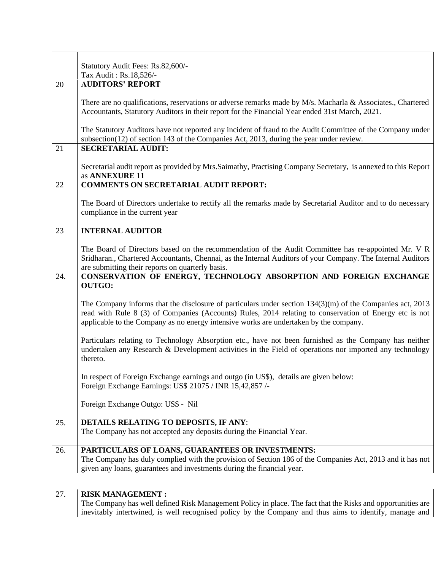|     | Statutory Audit Fees: Rs.82,600/-<br>Tax Audit: Rs.18,526/-                                                                                                                                                                                                                                                    |
|-----|----------------------------------------------------------------------------------------------------------------------------------------------------------------------------------------------------------------------------------------------------------------------------------------------------------------|
| 20  | <b>AUDITORS' REPORT</b>                                                                                                                                                                                                                                                                                        |
|     | There are no qualifications, reservations or adverse remarks made by M/s. Macharla & Associates., Chartered<br>Accountants, Statutory Auditors in their report for the Financial Year ended 31st March, 2021.                                                                                                  |
| 21  | The Statutory Auditors have not reported any incident of fraud to the Audit Committee of the Company under<br>subsection(12) of section 143 of the Companies Act, 2013, during the year under review.<br><b>SECRETARIAL AUDIT:</b>                                                                             |
|     |                                                                                                                                                                                                                                                                                                                |
| 22  | Secretarial audit report as provided by Mrs. Saimathy, Practising Company Secretary, is annexed to this Report<br>as ANNEXURE 11<br><b>COMMENTS ON SECRETARIAL AUDIT REPORT:</b>                                                                                                                               |
|     |                                                                                                                                                                                                                                                                                                                |
|     | The Board of Directors undertake to rectify all the remarks made by Secretarial Auditor and to do necessary<br>compliance in the current year                                                                                                                                                                  |
| 23  | <b>INTERNAL AUDITOR</b>                                                                                                                                                                                                                                                                                        |
|     | The Board of Directors based on the recommendation of the Audit Committee has re-appointed Mr. V R<br>Sridharan., Chartered Accountants, Chennai, as the Internal Auditors of your Company. The Internal Auditors<br>are submitting their reports on quarterly basis.                                          |
| 24. | CONSERVATION OF ENERGY, TECHNOLOGY ABSORPTION AND FOREIGN EXCHANGE<br><b>OUTGO:</b>                                                                                                                                                                                                                            |
|     | The Company informs that the disclosure of particulars under section $134(3)(m)$ of the Companies act, 2013<br>read with Rule 8 (3) of Companies (Accounts) Rules, 2014 relating to conservation of Energy etc is not<br>applicable to the Company as no energy intensive works are undertaken by the company. |
|     | Particulars relating to Technology Absorption etc., have not been furnished as the Company has neither<br>undertaken any Research & Development activities in the Field of operations nor imported any technology<br>thereto.                                                                                  |
|     | In respect of Foreign Exchange earnings and outgo (in US\$), details are given below:<br>Foreign Exchange Earnings: US\$ 21075 / INR 15,42,857 /-                                                                                                                                                              |
|     | Foreign Exchange Outgo: US\$ - Nil                                                                                                                                                                                                                                                                             |
| 25. | <b>DETAILS RELATING TO DEPOSITS, IF ANY:</b><br>The Company has not accepted any deposits during the Financial Year.                                                                                                                                                                                           |
| 26. | PARTICULARS OF LOANS, GUARANTEES OR INVESTMENTS:<br>The Company has duly complied with the provision of Section 186 of the Companies Act, 2013 and it has not<br>given any loans, guarantees and investments during the financial year.                                                                        |

# 27. **RISK MANAGEMENT :**

The Company has well defined Risk Management Policy in place. The fact that the Risks and opportunities are inevitably intertwined, is well recognised policy by the Company and thus aims to identify, manage and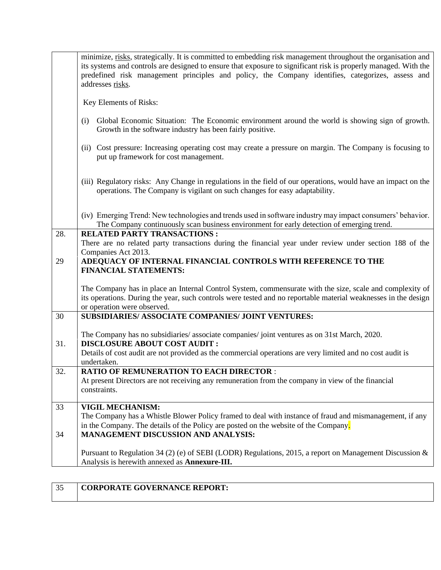|     | minimize, risks, strategically. It is committed to embedding risk management throughout the organisation and<br>its systems and controls are designed to ensure that exposure to significant risk is properly managed. With the<br>predefined risk management principles and policy, the Company identifies, categorizes, assess and<br>addresses risks. |
|-----|----------------------------------------------------------------------------------------------------------------------------------------------------------------------------------------------------------------------------------------------------------------------------------------------------------------------------------------------------------|
|     | Key Elements of Risks:                                                                                                                                                                                                                                                                                                                                   |
|     | Global Economic Situation: The Economic environment around the world is showing sign of growth.<br>(i)<br>Growth in the software industry has been fairly positive.                                                                                                                                                                                      |
|     | Cost pressure: Increasing operating cost may create a pressure on margin. The Company is focusing to<br>(ii)<br>put up framework for cost management.                                                                                                                                                                                                    |
|     | (iii) Regulatory risks: Any Change in regulations in the field of our operations, would have an impact on the<br>operations. The Company is vigilant on such changes for easy adaptability.                                                                                                                                                              |
| 28. | (iv) Emerging Trend: New technologies and trends used in software industry may impact consumers' behavior.<br>The Company continuously scan business environment for early detection of emerging trend.<br><b>RELATED PARTY TRANSACTIONS:</b>                                                                                                            |
|     | There are no related party transactions during the financial year under review under section 188 of the<br>Companies Act 2013.                                                                                                                                                                                                                           |
| 29  | ADEQUACY OF INTERNAL FINANCIAL CONTROLS WITH REFERENCE TO THE<br><b>FINANCIAL STATEMENTS:</b>                                                                                                                                                                                                                                                            |
|     | The Company has in place an Internal Control System, commensurate with the size, scale and complexity of<br>its operations. During the year, such controls were tested and no reportable material weaknesses in the design<br>or operation were observed.                                                                                                |
| 30  | SUBSIDIARIES/ ASSOCIATE COMPANIES/ JOINT VENTURES:                                                                                                                                                                                                                                                                                                       |
| 31. | The Company has no subsidiaries/ associate companies/ joint ventures as on 31st March, 2020.<br><b>DISCLOSURE ABOUT COST AUDIT :</b>                                                                                                                                                                                                                     |
|     | Details of cost audit are not provided as the commercial operations are very limited and no cost audit is<br>undertaken.                                                                                                                                                                                                                                 |
| 32. | <b>RATIO OF REMUNERATION TO EACH DIRECTOR:</b><br>At present Directors are not receiving any remuneration from the company in view of the financial<br>constraints.                                                                                                                                                                                      |
| 33  | <b>VIGIL MECHANISM:</b><br>The Company has a Whistle Blower Policy framed to deal with instance of fraud and mismanagement, if any<br>in the Company. The details of the Policy are posted on the website of the Company.                                                                                                                                |
| 34  |                                                                                                                                                                                                                                                                                                                                                          |
|     | MANAGEMENT DISCUSSION AND ANALYSIS:                                                                                                                                                                                                                                                                                                                      |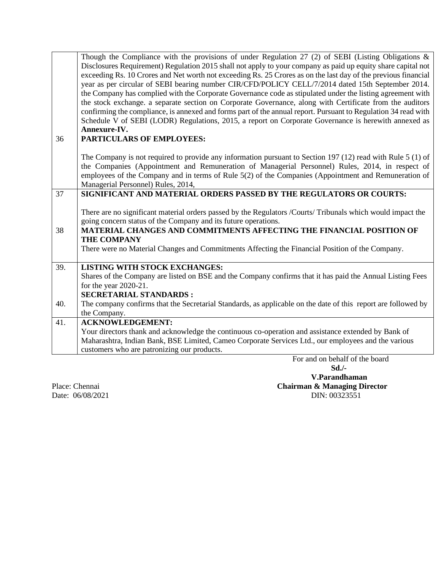| Though the Compliance with the provisions of under Regulation 27 (2) of SEBI (Listing Obligations $\&$         |  |
|----------------------------------------------------------------------------------------------------------------|--|
| Disclosures Requirement) Regulation 2015 shall not apply to your company as paid up equity share capital not   |  |
| exceeding Rs. 10 Crores and Net worth not exceeding Rs. 25 Crores as on the last day of the previous financial |  |
| year as per circular of SEBI bearing number CIR/CFD/POLICY CELL/7/2014 dated 15th September 2014.              |  |
| the Company has complied with the Corporate Governance code as stipulated under the listing agreement with     |  |
| the stock exchange. a separate section on Corporate Governance, along with Certificate from the auditors       |  |
| confirming the compliance, is annexed and forms part of the annual report. Pursuant to Regulation 34 read with |  |
| Schedule V of SEBI (LODR) Regulations, 2015, a report on Corporate Governance is herewith annexed as           |  |
| Annexure-IV.                                                                                                   |  |

# 36 **PARTICULARS OF EMPLOYEES:**

The Company is not required to provide any information pursuant to Section 197 (12) read with Rule 5 (1) of the Companies (Appointment and Remuneration of Managerial Personnel) Rules, 2014, in respect of employees of the Company and in terms of Rule 5(2) of the Companies (Appointment and Remuneration of Managerial Personnel) Rules, 2014,

# 37 **SIGNIFICANT AND MATERIAL ORDERS PASSED BY THE REGULATORS OR COURTS:**

There are no significant material orders passed by the Regulators /Courts/ Tribunals which would impact the going concern status of the Company and its future operations.

# 38 **MATERIAL CHANGES AND COMMITMENTS AFFECTING THE FINANCIAL POSITION OF THE COMPANY**

There were no Material Changes and Commitments Affecting the Financial Position of the Company.

# 39. **LISTING WITH STOCK EXCHANGES:**

Shares of the Company are listed on BSE and the Company confirms that it has paid the Annual Listing Fees for the year 2020-21.

# **SECRETARIAL STANDARDS :**

40. The company confirms that the Secretarial Standards, as applicable on the date of this report are followed by the Company.

# 41. **ACKNOWLEDGEMENT:**

Your directors thank and acknowledge the continuous co-operation and assistance extended by Bank of Maharashtra, Indian Bank, BSE Limited, Cameo Corporate Services Ltd., our employees and the various customers who are patronizing our products.

 For and on behalf of the board  **Sd./- V.Parandhaman** Place: Chennai **Chairman & Managing Director** Date: 06/08/2021 DIN: 00323551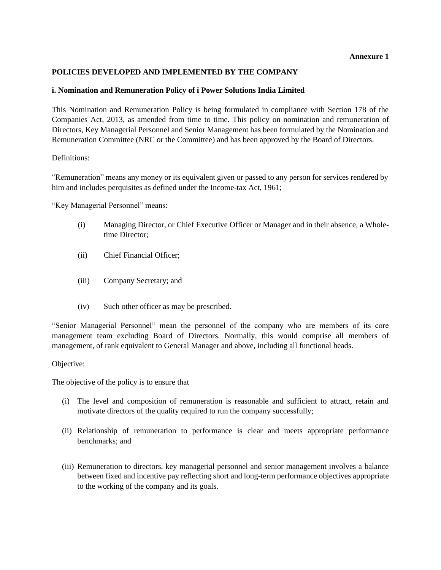#### **Annexure 1**

#### **POLICIES DEVELOPED AND IMPLEMENTED BY THE COMPANY**

#### **i. Nomination and Remuneration Policy of i Power Solutions India Limited**

This Nomination and Remuneration Policy is being formulated in compliance with Section 178 of the Companies Act, 2013, as amended from time to time. This policy on nomination and remuneration of Directors, Key Managerial Personnel and Senior Management has been formulated by the Nomination and Remuneration Committee (NRC or the Committee) and has been approved by the Board of Directors.

#### Definitions<sup>.</sup>

"Remuneration" means any money or its equivalent given or passed to any person for services rendered by him and includes perquisites as defined under the Income-tax Act, 1961;

"Key Managerial Personnel" means:

- (i) Managing Director, or Chief Executive Officer or Manager and in their absence, a Wholetime Director;
- (ii) Chief Financial Officer;
- (iii) Company Secretary; and
- (iv) Such other officer as may be prescribed.

"Senior Managerial Personnel" mean the personnel of the company who are members of its core management team excluding Board of Directors. Normally, this would comprise all members of management, of rank equivalent to General Manager and above, including all functional heads.

## Objective:

The objective of the policy is to ensure that

- (i) The level and composition of remuneration is reasonable and sufficient to attract, retain and motivate directors of the quality required to run the company successfully;
- (ii) Relationship of remuneration to performance is clear and meets appropriate performance benchmarks; and
- (iii) Remuneration to directors, key managerial personnel and senior management involves a balance between fixed and incentive pay reflecting short and long-term performance objectives appropriate to the working of the company and its goals.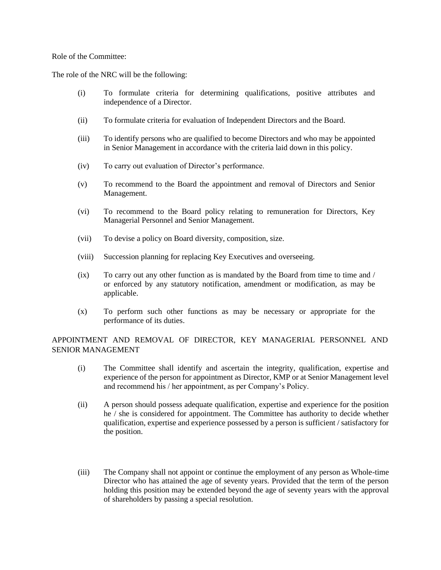Role of the Committee:

The role of the NRC will be the following:

- (i) To formulate criteria for determining qualifications, positive attributes and independence of a Director.
- (ii) To formulate criteria for evaluation of Independent Directors and the Board.
- (iii) To identify persons who are qualified to become Directors and who may be appointed in Senior Management in accordance with the criteria laid down in this policy.
- (iv) To carry out evaluation of Director's performance.
- (v) To recommend to the Board the appointment and removal of Directors and Senior Management.
- (vi) To recommend to the Board policy relating to remuneration for Directors, Key Managerial Personnel and Senior Management.
- (vii) To devise a policy on Board diversity, composition, size.
- (viii) Succession planning for replacing Key Executives and overseeing.
- (ix) To carry out any other function as is mandated by the Board from time to time and / or enforced by any statutory notification, amendment or modification, as may be applicable.
- (x) To perform such other functions as may be necessary or appropriate for the performance of its duties.

APPOINTMENT AND REMOVAL OF DIRECTOR, KEY MANAGERIAL PERSONNEL AND SENIOR MANAGEMENT

- (i) The Committee shall identify and ascertain the integrity, qualification, expertise and experience of the person for appointment as Director, KMP or at Senior Management level and recommend his / her appointment, as per Company's Policy.
- (ii) A person should possess adequate qualification, expertise and experience for the position he / she is considered for appointment. The Committee has authority to decide whether qualification, expertise and experience possessed by a person is sufficient / satisfactory for the position.
- (iii) The Company shall not appoint or continue the employment of any person as Whole-time Director who has attained the age of seventy years. Provided that the term of the person holding this position may be extended beyond the age of seventy years with the approval of shareholders by passing a special resolution.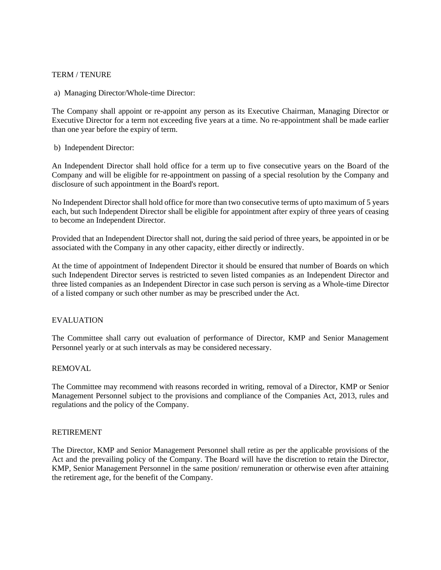#### TERM / TENURE

a) Managing Director/Whole-time Director:

The Company shall appoint or re-appoint any person as its Executive Chairman, Managing Director or Executive Director for a term not exceeding five years at a time. No re-appointment shall be made earlier than one year before the expiry of term.

b) Independent Director:

An Independent Director shall hold office for a term up to five consecutive years on the Board of the Company and will be eligible for re-appointment on passing of a special resolution by the Company and disclosure of such appointment in the Board's report.

No Independent Director shall hold office for more than two consecutive terms of upto maximum of 5 years each, but such Independent Director shall be eligible for appointment after expiry of three years of ceasing to become an Independent Director.

Provided that an Independent Director shall not, during the said period of three years, be appointed in or be associated with the Company in any other capacity, either directly or indirectly.

At the time of appointment of Independent Director it should be ensured that number of Boards on which such Independent Director serves is restricted to seven listed companies as an Independent Director and three listed companies as an Independent Director in case such person is serving as a Whole-time Director of a listed company or such other number as may be prescribed under the Act.

#### EVALUATION

The Committee shall carry out evaluation of performance of Director, KMP and Senior Management Personnel yearly or at such intervals as may be considered necessary.

#### REMOVAL

The Committee may recommend with reasons recorded in writing, removal of a Director, KMP or Senior Management Personnel subject to the provisions and compliance of the Companies Act, 2013, rules and regulations and the policy of the Company.

#### RETIREMENT

The Director, KMP and Senior Management Personnel shall retire as per the applicable provisions of the Act and the prevailing policy of the Company. The Board will have the discretion to retain the Director, KMP, Senior Management Personnel in the same position/ remuneration or otherwise even after attaining the retirement age, for the benefit of the Company.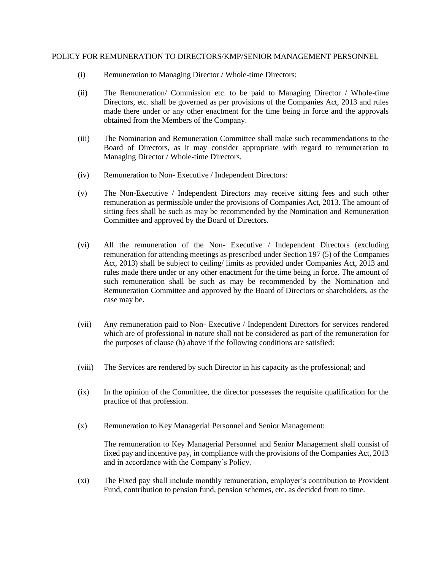#### POLICY FOR REMUNERATION TO DIRECTORS/KMP/SENIOR MANAGEMENT PERSONNEL

- (i) Remuneration to Managing Director / Whole-time Directors:
- (ii) The Remuneration/ Commission etc. to be paid to Managing Director / Whole-time Directors, etc. shall be governed as per provisions of the Companies Act, 2013 and rules made there under or any other enactment for the time being in force and the approvals obtained from the Members of the Company.
- (iii) The Nomination and Remuneration Committee shall make such recommendations to the Board of Directors, as it may consider appropriate with regard to remuneration to Managing Director / Whole-time Directors.
- (iv) Remuneration to Non- Executive / Independent Directors:
- (v) The Non-Executive / Independent Directors may receive sitting fees and such other remuneration as permissible under the provisions of Companies Act, 2013. The amount of sitting fees shall be such as may be recommended by the Nomination and Remuneration Committee and approved by the Board of Directors.
- (vi) All the remuneration of the Non- Executive / Independent Directors (excluding remuneration for attending meetings as prescribed under Section 197 (5) of the Companies Act, 2013) shall be subject to ceiling/ limits as provided under Companies Act, 2013 and rules made there under or any other enactment for the time being in force. The amount of such remuneration shall be such as may be recommended by the Nomination and Remuneration Committee and approved by the Board of Directors or shareholders, as the case may be.
- (vii) Any remuneration paid to Non- Executive / Independent Directors for services rendered which are of professional in nature shall not be considered as part of the remuneration for the purposes of clause (b) above if the following conditions are satisfied:
- (viii) The Services are rendered by such Director in his capacity as the professional; and
- (ix) In the opinion of the Committee, the director possesses the requisite qualification for the practice of that profession.
- (x) Remuneration to Key Managerial Personnel and Senior Management:

The remuneration to Key Managerial Personnel and Senior Management shall consist of fixed pay and incentive pay, in compliance with the provisions of the Companies Act, 2013 and in accordance with the Company's Policy.

(xi) The Fixed pay shall include monthly remuneration, employer's contribution to Provident Fund, contribution to pension fund, pension schemes, etc. as decided from to time.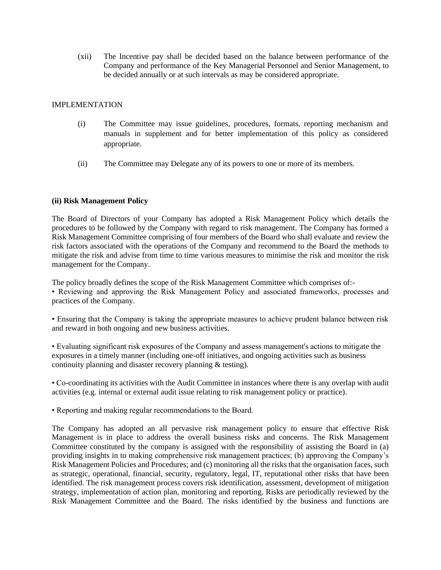(xii) The Incentive pay shall be decided based on the balance between performance of the Company and performance of the Key Managerial Personnel and Senior Management, to be decided annually or at such intervals as may be considered appropriate.

## IMPLEMENTATION

- (i) The Committee may issue guidelines, procedures, formats, reporting mechanism and manuals in supplement and for better implementation of this policy as considered appropriate.
- (ii) The Committee may Delegate any of its powers to one or more of its members.

# **(ii) Risk Management Policy**

The Board of Directors of your Company has adopted a Risk Management Policy which details the procedures to be followed by the Company with regard to risk management. The Company has formed a Risk Management Committee comprising of four members of the Board who shall evaluate and review the risk factors associated with the operations of the Company and recommend to the Board the methods to mitigate the risk and advise from time to time various measures to minimise the risk and monitor the risk management for the Company.

The policy broadly defines the scope of the Risk Management Committee which comprises of:-

• Reviewing and approving the Risk Management Policy and associated frameworks, processes and practices of the Company.

• Ensuring that the Company is taking the appropriate measures to achieve prudent balance between risk and reward in both ongoing and new business activities.

• Evaluating significant risk exposures of the Company and assess management's actions to mitigate the exposures in a timely manner (including one-off initiatives, and ongoing activities such as business continuity planning and disaster recovery planning & testing).

• Co-coordinating its activities with the Audit Committee in instances where there is any overlap with audit activities (e.g. internal or external audit issue relating to risk management policy or practice).

• Reporting and making regular recommendations to the Board.

The Company has adopted an all pervasive risk management policy to ensure that effective Risk Management is in place to address the overall business risks and concerns. The Risk Management Committee constituted by the company is assigned with the responsibility of assisting the Board in (a) providing insights in to making comprehensive risk management practices; (b) approving the Company's Risk Management Policies and Procedures; and (c) monitoring all the risks that the organisation faces, such as strategic, operational, financial, security, regulatory, legal, IT, reputational other risks that have been identified. The risk management process covers risk identification, assessment, development of mitigation strategy, implementation of action plan, monitoring and reporting. Risks are periodically reviewed by the Risk Management Committee and the Board. The risks identified by the business and functions are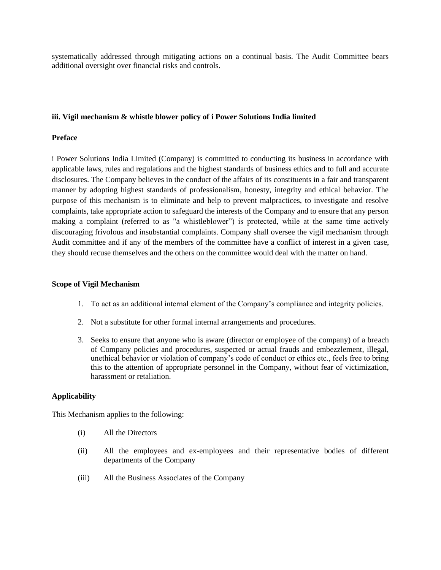systematically addressed through mitigating actions on a continual basis. The Audit Committee bears additional oversight over financial risks and controls.

#### **iii. Vigil mechanism & whistle blower policy of i Power Solutions India limited**

#### **Preface**

i Power Solutions India Limited (Company) is committed to conducting its business in accordance with applicable laws, rules and regulations and the highest standards of business ethics and to full and accurate disclosures. The Company believes in the conduct of the affairs of its constituents in a fair and transparent manner by adopting highest standards of professionalism, honesty, integrity and ethical behavior. The purpose of this mechanism is to eliminate and help to prevent malpractices, to investigate and resolve complaints, take appropriate action to safeguard the interests of the Company and to ensure that any person making a complaint (referred to as "a whistleblower") is protected, while at the same time actively discouraging frivolous and insubstantial complaints. Company shall oversee the vigil mechanism through Audit committee and if any of the members of the committee have a conflict of interest in a given case, they should recuse themselves and the others on the committee would deal with the matter on hand.

#### **Scope of Vigil Mechanism**

- 1. To act as an additional internal element of the Company's compliance and integrity policies.
- 2. Not a substitute for other formal internal arrangements and procedures.
- 3. Seeks to ensure that anyone who is aware (director or employee of the company) of a breach of Company policies and procedures, suspected or actual frauds and embezzlement, illegal, unethical behavior or violation of company's code of conduct or ethics etc., feels free to bring this to the attention of appropriate personnel in the Company, without fear of victimization, harassment or retaliation.

#### **Applicability**

This Mechanism applies to the following:

- (i) All the Directors
- (ii) All the employees and ex-employees and their representative bodies of different departments of the Company
- (iii) All the Business Associates of the Company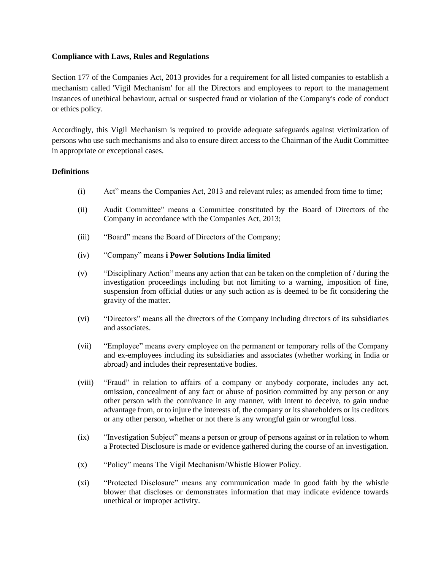#### **Compliance with Laws, Rules and Regulations**

Section 177 of the Companies Act, 2013 provides for a requirement for all listed companies to establish a mechanism called 'Vigil Mechanism' for all the Directors and employees to report to the management instances of unethical behaviour, actual or suspected fraud or violation of the Company's code of conduct or ethics policy.

Accordingly, this Vigil Mechanism is required to provide adequate safeguards against victimization of persons who use such mechanisms and also to ensure direct access to the Chairman of the Audit Committee in appropriate or exceptional cases.

#### **Definitions**

- (i) Act" means the Companies Act, 2013 and relevant rules; as amended from time to time;
- (ii) Audit Committee" means a Committee constituted by the Board of Directors of the Company in accordance with the Companies Act, 2013;
- (iii) "Board" means the Board of Directors of the Company;
- (iv) "Company" means **i Power Solutions India limited**
- (v) "Disciplinary Action" means any action that can be taken on the completion of / during the investigation proceedings including but not limiting to a warning, imposition of fine, suspension from official duties or any such action as is deemed to be fit considering the gravity of the matter.
- (vi) "Directors" means all the directors of the Company including directors of its subsidiaries and associates.
- (vii) "Employee" means every employee on the permanent or temporary rolls of the Company and ex-employees including its subsidiaries and associates (whether working in India or abroad) and includes their representative bodies.
- (viii) "Fraud" in relation to affairs of a company or anybody corporate, includes any act, omission, concealment of any fact or abuse of position committed by any person or any other person with the connivance in any manner, with intent to deceive, to gain undue advantage from, or to injure the interests of, the company or its shareholders or its creditors or any other person, whether or not there is any wrongful gain or wrongful loss.
- (ix) "Investigation Subject" means a person or group of persons against or in relation to whom a Protected Disclosure is made or evidence gathered during the course of an investigation.
- (x) "Policy" means The Vigil Mechanism/Whistle Blower Policy.
- (xi) "Protected Disclosure" means any communication made in good faith by the whistle blower that discloses or demonstrates information that may indicate evidence towards unethical or improper activity.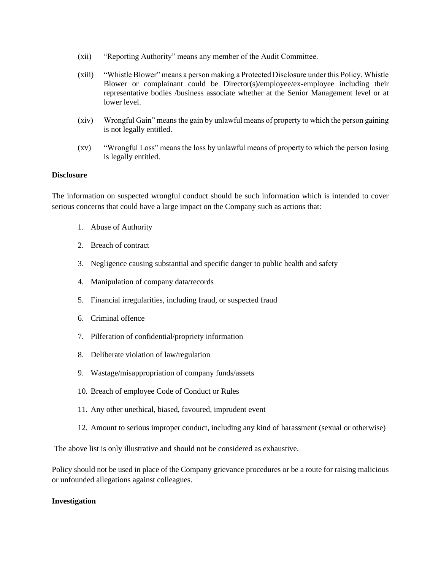- (xii) "Reporting Authority" means any member of the Audit Committee.
- (xiii) "Whistle Blower" means a person making a Protected Disclosure under this Policy. Whistle Blower or complainant could be Director(s)/employee/ex-employee including their representative bodies /business associate whether at the Senior Management level or at lower level.
- (xiv) Wrongful Gain" means the gain by unlawful means of property to which the person gaining is not legally entitled.
- (xv) "Wrongful Loss" means the loss by unlawful means of property to which the person losing is legally entitled.

#### **Disclosure**

The information on suspected wrongful conduct should be such information which is intended to cover serious concerns that could have a large impact on the Company such as actions that:

- 1. Abuse of Authority
- 2. Breach of contract
- 3. Negligence causing substantial and specific danger to public health and safety
- 4. Manipulation of company data/records
- 5. Financial irregularities, including fraud, or suspected fraud
- 6. Criminal offence
- 7. Pilferation of confidential/propriety information
- 8. Deliberate violation of law/regulation
- 9. Wastage/misappropriation of company funds/assets
- 10. Breach of employee Code of Conduct or Rules
- 11. Any other unethical, biased, favoured, imprudent event
- 12. Amount to serious improper conduct, including any kind of harassment (sexual or otherwise)

The above list is only illustrative and should not be considered as exhaustive.

Policy should not be used in place of the Company grievance procedures or be a route for raising malicious or unfounded allegations against colleagues.

#### **Investigation**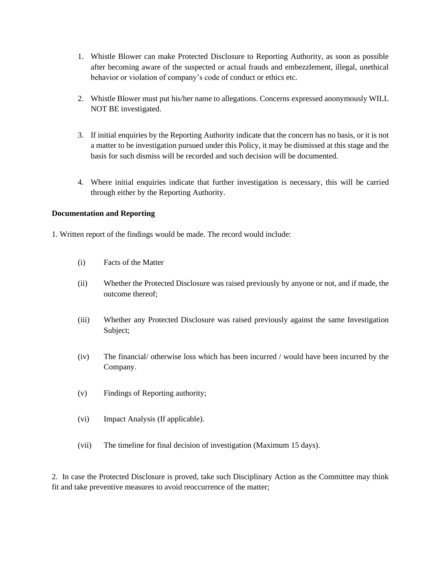- 1. Whistle Blower can make Protected Disclosure to Reporting Authority, as soon as possible after becoming aware of the suspected or actual frauds and embezzlement, illegal, unethical behavior or violation of company's code of conduct or ethics etc.
- 2. Whistle Blower must put his/her name to allegations. Concerns expressed anonymously WILL NOT BE investigated.
- 3. If initial enquiries by the Reporting Authority indicate that the concern has no basis, or it is not a matter to be investigation pursued under this Policy, it may be dismissed at this stage and the basis for such dismiss will be recorded and such decision will be documented.
- 4. Where initial enquiries indicate that further investigation is necessary, this will be carried through either by the Reporting Authority.

# **Documentation and Reporting**

- 1. Written report of the findings would be made. The record would include:
	- (i) Facts of the Matter
	- (ii) Whether the Protected Disclosure was raised previously by anyone or not, and if made, the outcome thereof;
	- (iii) Whether any Protected Disclosure was raised previously against the same Investigation Subject;
	- (iv) The financial/ otherwise loss which has been incurred / would have been incurred by the Company.
	- (v) Findings of Reporting authority;
	- (vi) Impact Analysis (If applicable).
	- (vii) The timeline for final decision of investigation (Maximum 15 days).

2. In case the Protected Disclosure is proved, take such Disciplinary Action as the Committee may think fit and take preventive measures to avoid reoccurrence of the matter;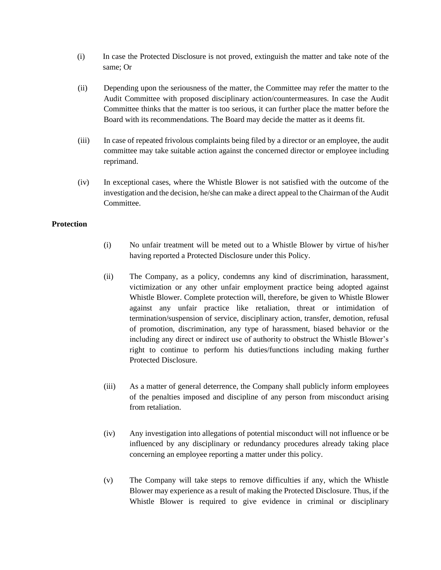- (i) In case the Protected Disclosure is not proved, extinguish the matter and take note of the same; Or
- (ii) Depending upon the seriousness of the matter, the Committee may refer the matter to the Audit Committee with proposed disciplinary action/countermeasures. In case the Audit Committee thinks that the matter is too serious, it can further place the matter before the Board with its recommendations. The Board may decide the matter as it deems fit.
- (iii) In case of repeated frivolous complaints being filed by a director or an employee, the audit committee may take suitable action against the concerned director or employee including reprimand.
- (iv) In exceptional cases, where the Whistle Blower is not satisfied with the outcome of the investigation and the decision, he/she can make a direct appeal to the Chairman of the Audit Committee.

#### **Protection**

- (i) No unfair treatment will be meted out to a Whistle Blower by virtue of his/her having reported a Protected Disclosure under this Policy.
- (ii) The Company, as a policy, condemns any kind of discrimination, harassment, victimization or any other unfair employment practice being adopted against Whistle Blower. Complete protection will, therefore, be given to Whistle Blower against any unfair practice like retaliation, threat or intimidation of termination/suspension of service, disciplinary action, transfer, demotion, refusal of promotion, discrimination, any type of harassment, biased behavior or the including any direct or indirect use of authority to obstruct the Whistle Blower's right to continue to perform his duties/functions including making further Protected Disclosure.
- (iii) As a matter of general deterrence, the Company shall publicly inform employees of the penalties imposed and discipline of any person from misconduct arising from retaliation.
- (iv) Any investigation into allegations of potential misconduct will not influence or be influenced by any disciplinary or redundancy procedures already taking place concerning an employee reporting a matter under this policy.
- (v) The Company will take steps to remove difficulties if any, which the Whistle Blower may experience as a result of making the Protected Disclosure. Thus, if the Whistle Blower is required to give evidence in criminal or disciplinary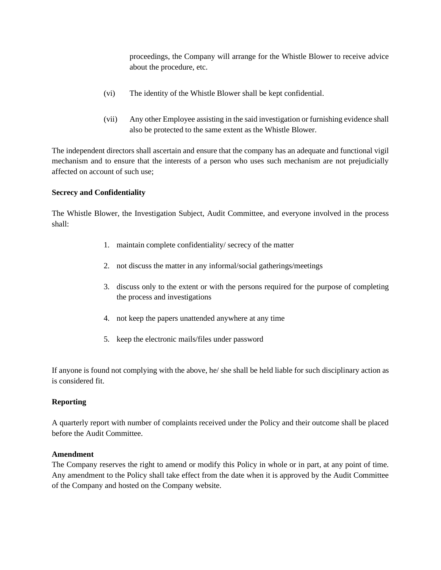proceedings, the Company will arrange for the Whistle Blower to receive advice about the procedure, etc.

- (vi) The identity of the Whistle Blower shall be kept confidential.
- (vii) Any other Employee assisting in the said investigation or furnishing evidence shall also be protected to the same extent as the Whistle Blower.

The independent directors shall ascertain and ensure that the company has an adequate and functional vigil mechanism and to ensure that the interests of a person who uses such mechanism are not prejudicially affected on account of such use;

#### **Secrecy and Confidentiality**

The Whistle Blower, the Investigation Subject, Audit Committee, and everyone involved in the process shall:

- 1. maintain complete confidentiality/ secrecy of the matter
- 2. not discuss the matter in any informal/social gatherings/meetings
- 3. discuss only to the extent or with the persons required for the purpose of completing the process and investigations
- 4. not keep the papers unattended anywhere at any time
- 5. keep the electronic mails/files under password

If anyone is found not complying with the above, he/ she shall be held liable for such disciplinary action as is considered fit.

#### **Reporting**

A quarterly report with number of complaints received under the Policy and their outcome shall be placed before the Audit Committee.

#### **Amendment**

The Company reserves the right to amend or modify this Policy in whole or in part, at any point of time. Any amendment to the Policy shall take effect from the date when it is approved by the Audit Committee of the Company and hosted on the Company website.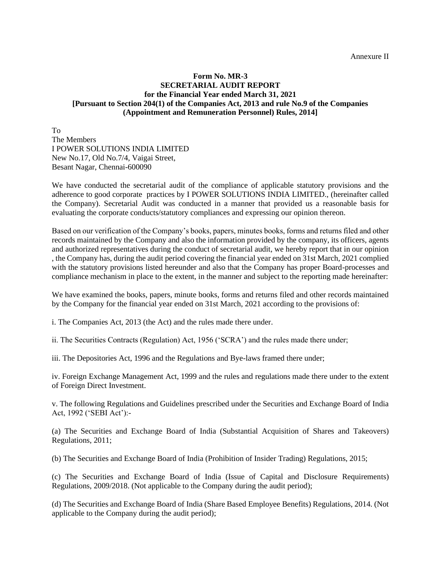## **Form No. MR-3 SECRETARIAL AUDIT REPORT for the Financial Year ended March 31, 2021 [Pursuant to Section 204(1) of the Companies Act, 2013 and rule No.9 of the Companies (Appointment and Remuneration Personnel) Rules, 2014]**

To The Members I POWER SOLUTIONS INDIA LIMITED New No.17, Old No.7/4, Vaigai Street, Besant Nagar, Chennai-600090

We have conducted the secretarial audit of the compliance of applicable statutory provisions and the adherence to good corporate practices by I POWER SOLUTIONS INDIA LIMITED., (hereinafter called the Company). Secretarial Audit was conducted in a manner that provided us a reasonable basis for evaluating the corporate conducts/statutory compliances and expressing our opinion thereon.

Based on our verification of the Company's books, papers, minutes books, forms and returns filed and other records maintained by the Company and also the information provided by the company, its officers, agents and authorized representatives during the conduct of secretarial audit, we hereby report that in our opinion , the Company has, during the audit period covering the financial year ended on 31st March, 2021 complied with the statutory provisions listed hereunder and also that the Company has proper Board-processes and compliance mechanism in place to the extent, in the manner and subject to the reporting made hereinafter:

We have examined the books, papers, minute books, forms and returns filed and other records maintained by the Company for the financial year ended on 31st March, 2021 according to the provisions of:

i. The Companies Act, 2013 (the Act) and the rules made there under.

ii. The Securities Contracts (Regulation) Act, 1956 ('SCRA') and the rules made there under;

iii. The Depositories Act, 1996 and the Regulations and Bye-laws framed there under;

iv. Foreign Exchange Management Act, 1999 and the rules and regulations made there under to the extent of Foreign Direct Investment.

v. The following Regulations and Guidelines prescribed under the Securities and Exchange Board of India Act, 1992 ('SEBI Act'):-

(a) The Securities and Exchange Board of India (Substantial Acquisition of Shares and Takeovers) Regulations, 2011;

(b) The Securities and Exchange Board of India (Prohibition of Insider Trading) Regulations, 2015;

(c) The Securities and Exchange Board of India (Issue of Capital and Disclosure Requirements) Regulations, 2009/2018. (Not applicable to the Company during the audit period);

(d) The Securities and Exchange Board of India (Share Based Employee Benefits) Regulations, 2014. (Not applicable to the Company during the audit period);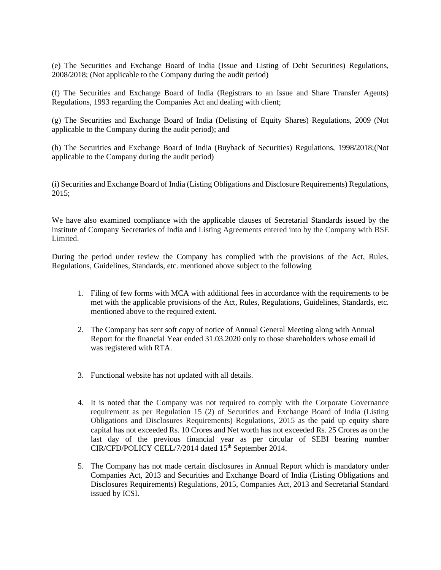(e) The Securities and Exchange Board of India (Issue and Listing of Debt Securities) Regulations, 2008/2018; (Not applicable to the Company during the audit period)

(f) The Securities and Exchange Board of India (Registrars to an Issue and Share Transfer Agents) Regulations, 1993 regarding the Companies Act and dealing with client;

(g) The Securities and Exchange Board of India (Delisting of Equity Shares) Regulations, 2009 (Not applicable to the Company during the audit period); and

(h) The Securities and Exchange Board of India (Buyback of Securities) Regulations, 1998/2018;(Not applicable to the Company during the audit period)

(i) Securities and Exchange Board of India (Listing Obligations and Disclosure Requirements) Regulations, 2015;

We have also examined compliance with the applicable clauses of Secretarial Standards issued by the institute of Company Secretaries of India and Listing Agreements entered into by the Company with BSE Limited.

During the period under review the Company has complied with the provisions of the Act, Rules, Regulations, Guidelines, Standards, etc. mentioned above subject to the following

- 1. Filing of few forms with MCA with additional fees in accordance with the requirements to be met with the applicable provisions of the Act, Rules, Regulations, Guidelines, Standards, etc. mentioned above to the required extent.
- 2. The Company has sent soft copy of notice of Annual General Meeting along with Annual Report for the financial Year ended 31.03.2020 only to those shareholders whose email id was registered with RTA.
- 3. Functional website has not updated with all details.
- 4. It is noted that the Company was not required to comply with the Corporate Governance requirement as per Regulation 15 (2) of Securities and Exchange Board of India (Listing Obligations and Disclosures Requirements) Regulations, 2015 as the paid up equity share capital has not exceeded Rs. 10 Crores and Net worth has not exceeded Rs. 25 Crores as on the last day of the previous financial year as per circular of SEBI bearing number CIR/CFD/POLICY CELL/7/2014 dated 15<sup>th</sup> September 2014.
- 5. The Company has not made certain disclosures in Annual Report which is mandatory under Companies Act, 2013 and Securities and Exchange Board of India (Listing Obligations and Disclosures Requirements) Regulations, 2015, Companies Act, 2013 and Secretarial Standard issued by ICSI.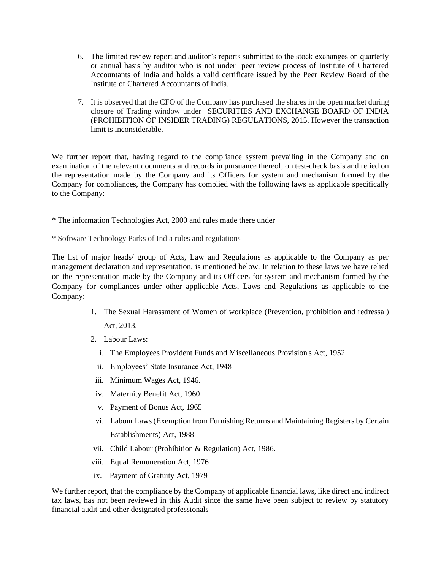- 6. The limited review report and auditor's reports submitted to the stock exchanges on quarterly or annual basis by auditor who is not under peer review process of Institute of Chartered Accountants of India and holds a valid certificate issued by the Peer Review Board of the Institute of Chartered Accountants of India.
- 7. It is observed that the CFO of the Company has purchased the shares in the open market during closure of Trading window under SECURITIES AND EXCHANGE BOARD OF INDIA (PROHIBITION OF INSIDER TRADING) REGULATIONS, 2015. However the transaction limit is inconsiderable.

We further report that, having regard to the compliance system prevailing in the Company and on examination of the relevant documents and records in pursuance thereof, on test-check basis and relied on the representation made by the Company and its Officers for system and mechanism formed by the Company for compliances, the Company has complied with the following laws as applicable specifically to the Company:

\* The information Technologies Act, 2000 and rules made there under

\* Software Technology Parks of India rules and regulations

The list of major heads/ group of Acts, Law and Regulations as applicable to the Company as per management declaration and representation, is mentioned below. In relation to these laws we have relied on the representation made by the Company and its Officers for system and mechanism formed by the Company for compliances under other applicable Acts, Laws and Regulations as applicable to the Company:

- 1. The Sexual Harassment of Women of workplace (Prevention, prohibition and redressal) Act, 2013.
- 2. Labour Laws:
	- i. The Employees Provident Funds and Miscellaneous Provision's Act, 1952.
	- ii. Employees' State Insurance Act, 1948
- iii. Minimum Wages Act, 1946.
- iv. Maternity Benefit Act, 1960
- v. Payment of Bonus Act, 1965
- vi. Labour Laws (Exemption from Furnishing Returns and Maintaining Registers by Certain Establishments) Act, 1988
- vii. Child Labour (Prohibition & Regulation) Act, 1986.
- viii. Equal Remuneration Act, 1976
- ix. Payment of Gratuity Act, 1979

We further report, that the compliance by the Company of applicable financial laws, like direct and indirect tax laws, has not been reviewed in this Audit since the same have been subject to review by statutory financial audit and other designated professionals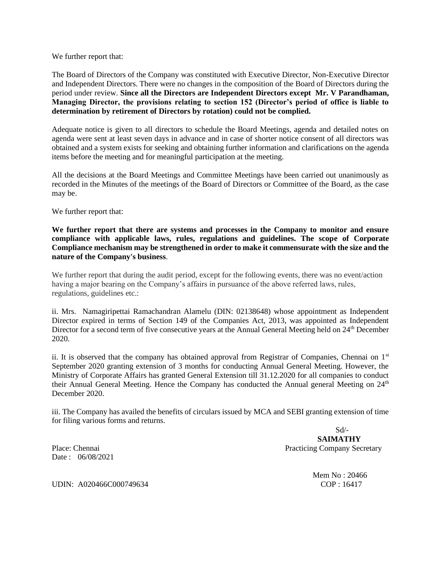We further report that:

The Board of Directors of the Company was constituted with Executive Director, Non-Executive Director and Independent Directors. There were no changes in the composition of the Board of Directors during the period under review. **Since all the Directors are Independent Directors except Mr. V Parandhaman, Managing Director, the provisions relating to section 152 (Director's period of office is liable to determination by retirement of Directors by rotation) could not be complied.**

Adequate notice is given to all directors to schedule the Board Meetings, agenda and detailed notes on agenda were sent at least seven days in advance and in case of shorter notice consent of all directors was obtained and a system exists for seeking and obtaining further information and clarifications on the agenda items before the meeting and for meaningful participation at the meeting.

All the decisions at the Board Meetings and Committee Meetings have been carried out unanimously as recorded in the Minutes of the meetings of the Board of Directors or Committee of the Board, as the case may be.

We further report that:

**We further report that there are systems and processes in the Company to monitor and ensure compliance with applicable laws, rules, regulations and guidelines. The scope of Corporate Compliance mechanism may be strengthened in order to make it commensurate with the size and the nature of the Company's business**.

We further report that during the audit period, except for the following events, there was no event/action having a major bearing on the Company's affairs in pursuance of the above referred laws, rules, regulations, guidelines etc.:

ii. Mrs. Namagiripettai Ramachandran Alamelu (DIN: 02138648) whose appointment as Independent Director expired in terms of Section 149 of the Companies Act, 2013, was appointed as Independent Director for a second term of five consecutive years at the Annual General Meeting held on 24<sup>th</sup> December 2020.

ii. It is observed that the company has obtained approval from Registrar of Companies, Chennai on  $1<sup>st</sup>$ September 2020 granting extension of 3 months for conducting Annual General Meeting. However, the Ministry of Corporate Affairs has granted General Extension till 31.12.2020 for all companies to conduct their Annual General Meeting. Hence the Company has conducted the Annual general Meeting on 24<sup>th</sup> December 2020.

iii. The Company has availed the benefits of circulars issued by MCA and SEBI granting extension of time for filing various forms and returns.

 Sd/-  **SAIMATHY** Place: Chennai Practicing Company Secretary

Date : 06/08/2021

Mem No : 20466

UDIN: A020466C000749634 COP: 16417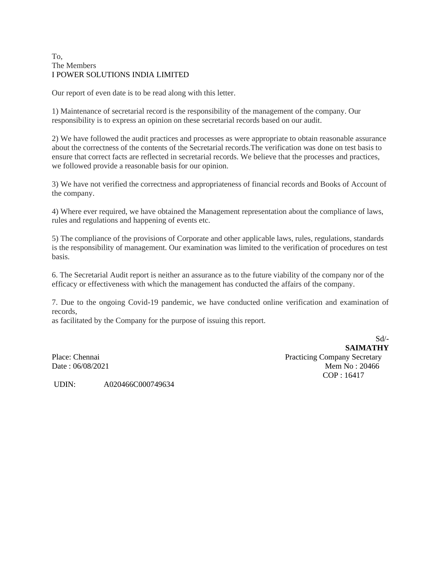### To, The Members I POWER SOLUTIONS INDIA LIMITED

Our report of even date is to be read along with this letter.

1) Maintenance of secretarial record is the responsibility of the management of the company. Our responsibility is to express an opinion on these secretarial records based on our audit.

2) We have followed the audit practices and processes as were appropriate to obtain reasonable assurance about the correctness of the contents of the Secretarial records.The verification was done on test basis to ensure that correct facts are reflected in secretarial records. We believe that the processes and practices, we followed provide a reasonable basis for our opinion.

3) We have not verified the correctness and appropriateness of financial records and Books of Account of the company.

4) Where ever required, we have obtained the Management representation about the compliance of laws, rules and regulations and happening of events etc.

5) The compliance of the provisions of Corporate and other applicable laws, rules, regulations, standards is the responsibility of management. Our examination was limited to the verification of procedures on test basis.

6. The Secretarial Audit report is neither an assurance as to the future viability of the company nor of the efficacy or effectiveness with which the management has conducted the affairs of the company.

7. Due to the ongoing Covid-19 pandemic, we have conducted online verification and examination of records,

as facilitated by the Company for the purpose of issuing this report.

 $Sd$ <sup>-</sup> **SAIMATHY** Place: Chennai Practicing Company Secretary Date : 06/08/2021 Mem No : 20466 COP : 16417

UDIN:  $A020466C000749634$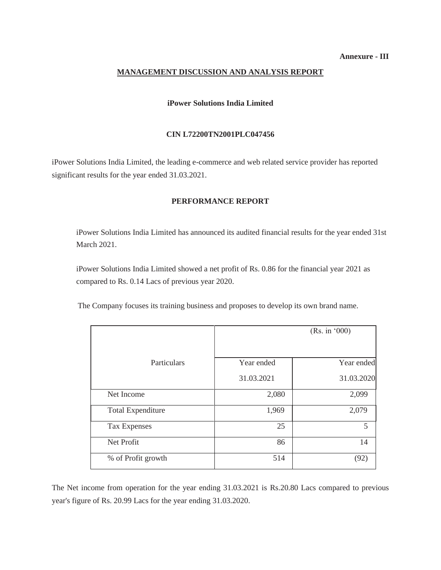#### **Annexure - III**

#### **MANAGEMENT DISCUSSION AND ANALYSIS REPORT**

#### **iPower Solutions India Limited**

#### **CIN L72200TN2001PLC047456**

iPower Solutions India Limited, the leading e-commerce and web related service provider has reported significant results for the year ended 31.03.2021.

#### **PERFORMANCE REPORT**

iPower Solutions India Limited has announced its audited financial results for the year ended 31st March 2021.

iPower Solutions India Limited showed a net profit of Rs. 0.86 for the financial year 2021 as compared to Rs. 0.14 Lacs of previous year 2020.

The Company focuses its training business and proposes to develop its own brand name.

|                          |            | (Rs. in '000) |
|--------------------------|------------|---------------|
|                          |            |               |
| Particulars              | Year ended | Year ended    |
|                          | 31.03.2021 | 31.03.2020    |
| Net Income               | 2,080      | 2,099         |
| <b>Total Expenditure</b> | 1,969      | 2,079         |
| <b>Tax Expenses</b>      | 25         | 5             |
| Net Profit               | 86         | 14            |
| % of Profit growth       | 514        | (92)          |

The Net income from operation for the year ending 31.03.2021 is Rs.20.80 Lacs compared to previous year's figure of Rs. 20.99 Lacs for the year ending 31.03.2020.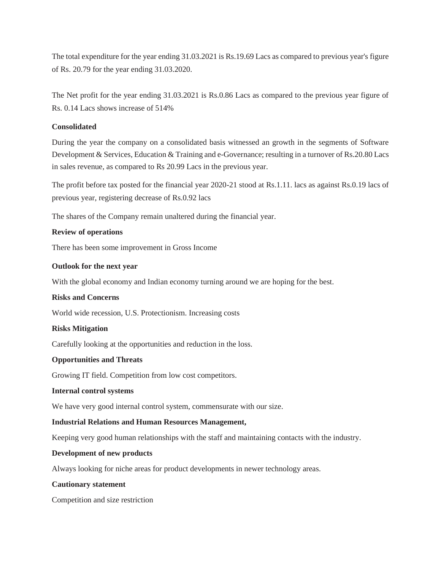The total expenditure for the year ending 31.03.2021 is Rs.19.69 Lacs as compared to previous year's figure of Rs. 20.79 for the year ending 31.03.2020.

The Net profit for the year ending 31.03.2021 is Rs.0.86 Lacs as compared to the previous year figure of Rs. 0.14 Lacs shows increase of 514%

## **Consolidated**

During the year the company on a consolidated basis witnessed an growth in the segments of Software Development & Services, Education & Training and e-Governance; resulting in a turnover of Rs.20.80 Lacs in sales revenue, as compared to Rs 20.99 Lacs in the previous year.

The profit before tax posted for the financial year 2020-21 stood at Rs.1.11. lacs as against Rs.0.19 lacs of previous year, registering decrease of Rs.0.92 lacs

The shares of the Company remain unaltered during the financial year.

## **Review of operations**

There has been some improvement in Gross Income

### **Outlook for the next year**

With the global economy and Indian economy turning around we are hoping for the best.

### **Risks and Concerns**

World wide recession, U.S. Protectionism. Increasing costs

### **Risks Mitigation**

Carefully looking at the opportunities and reduction in the loss.

### **Opportunities and Threats**

Growing IT field. Competition from low cost competitors.

### **Internal control systems**

We have very good internal control system, commensurate with our size.

# **Industrial Relations and Human Resources Management,**

Keeping very good human relationships with the staff and maintaining contacts with the industry.

### **Development of new products**

Always looking for niche areas for product developments in newer technology areas.

### **Cautionary statement**

Competition and size restriction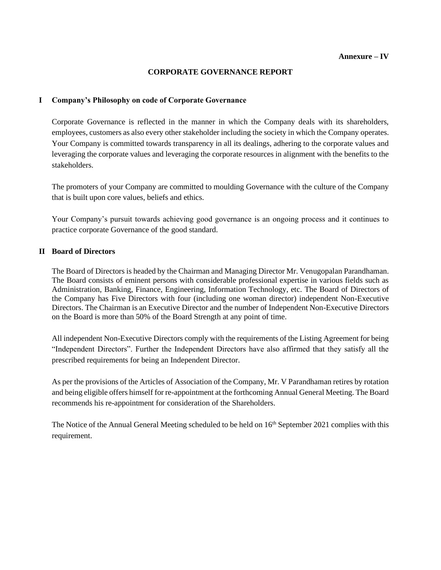#### **Annexure – IV**

#### **CORPORATE GOVERNANCE REPORT**

#### **I Company's Philosophy on code of Corporate Governance**

Corporate Governance is reflected in the manner in which the Company deals with its shareholders, employees, customers as also every other stakeholder including the society in which the Company operates. Your Company is committed towards transparency in all its dealings, adhering to the corporate values and leveraging the corporate values and leveraging the corporate resources in alignment with the benefits to the stakeholders.

The promoters of your Company are committed to moulding Governance with the culture of the Company that is built upon core values, beliefs and ethics.

Your Company's pursuit towards achieving good governance is an ongoing process and it continues to practice corporate Governance of the good standard.

### **II Board of Directors**

The Board of Directors is headed by the Chairman and Managing Director Mr. Venugopalan Parandhaman. The Board consists of eminent persons with considerable professional expertise in various fields such as Administration, Banking, Finance, Engineering, Information Technology, etc. The Board of Directors of the Company has Five Directors with four (including one woman director) independent Non-Executive Directors. The Chairman is an Executive Director and the number of Independent Non-Executive Directors on the Board is more than 50% of the Board Strength at any point of time.

All independent Non-Executive Directors comply with the requirements of the Listing Agreement for being "Independent Directors". Further the Independent Directors have also affirmed that they satisfy all the prescribed requirements for being an Independent Director.

As per the provisions of the Articles of Association of the Company, Mr. V Parandhaman retires by rotation and being eligible offers himself for re-appointment at the forthcoming Annual General Meeting. The Board recommends his re-appointment for consideration of the Shareholders.

The Notice of the Annual General Meeting scheduled to be held on  $16<sup>th</sup>$  September 2021 complies with this requirement.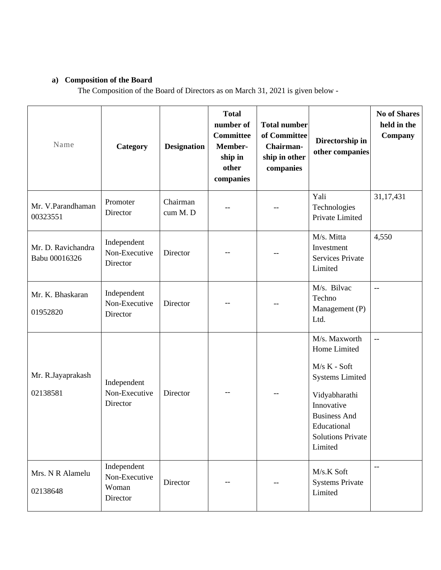# **a) Composition of the Board**

The Composition of the Board of Directors as on March 31, 2021 is given below -

| Name                                | Category                                          | <b>Designation</b>   | <b>Total</b><br>number of<br><b>Committee</b><br>Member-<br>ship in<br>other<br>companies | <b>Total number</b><br>of Committee<br>Chairman-<br>ship in other<br>companies | Directorship in<br>other companies                                                                                                                                                  | <b>No of Shares</b><br>held in the<br>Company |
|-------------------------------------|---------------------------------------------------|----------------------|-------------------------------------------------------------------------------------------|--------------------------------------------------------------------------------|-------------------------------------------------------------------------------------------------------------------------------------------------------------------------------------|-----------------------------------------------|
| Mr. V.Parandhaman<br>00323551       | Promoter<br>Director                              | Chairman<br>cum M. D |                                                                                           |                                                                                | Yali<br>Technologies<br>Private Limited                                                                                                                                             | 31,17,431                                     |
| Mr. D. Ravichandra<br>Babu 00016326 | Independent<br>Non-Executive<br>Director          | Director             |                                                                                           |                                                                                | M/s. Mitta<br>Investment<br><b>Services Private</b><br>Limited                                                                                                                      | 4,550                                         |
| Mr. K. Bhaskaran<br>01952820        | Independent<br>Non-Executive<br>Director          | Director             |                                                                                           |                                                                                | M/s. Bilvac<br>Techno<br>Management (P)<br>Ltd.                                                                                                                                     | $-$                                           |
| Mr. R.Jayaprakash<br>02138581       | Independent<br>Non-Executive<br>Director          | Director             |                                                                                           |                                                                                | M/s. Maxworth<br>Home Limited<br>M/s K - Soft<br><b>Systems Limited</b><br>Vidyabharathi<br>Innovative<br><b>Business And</b><br>Educational<br><b>Solutions Private</b><br>Limited | $-$                                           |
| Mrs. N R Alamelu<br>02138648        | Independent<br>Non-Executive<br>Woman<br>Director | Director             |                                                                                           |                                                                                | M/s.K Soft<br><b>Systems Private</b><br>Limited                                                                                                                                     | --                                            |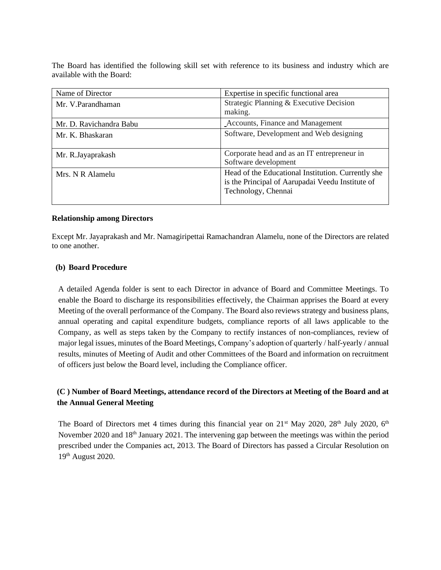The Board has identified the following skill set with reference to its business and industry which are available with the Board:

| Name of Director        | Expertise in specific functional area              |
|-------------------------|----------------------------------------------------|
| Mr. V.Parandhaman       | Strategic Planning & Executive Decision            |
|                         | making.                                            |
| Mr. D. Ravichandra Babu | Accounts, Finance and Management                   |
| Mr. K. Bhaskaran        | Software, Development and Web designing            |
| Mr. R. Jayaprakash      | Corporate head and as an IT entrepreneur in        |
|                         | Software development                               |
| Mrs. N R Alamelu        | Head of the Educational Institution. Currently she |
|                         | is the Principal of Aarupadai Veedu Institute of   |
|                         | Technology, Chennai                                |
|                         |                                                    |

#### **Relationship among Directors**

Except Mr. Jayaprakash and Mr. Namagiripettai Ramachandran Alamelu, none of the Directors are related to one another.

### **(b) Board Procedure**

A detailed Agenda folder is sent to each Director in advance of Board and Committee Meetings. To enable the Board to discharge its responsibilities effectively, the Chairman apprises the Board at every Meeting of the overall performance of the Company. The Board also reviews strategy and business plans, annual operating and capital expenditure budgets, compliance reports of all laws applicable to the Company, as well as steps taken by the Company to rectify instances of non-compliances, review of major legal issues, minutes of the Board Meetings, Company's adoption of quarterly / half-yearly / annual results, minutes of Meeting of Audit and other Committees of the Board and information on recruitment of officers just below the Board level, including the Compliance officer.

# **(C ) Number of Board Meetings, attendance record of the Directors at Meeting of the Board and at the Annual General Meeting**

The Board of Directors met 4 times during this financial year on  $21<sup>st</sup>$  May 2020,  $28<sup>th</sup>$  July 2020,  $6<sup>th</sup>$ November 2020 and 18<sup>th</sup> January 2021. The intervening gap between the meetings was within the period prescribed under the Companies act, 2013. The Board of Directors has passed a Circular Resolution on 19th August 2020.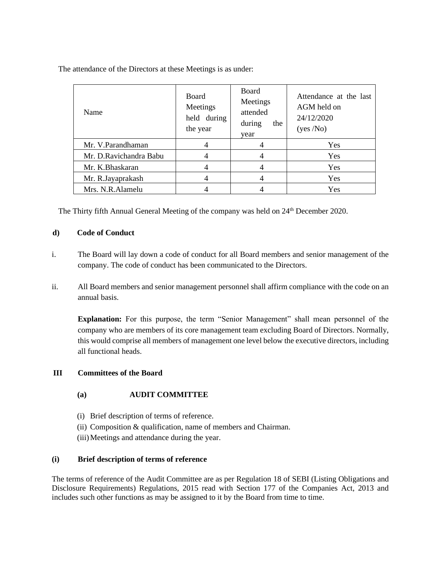The attendance of the Directors at these Meetings is as under:

| Name                   | <b>Board</b><br>Meetings<br>held during<br>the year | Board<br>Meetings<br>attended<br>during<br>the<br>year | Attendance at the last<br>AGM held on<br>24/12/2020<br>(yes/No) |
|------------------------|-----------------------------------------------------|--------------------------------------------------------|-----------------------------------------------------------------|
| Mr. V. Parandhaman     | 4                                                   |                                                        | Yes                                                             |
| Mr. D.Ravichandra Babu |                                                     |                                                        | <b>Yes</b>                                                      |
| Mr. K.Bhaskaran        |                                                     |                                                        | Yes                                                             |
| Mr. R. Jayaprakash     | 4                                                   | $\overline{4}$                                         | <b>Yes</b>                                                      |
| Mrs. N.R.Alamelu       |                                                     |                                                        | Yes                                                             |

The Thirty fifth Annual General Meeting of the company was held on 24<sup>th</sup> December 2020.

## **d) Code of Conduct**

- i. The Board will lay down a code of conduct for all Board members and senior management of the company. The code of conduct has been communicated to the Directors.
- ii. All Board members and senior management personnel shall affirm compliance with the code on an annual basis.

**Explanation:** For this purpose, the term "Senior Management" shall mean personnel of the company who are members of its core management team excluding Board of Directors. Normally, this would comprise all members of management one level below the executive directors, including all functional heads.

### **III Committees of the Board**

# **(a) AUDIT COMMITTEE**

- (i) Brief description of terms of reference.
- (ii) Composition & qualification, name of members and Chairman.
- (iii)Meetings and attendance during the year.

### **(i) Brief description of terms of reference**

The terms of reference of the Audit Committee are as per Regulation 18 of SEBI (Listing Obligations and Disclosure Requirements) Regulations, 2015 read with Section 177 of the Companies Act, 2013 and includes such other functions as may be assigned to it by the Board from time to time.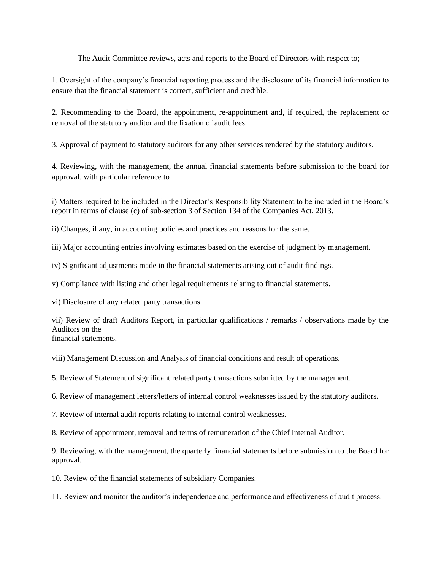The Audit Committee reviews, acts and reports to the Board of Directors with respect to;

1. Oversight of the company's financial reporting process and the disclosure of its financial information to ensure that the financial statement is correct, sufficient and credible.

2. Recommending to the Board, the appointment, re-appointment and, if required, the replacement or removal of the statutory auditor and the fixation of audit fees.

3. Approval of payment to statutory auditors for any other services rendered by the statutory auditors.

4. Reviewing, with the management, the annual financial statements before submission to the board for approval, with particular reference to

i) Matters required to be included in the Director's Responsibility Statement to be included in the Board's report in terms of clause (c) of sub-section 3 of Section 134 of the Companies Act, 2013.

ii) Changes, if any, in accounting policies and practices and reasons for the same.

iii) Major accounting entries involving estimates based on the exercise of judgment by management.

iv) Significant adjustments made in the financial statements arising out of audit findings.

v) Compliance with listing and other legal requirements relating to financial statements.

vi) Disclosure of any related party transactions.

vii) Review of draft Auditors Report, in particular qualifications / remarks / observations made by the Auditors on the

financial statements.

viii) Management Discussion and Analysis of financial conditions and result of operations.

5. Review of Statement of significant related party transactions submitted by the management.

6. Review of management letters/letters of internal control weaknesses issued by the statutory auditors.

7. Review of internal audit reports relating to internal control weaknesses.

8. Review of appointment, removal and terms of remuneration of the Chief Internal Auditor.

9. Reviewing, with the management, the quarterly financial statements before submission to the Board for approval.

10. Review of the financial statements of subsidiary Companies.

11. Review and monitor the auditor's independence and performance and effectiveness of audit process.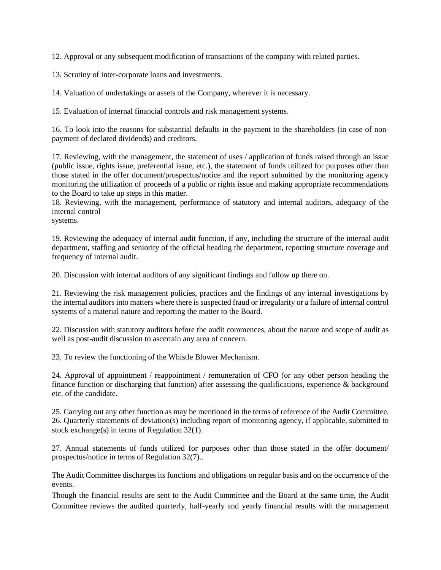12. Approval or any subsequent modification of transactions of the company with related parties.

13. Scrutiny of inter-corporate loans and investments.

14. Valuation of undertakings or assets of the Company, wherever it is necessary.

15. Evaluation of internal financial controls and risk management systems.

16. To look into the reasons for substantial defaults in the payment to the shareholders (in case of nonpayment of declared dividends) and creditors.

17. Reviewing, with the management, the statement of uses / application of funds raised through an issue (public issue, rights issue, preferential issue, etc.), the statement of funds utilized for purposes other than those stated in the offer document/prospectus/notice and the report submitted by the monitoring agency monitoring the utilization of proceeds of a public or rights issue and making appropriate recommendations to the Board to take up steps in this matter.

18. Reviewing, with the management, performance of statutory and internal auditors, adequacy of the internal control

systems.

19. Reviewing the adequacy of internal audit function, if any, including the structure of the internal audit department, staffing and seniority of the official heading the department, reporting structure coverage and frequency of internal audit.

20. Discussion with internal auditors of any significant findings and follow up there on.

21. Reviewing the risk management policies, practices and the findings of any internal investigations by the internal auditors into matters where there is suspected fraud or irregularity or a failure of internal control systems of a material nature and reporting the matter to the Board.

22. Discussion with statutory auditors before the audit commences, about the nature and scope of audit as well as post-audit discussion to ascertain any area of concern.

23. To review the functioning of the Whistle Blower Mechanism.

24. Approval of appointment / reappointment / remuneration of CFO (or any other person heading the finance function or discharging that function) after assessing the qualifications, experience & background etc. of the candidate.

25. Carrying out any other function as may be mentioned in the terms of reference of the Audit Committee. 26. Quarterly statements of deviation(s) including report of monitoring agency, if applicable, submitted to stock exchange(s) in terms of Regulation 32(1).

27. Annual statements of funds utilized for purposes other than those stated in the offer document/ prospectus/notice in terms of Regulation 32(7)..

The Audit Committee discharges its functions and obligations on regular basis and on the occurrence of the events.

Though the financial results are sent to the Audit Committee and the Board at the same time, the Audit Committee reviews the audited quarterly, half-yearly and yearly financial results with the management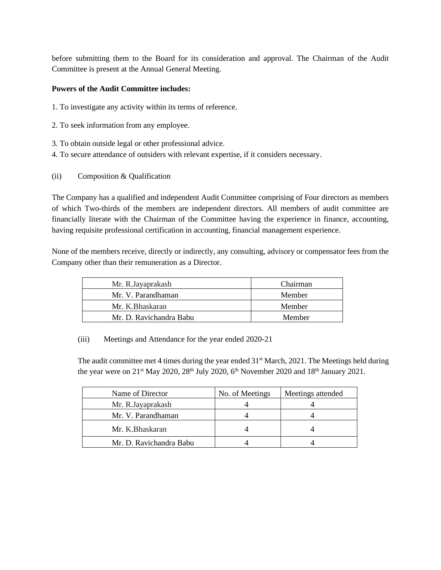before submitting them to the Board for its consideration and approval. The Chairman of the Audit Committee is present at the Annual General Meeting.

### **Powers of the Audit Committee includes:**

- 1. To investigate any activity within its terms of reference.
- 2. To seek information from any employee.
- 3. To obtain outside legal or other professional advice.
- 4. To secure attendance of outsiders with relevant expertise, if it considers necessary.
- (ii) Composition & Qualification

The Company has a qualified and independent Audit Committee comprising of Four directors as members of which Two-thirds of the members are independent directors. All members of audit committee are financially literate with the Chairman of the Committee having the experience in finance, accounting, having requisite professional certification in accounting, financial management experience.

None of the members receive, directly or indirectly, any consulting, advisory or compensator fees from the Company other than their remuneration as a Director.

| Mr. R. Jayaprakash      | Chairman |
|-------------------------|----------|
| Mr. V. Parandhaman      | Member   |
| Mr. K.Bhaskaran         | Member   |
| Mr. D. Ravichandra Babu | Member   |

(iii) Meetings and Attendance for the year ended 2020-21

The audit committee met 4 times during the year ended  $31<sup>st</sup>$  March, 2021. The Meetings held during the year were on  $21^{st}$  May 2020,  $28^{th}$  July 2020,  $6^{th}$  November 2020 and  $18^{th}$  January 2021.

| Name of Director        | No. of Meetings | Meetings attended |
|-------------------------|-----------------|-------------------|
| Mr. R. Jayaprakash      |                 |                   |
| Mr. V. Parandhaman      |                 |                   |
| Mr. K.Bhaskaran         |                 |                   |
| Mr. D. Ravichandra Babu |                 |                   |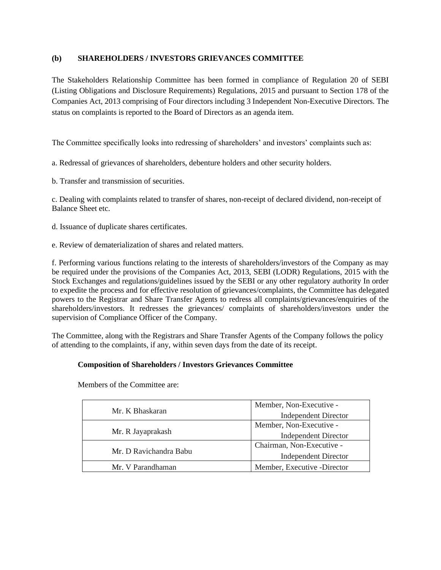### **(b) SHAREHOLDERS / INVESTORS GRIEVANCES COMMITTEE**

The Stakeholders Relationship Committee has been formed in compliance of Regulation 20 of SEBI (Listing Obligations and Disclosure Requirements) Regulations, 2015 and pursuant to Section 178 of the Companies Act, 2013 comprising of Four directors including 3 Independent Non-Executive Directors. The status on complaints is reported to the Board of Directors as an agenda item.

The Committee specifically looks into redressing of shareholders' and investors' complaints such as:

a. Redressal of grievances of shareholders, debenture holders and other security holders.

b. Transfer and transmission of securities.

c. Dealing with complaints related to transfer of shares, non-receipt of declared dividend, non-receipt of Balance Sheet etc.

d. Issuance of duplicate shares certificates.

e. Review of dematerialization of shares and related matters.

f. Performing various functions relating to the interests of shareholders/investors of the Company as may be required under the provisions of the Companies Act, 2013, SEBI (LODR) Regulations, 2015 with the Stock Exchanges and regulations/guidelines issued by the SEBI or any other regulatory authority In order to expedite the process and for effective resolution of grievances/complaints, the Committee has delegated powers to the Registrar and Share Transfer Agents to redress all complaints/grievances/enquiries of the shareholders/investors. It redresses the grievances/ complaints of shareholders/investors under the supervision of Compliance Officer of the Company.

The Committee, along with the Registrars and Share Transfer Agents of the Company follows the policy of attending to the complaints, if any, within seven days from the date of its receipt.

### **Composition of Shareholders / Investors Grievances Committee**

|                        | Member, Non-Executive -      |  |
|------------------------|------------------------------|--|
| Mr. K Bhaskaran        | <b>Independent Director</b>  |  |
| Mr. R Jayaprakash      | Member, Non-Executive -      |  |
|                        | <b>Independent Director</b>  |  |
|                        | Chairman, Non-Executive -    |  |
| Mr. D Ravichandra Babu | <b>Independent Director</b>  |  |
| Mr. V Parandhaman      | Member, Executive - Director |  |

Members of the Committee are: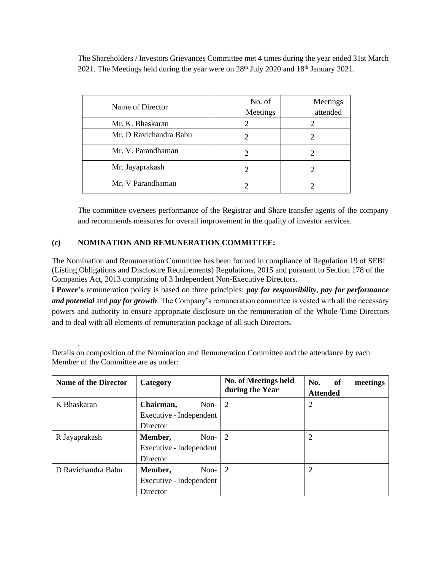The Shareholders / Investors Grievances Committee met 4 times during the year ended 31st March 2021. The Meetings held during the year were on  $28<sup>th</sup>$  July 2020 and  $18<sup>th</sup>$  January 2021.

| Name of Director       | No. of<br>Meetings | Meetings<br>attended |
|------------------------|--------------------|----------------------|
| Mr. K. Bhaskaran       |                    |                      |
| Mr. D Ravichandra Babu |                    |                      |
| Mr. V. Parandhaman     | 2                  |                      |
| Mr. Jayaprakash        |                    |                      |
| Mr. V Parandhaman      |                    |                      |

The committee oversees performance of the Registrar and Share transfer agents of the company and recommends measures for overall improvement in the quality of investor services.

# **(c) NOMINATION AND REMUNERATION COMMITTEE:**

.

The Nomination and Remuneration Committee has been formed in compliance of Regulation 19 of SEBI (Listing Obligations and Disclosure Requirements) Regulations, 2015 and pursuant to Section 178 of the Companies Act, 2013 comprising of 3 Independent Non-Executive Directors.

**i Power's** remuneration policy is based on three principles: *pay for responsibility*, *pay for performance and potential* and *pay for growth*. The Company's remuneration committee is vested with all the necessary powers and authority to ensure appropriate disclosure on the remuneration of the Whole-Time Directors and to deal with all elements of remuneration package of all such Directors.

| <b>Name of the Director</b> | Category                    | No. of Meetings held<br>during the Year | No.<br>of<br>meetings<br><b>Attended</b> |
|-----------------------------|-----------------------------|-----------------------------------------|------------------------------------------|
|                             |                             |                                         |                                          |
| K Bhaskaran                 | Chairman,<br>Non- $\vert$ 2 |                                         | 2                                        |
|                             | Executive - Independent     |                                         |                                          |
|                             | Director                    |                                         |                                          |
| R Jayaprakash               | Member,<br>Non- $\vert$ 2   |                                         | 2                                        |
|                             | Executive - Independent     |                                         |                                          |
|                             | Director                    |                                         |                                          |
| D Ravichandra Babu          | Member,<br>Non-             | 2                                       | 2                                        |
|                             | Executive - Independent     |                                         |                                          |
|                             | Director                    |                                         |                                          |

Details on composition of the Nomination and Remuneration Committee and the attendance by each Member of the Committee are as under: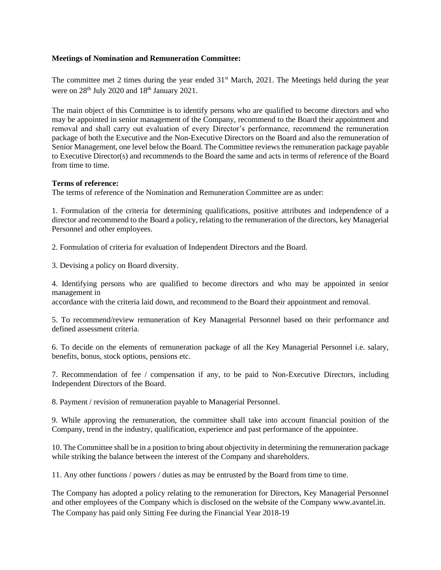#### **Meetings of Nomination and Remuneration Committee:**

The committee met 2 times during the year ended  $31<sup>st</sup>$  March, 2021. The Meetings held during the year were on 28<sup>th</sup> July 2020 and 18<sup>th</sup> January 2021.

The main object of this Committee is to identify persons who are qualified to become directors and who may be appointed in senior management of the Company, recommend to the Board their appointment and removal and shall carry out evaluation of every Director's performance, recommend the remuneration package of both the Executive and the Non-Executive Directors on the Board and also the remuneration of Senior Management, one level below the Board. The Committee reviews the remuneration package payable to Executive Director(s) and recommends to the Board the same and acts in terms of reference of the Board from time to time.

#### **Terms of reference:**

The terms of reference of the Nomination and Remuneration Committee are as under:

1. Formulation of the criteria for determining qualifications, positive attributes and independence of a director and recommend to the Board a policy, relating to the remuneration of the directors, key Managerial Personnel and other employees.

2. Formulation of criteria for evaluation of Independent Directors and the Board.

3. Devising a policy on Board diversity.

4. Identifying persons who are qualified to become directors and who may be appointed in senior management in

accordance with the criteria laid down, and recommend to the Board their appointment and removal.

5. To recommend/review remuneration of Key Managerial Personnel based on their performance and defined assessment criteria.

6. To decide on the elements of remuneration package of all the Key Managerial Personnel i.e. salary, benefits, bonus, stock options, pensions etc.

7. Recommendation of fee / compensation if any, to be paid to Non-Executive Directors, including Independent Directors of the Board.

8. Payment / revision of remuneration payable to Managerial Personnel.

9. While approving the remuneration, the committee shall take into account financial position of the Company, trend in the industry, qualification, experience and past performance of the appointee.

10. The Committee shall be in a position to bring about objectivity in determining the remuneration package while striking the balance between the interest of the Company and shareholders.

11. Any other functions / powers / duties as may be entrusted by the Board from time to time.

The Company has adopted a policy relating to the remuneration for Directors, Key Managerial Personnel and other employees of the Company which is disclosed on the website of the Company www.avantel.in. The Company has paid only Sitting Fee during the Financial Year 2018-19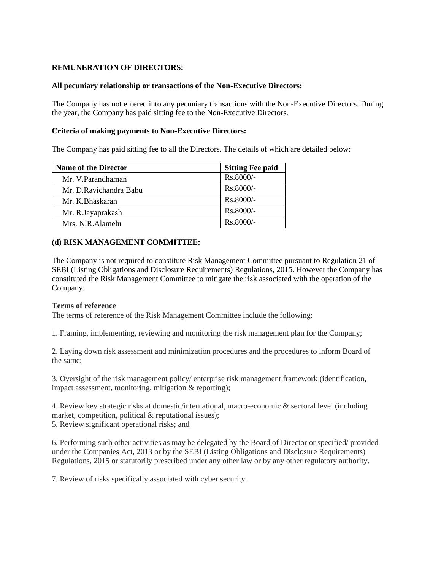## **REMUNERATION OF DIRECTORS:**

#### **All pecuniary relationship or transactions of the Non-Executive Directors:**

The Company has not entered into any pecuniary transactions with the Non-Executive Directors. During the year, the Company has paid sitting fee to the Non-Executive Directors.

#### **Criteria of making payments to Non-Executive Directors:**

The Company has paid sitting fee to all the Directors. The details of which are detailed below:

| <b>Name of the Director</b> | <b>Sitting Fee paid</b> |
|-----------------------------|-------------------------|
| Mr. V.Parandhaman           | Rs.8000/-               |
| Mr. D. Ravichandra Babu     | Rs.8000/-               |
| Mr. K.Bhaskaran             | Rs.8000/-               |
| Mr. R. Jayaprakash          | $Rs.8000/-$             |
| Mrs. N.R.Alamelu            | $Rs.8000/-$             |

#### **(d) RISK MANAGEMENT COMMITTEE:**

The Company is not required to constitute Risk Management Committee pursuant to Regulation 21 of SEBI (Listing Obligations and Disclosure Requirements) Regulations, 2015. However the Company has constituted the Risk Management Committee to mitigate the risk associated with the operation of the Company.

#### **Terms of reference**

The terms of reference of the Risk Management Committee include the following:

1. Framing, implementing, reviewing and monitoring the risk management plan for the Company;

2. Laying down risk assessment and minimization procedures and the procedures to inform Board of the same;

3. Oversight of the risk management policy/ enterprise risk management framework (identification, impact assessment, monitoring, mitigation & reporting);

4. Review key strategic risks at domestic/international, macro-economic & sectoral level (including market, competition, political & reputational issues); 5. Review significant operational risks; and

6. Performing such other activities as may be delegated by the Board of Director or specified/ provided under the Companies Act, 2013 or by the SEBI (Listing Obligations and Disclosure Requirements) Regulations, 2015 or statutorily prescribed under any other law or by any other regulatory authority.

7. Review of risks specifically associated with cyber security.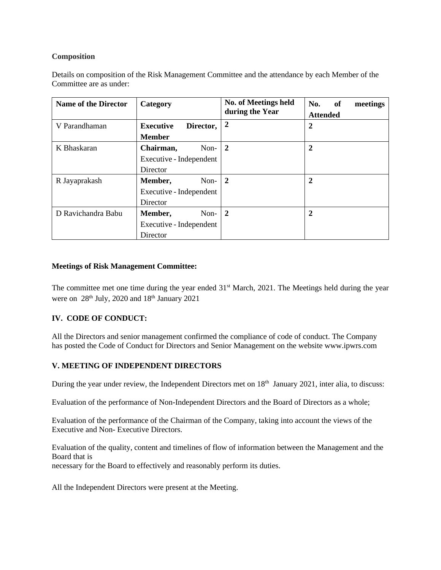### **Composition**

Details on composition of the Risk Management Committee and the attendance by each Member of the Committee are as under:

| <b>Name of the Director</b> | Category                                                 | No. of Meetings held<br>during the Year | No.<br>of<br>meetings<br><b>Attended</b> |
|-----------------------------|----------------------------------------------------------|-----------------------------------------|------------------------------------------|
| V Parandhaman               | <b>Executive</b><br>Director,<br><b>Member</b>           | $\boldsymbol{2}$                        | $\mathbf{2}$                             |
| K Bhaskaran                 | Non-<br>Chairman,<br>Executive - Independent<br>Director | $\overline{2}$                          | $\boldsymbol{2}$                         |
| R Jayaprakash               | $Non-$<br>Member,<br>Executive - Independent<br>Director | $\mathbf{2}$                            | $\boldsymbol{2}$                         |
| D Ravichandra Babu          | Non-<br>Member,<br>Executive - Independent<br>Director   | $\overline{2}$                          | $\overline{2}$                           |

### **Meetings of Risk Management Committee:**

The committee met one time during the year ended 31<sup>st</sup> March, 2021. The Meetings held during the year were on  $28<sup>th</sup>$  July, 2020 and  $18<sup>th</sup>$  January 2021

# **IV. CODE OF CONDUCT:**

All the Directors and senior management confirmed the compliance of code of conduct. The Company has posted the Code of Conduct for Directors and Senior Management on the website www.ipwrs.com

# **V. MEETING OF INDEPENDENT DIRECTORS**

During the year under review, the Independent Directors met on 18<sup>th</sup> January 2021, inter alia, to discuss:

Evaluation of the performance of Non-Independent Directors and the Board of Directors as a whole;

Evaluation of the performance of the Chairman of the Company, taking into account the views of the Executive and Non- Executive Directors.

Evaluation of the quality, content and timelines of flow of information between the Management and the Board that is necessary for the Board to effectively and reasonably perform its duties.

All the Independent Directors were present at the Meeting.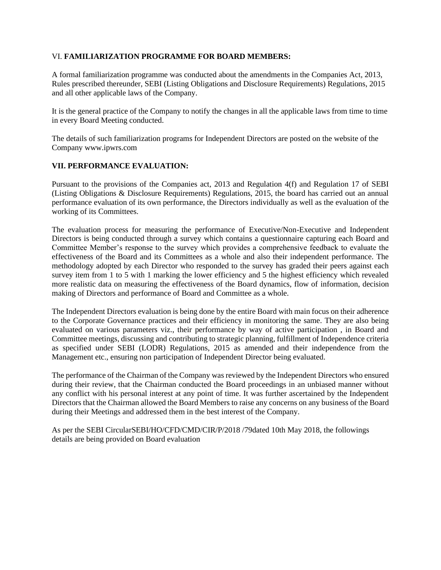### VI. **FAMILIARIZATION PROGRAMME FOR BOARD MEMBERS:**

A formal familiarization programme was conducted about the amendments in the Companies Act, 2013, Rules prescribed thereunder, SEBI (Listing Obligations and Disclosure Requirements) Regulations, 2015 and all other applicable laws of the Company.

It is the general practice of the Company to notify the changes in all the applicable laws from time to time in every Board Meeting conducted.

The details of such familiarization programs for Independent Directors are posted on the website of the Company www.ipwrs.com

### **VII. PERFORMANCE EVALUATION:**

Pursuant to the provisions of the Companies act, 2013 and Regulation 4(f) and Regulation 17 of SEBI (Listing Obligations & Disclosure Requirements) Regulations, 2015, the board has carried out an annual performance evaluation of its own performance, the Directors individually as well as the evaluation of the working of its Committees.

The evaluation process for measuring the performance of Executive/Non-Executive and Independent Directors is being conducted through a survey which contains a questionnaire capturing each Board and Committee Member's response to the survey which provides a comprehensive feedback to evaluate the effectiveness of the Board and its Committees as a whole and also their independent performance. The methodology adopted by each Director who responded to the survey has graded their peers against each survey item from 1 to 5 with 1 marking the lower efficiency and 5 the highest efficiency which revealed more realistic data on measuring the effectiveness of the Board dynamics, flow of information, decision making of Directors and performance of Board and Committee as a whole.

The Independent Directors evaluation is being done by the entire Board with main focus on their adherence to the Corporate Governance practices and their efficiency in monitoring the same. They are also being evaluated on various parameters viz., their performance by way of active participation , in Board and Committee meetings, discussing and contributing to strategic planning, fulfillment of Independence criteria as specified under SEBI (LODR) Regulations, 2015 as amended and their independence from the Management etc., ensuring non participation of Independent Director being evaluated.

The performance of the Chairman of the Company was reviewed by the Independent Directors who ensured during their review, that the Chairman conducted the Board proceedings in an unbiased manner without any conflict with his personal interest at any point of time. It was further ascertained by the Independent Directors that the Chairman allowed the Board Members to raise any concerns on any business of the Board during their Meetings and addressed them in the best interest of the Company.

As per the SEBI CircularSEBI/HO/CFD/CMD/CIR/P/2018 /79dated 10th May 2018, the followings details are being provided on Board evaluation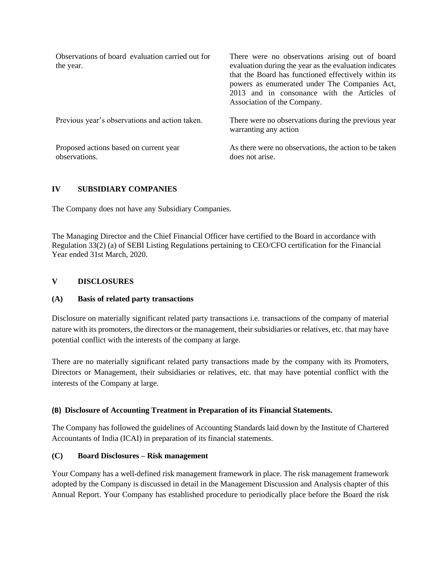| Observations of board evaluation carried out for<br>the year. | There were no observations arising out of board<br>evaluation during the year as the evaluation indicates<br>that the Board has functioned effectively within its<br>powers as enumerated under The Companies Act,<br>2013 and in consonance with the Articles of<br>Association of the Company. |
|---------------------------------------------------------------|--------------------------------------------------------------------------------------------------------------------------------------------------------------------------------------------------------------------------------------------------------------------------------------------------|
| Previous year's observations and action taken.                | There were no observations during the previous year<br>warranting any action                                                                                                                                                                                                                     |
| Proposed actions based on current year<br>observations.       | As there were no observations, the action to be taken<br>does not arise.                                                                                                                                                                                                                         |

## **IV SUBSIDIARY COMPANIES**

The Company does not have any Subsidiary Companies.

The Managing Director and the Chief Financial Officer have certified to the Board in accordance with Regulation 33(2) (a) of SEBI Listing Regulations pertaining to CEO/CFO certification for the Financial Year ended 31st March, 2020.

# **V DISCLOSURES**

### **(A) Basis of related party transactions**

Disclosure on materially significant related party transactions i.e. transactions of the company of material nature with its promoters, the directors or the management, their subsidiaries or relatives, etc. that may have potential conflict with the interests of the company at large.

There are no materially significant related party transactions made by the company with its Promoters, Directors or Management, their subsidiaries or relatives, etc. that may have potential conflict with the interests of the Company at large.

### **(B) Disclosure of Accounting Treatment in Preparation of its Financial Statements.**

The Company has followed the guidelines of Accounting Standards laid down by the Institute of Chartered Accountants of India (ICAI) in preparation of its financial statements.

### **(C) Board Disclosures – Risk management**

Your Company has a well-defined risk management framework in place. The risk management framework adopted by the Company is discussed in detail in the Management Discussion and Analysis chapter of this Annual Report. Your Company has established procedure to periodically place before the Board the risk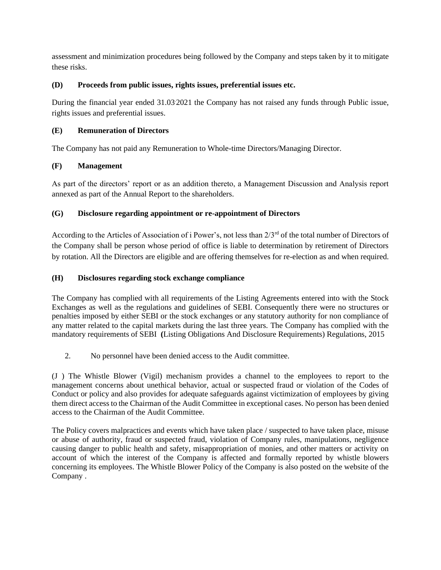assessment and minimization procedures being followed by the Company and steps taken by it to mitigate these risks.

# **(D) Proceeds from public issues, rights issues, preferential issues etc.**

During the financial year ended 31.03.2021 the Company has not raised any funds through Public issue, rights issues and preferential issues.

# **(E) Remuneration of Directors**

The Company has not paid any Remuneration to Whole-time Directors/Managing Director.

# **(F) Management**

As part of the directors' report or as an addition thereto, a Management Discussion and Analysis report annexed as part of the Annual Report to the shareholders.

# **(G) Disclosure regarding appointment or re-appointment of Directors**

According to the Articles of Association of i Power's, not less than  $2/3^{rd}$  of the total number of Directors of the Company shall be person whose period of office is liable to determination by retirement of Directors by rotation. All the Directors are eligible and are offering themselves for re-election as and when required.

# **(H) Disclosures regarding stock exchange compliance**

The Company has complied with all requirements of the Listing Agreements entered into with the Stock Exchanges as well as the regulations and guidelines of SEBI. Consequently there were no structures or penalties imposed by either SEBI or the stock exchanges or any statutory authority for non compliance of any matter related to the capital markets during the last three years. The Company has complied with the mandatory requirements of SEBI **(**Listing Obligations And Disclosure Requirements) Regulations, 2015

2. No personnel have been denied access to the Audit committee.

(J ) The Whistle Blower (Vigil) mechanism provides a channel to the employees to report to the management concerns about unethical behavior, actual or suspected fraud or violation of the Codes of Conduct or policy and also provides for adequate safeguards against victimization of employees by giving them direct access to the Chairman of the Audit Committee in exceptional cases. No person has been denied access to the Chairman of the Audit Committee.

The Policy covers malpractices and events which have taken place / suspected to have taken place, misuse or abuse of authority, fraud or suspected fraud, violation of Company rules, manipulations, negligence causing danger to public health and safety, misappropriation of monies, and other matters or activity on account of which the interest of the Company is affected and formally reported by whistle blowers concerning its employees. The Whistle Blower Policy of the Company is also posted on the website of the Company .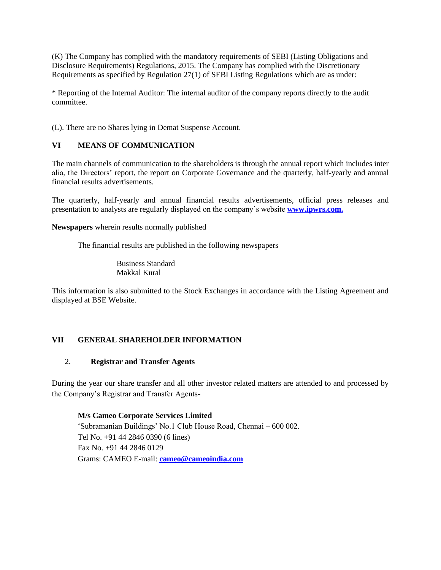(K) The Company has complied with the mandatory requirements of SEBI (Listing Obligations and Disclosure Requirements) Regulations, 2015. The Company has complied with the Discretionary Requirements as specified by Regulation 27(1) of SEBI Listing Regulations which are as under:

\* Reporting of the Internal Auditor: The internal auditor of the company reports directly to the audit committee.

(L). There are no Shares lying in Demat Suspense Account.

### **VI MEANS OF COMMUNICATION**

The main channels of communication to the shareholders is through the annual report which includes inter alia, the Directors' report, the report on Corporate Governance and the quarterly, half-yearly and annual financial results advertisements.

The quarterly, half-yearly and annual financial results advertisements, official press releases and presentation to analysts are regularly displayed on the company's website **[www.ipwrs.com.](D://Valli/28th%20AGM%20Annual%20Report/Annual%20Report%20-%20Sent%20by%20Srinivasa%20Rao/www.ipwrs.com)**

**Newspapers** wherein results normally published

The financial results are published in the following newspapers

Business Standard Makkal Kural

This information is also submitted to the Stock Exchanges in accordance with the Listing Agreement and displayed at BSE Website.

### **VII GENERAL SHAREHOLDER INFORMATION**

#### 2. **Registrar and Transfer Agents**

During the year our share transfer and all other investor related matters are attended to and processed by the Company's Registrar and Transfer Agents-

**M/s Cameo Corporate Services Limited** 'Subramanian Buildings' No.1 Club House Road, Chennai – 600 002. Tel No. +91 44 2846 0390 (6 lines) Fax No. +91 44 2846 0129 Grams: CAMEO E-mail: **[cameo@cameoindia.com](mailto:cameo@cameoindia.com)**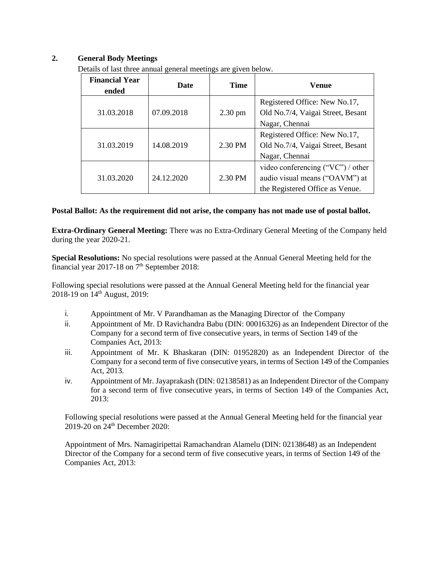# **2. General Body Meetings**

| <b>Financial Year</b><br>ended | Date       | <b>Time</b>       | Venue                                                                                                    |
|--------------------------------|------------|-------------------|----------------------------------------------------------------------------------------------------------|
| 31.03.2018                     | 07.09.2018 | $2.30 \text{ pm}$ | Registered Office: New No.17,<br>Old No.7/4, Vaigai Street, Besant<br>Nagar, Chennai                     |
| 31.03.2019                     | 14.08.2019 | 2.30 PM           | Registered Office: New No.17,<br>Old No.7/4, Vaigai Street, Besant<br>Nagar, Chennai                     |
| 31.03.2020                     | 24.12.2020 | 2.30 PM           | video conferencing $("VC")$ / other<br>audio visual means ("OAVM") at<br>the Registered Office as Venue. |

Details of last three annual general meetings are given below.

### **Postal Ballot: As the requirement did not arise, the company has not made use of postal ballot.**

**Extra-Ordinary General Meeting:** There was no Extra-Ordinary General Meeting of the Company held during the year 2020-21.

**Special Resolutions:** No special resolutions were passed at the Annual General Meeting held for the financial year 2017-18 on  $7<sup>th</sup>$  September 2018:

Following special resolutions were passed at the Annual General Meeting held for the financial year 2018-19 on 14th August, 2019:

- i. Appointment of Mr. V Parandhaman as the Managing Director of the Company
- ii. Appointment of Mr. D Ravichandra Babu (DIN: 00016326) as an Independent Director of the Company for a second term of five consecutive years, in terms of Section 149 of the Companies Act, 2013:
- iii. Appointment of Mr. K Bhaskaran (DIN: 01952820) as an Independent Director of the Company for a second term of five consecutive years, in terms of Section 149 of the Companies Act, 2013.
- iv. Appointment of Mr. Jayaprakash (DIN: 02138581) as an Independent Director of the Company for a second term of five consecutive years, in terms of Section 149 of the Companies Act, 2013:

Following special resolutions were passed at the Annual General Meeting held for the financial year 2019-20 on 24th December 2020:

Appointment of Mrs. Namagiripettai Ramachandran Alamelu (DIN: 02138648) as an Independent Director of the Company for a second term of five consecutive years, in terms of Section 149 of the Companies Act, 2013: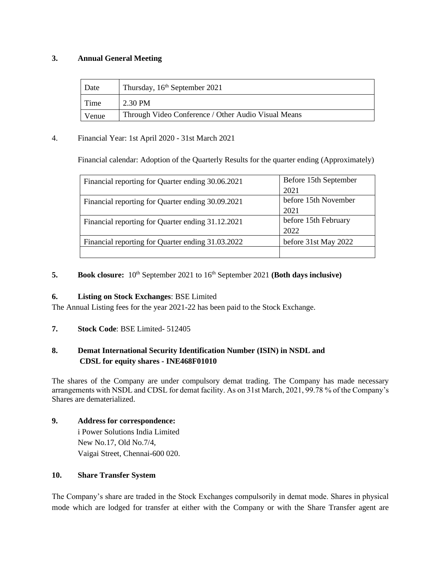### **3. Annual General Meeting**

| Date  | Thursday, 16 <sup>th</sup> September 2021           |
|-------|-----------------------------------------------------|
| Time  | 2.30 PM                                             |
| Venue | Through Video Conference / Other Audio Visual Means |

## 4. Financial Year: 1st April 2020 - 31st March 2021

Financial calendar: Adoption of the Quarterly Results for the quarter ending (Approximately)

| Financial reporting for Quarter ending 30.06.2021 | Before 15th September |
|---------------------------------------------------|-----------------------|
|                                                   | 2021                  |
| Financial reporting for Quarter ending 30.09.2021 | before 15th November  |
|                                                   | 2021                  |
| Financial reporting for Quarter ending 31.12.2021 | before 15th February  |
|                                                   | 2022                  |
| Financial reporting for Quarter ending 31.03.2022 | before 31st May 2022  |
|                                                   |                       |

# **5. Book closure:**  $10^{th}$  September 2021 to  $16^{th}$  September 2021 **(Both days inclusive)**

### **6. Listing on Stock Exchanges**: BSE Limited

The Annual Listing fees for the year 2021-22 has been paid to the Stock Exchange.

# **7. Stock Code**: BSE Limited- 512405

# **8. Demat International Security Identification Number (ISIN) in NSDL and CDSL for equity shares - INE468F01010**

The shares of the Company are under compulsory demat trading. The Company has made necessary arrangements with NSDL and CDSL for demat facility. As on 31st March, 2021, 99.78 % of the Company's Shares are dematerialized.

### **9. Address for correspondence:**

i Power Solutions India Limited New No.17, Old No.7/4, Vaigai Street, Chennai-600 020.

### **10. Share Transfer System**

The Company's share are traded in the Stock Exchanges compulsorily in demat mode. Shares in physical mode which are lodged for transfer at either with the Company or with the Share Transfer agent are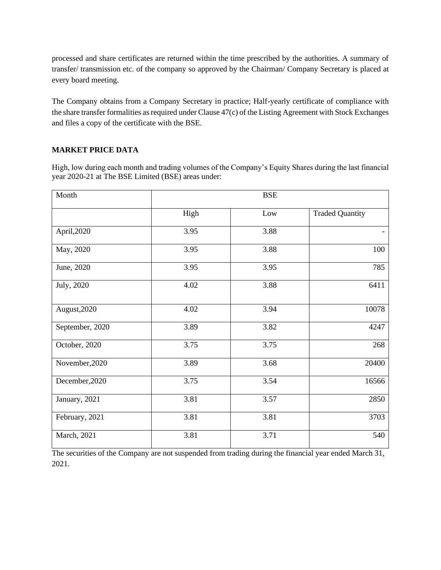processed and share certificates are returned within the time prescribed by the authorities. A summary of transfer/ transmission etc. of the company so approved by the Chairman/ Company Secretary is placed at every board meeting.

The Company obtains from a Company Secretary in practice; Half-yearly certificate of compliance with the share transfer formalities as required under Clause 47(c) of the Listing Agreement with Stock Exchanges and files a copy of the certificate with the BSE.

# **MARKET PRICE DATA**

High, low during each month and trading volumes of the Company's Equity Shares during the last financial year 2020-21 at The BSE Limited (BSE) areas under:

| Month           |      | <b>BSE</b> |                        |
|-----------------|------|------------|------------------------|
|                 | High | Low        | <b>Traded Quantity</b> |
| April, 2020     | 3.95 | 3.88       |                        |
| May, 2020       | 3.95 | 3.88       | 100                    |
| June, 2020      | 3.95 | 3.95       | 785                    |
| July, 2020      | 4.02 | 3.88       | 6411                   |
| August, 2020    | 4.02 | 3.94       | 10078                  |
| September, 2020 | 3.89 | 3.82       | 4247                   |
| October, 2020   | 3.75 | 3.75       | 268                    |
| November, 2020  | 3.89 | 3.68       | 20400                  |
| December, 2020  | 3.75 | 3.54       | 16566                  |
| January, 2021   | 3.81 | 3.57       | 2850                   |
| February, 2021  | 3.81 | 3.81       | 3703                   |
| March, 2021     | 3.81 | 3.71       | 540                    |

The securities of the Company are not suspended from trading during the financial year ended March 31, 2021.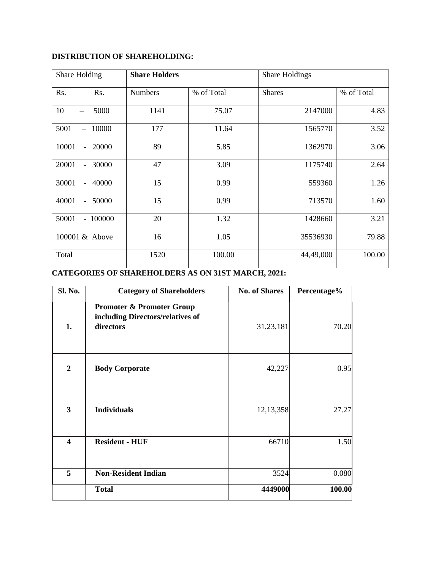# **DISTRIBUTION OF SHAREHOLDING:**

| Share Holding                              | <b>Share Holders</b> |            | <b>Share Holdings</b> |            |
|--------------------------------------------|----------------------|------------|-----------------------|------------|
| Rs.<br>Rs.                                 | <b>Numbers</b>       | % of Total | <b>Shares</b>         | % of Total |
| 10<br>5000                                 | 1141                 | 75.07      | 2147000               | 4.83       |
| 5001<br>10000                              | 177                  | 11.64      | 1565770               | 3.52       |
| 10001<br>$-20000$                          | 89                   | 5.85       | 1362970               | 3.06       |
| 20001<br>30000<br>$\equiv$                 | 47                   | 3.09       | 1175740               | 2.64       |
| 30001<br>40000<br>$\overline{\phantom{0}}$ | 15                   | 0.99       | 559360                | 1.26       |
| 40001<br>$-50000$                          | 15                   | 0.99       | 713570                | 1.60       |
| 50001<br>$-100000$                         | 20                   | 1.32       | 1428660               | 3.21       |
| 100001 & Above                             | 16                   | 1.05       | 35536930              | 79.88      |
| Total                                      | 1520                 | 100.00     | 44,49,000             | 100.00     |

# **CATEGORIES OF SHAREHOLDERS AS ON 31ST MARCH, 2021:**

| Sl. No.                 | <b>Category of Shareholders</b>                                                       | <b>No. of Shares</b> | Percentage% |
|-------------------------|---------------------------------------------------------------------------------------|----------------------|-------------|
| 1.                      | <b>Promoter &amp; Promoter Group</b><br>including Directors/relatives of<br>directors | 31,23,181            | 70.20       |
| $\boldsymbol{2}$        | <b>Body Corporate</b>                                                                 | 42,227               | 0.95        |
| 3                       | <b>Individuals</b>                                                                    | 12, 13, 358          | 27.27       |
| $\overline{\mathbf{4}}$ | <b>Resident - HUF</b>                                                                 | 66710                | 1.50        |
| 5                       | <b>Non-Resident Indian</b>                                                            | 3524                 | 0.080       |
|                         | <b>Total</b>                                                                          | 4449000              | 100.00      |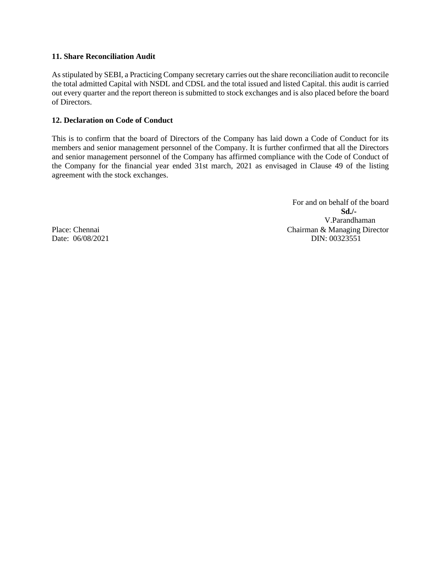#### **11. Share Reconciliation Audit**

As stipulated by SEBI, a Practicing Company secretary carries out the share reconciliation audit to reconcile the total admitted Capital with NSDL and CDSL and the total issued and listed Capital. this audit is carried out every quarter and the report thereon is submitted to stock exchanges and is also placed before the board of Directors.

#### **12. Declaration on Code of Conduct**

This is to confirm that the board of Directors of the Company has laid down a Code of Conduct for its members and senior management personnel of the Company. It is further confirmed that all the Directors and senior management personnel of the Company has affirmed compliance with the Code of Conduct of the Company for the financial year ended 31st march, 2021 as envisaged in Clause 49 of the listing agreement with the stock exchanges.

 For and on behalf of the board  **Sd./-** V.Parandhaman Place: Chennai Chairman & Managing Director<br>Date: 06/08/2021 DIN: 00323551

Date: 06/08/2021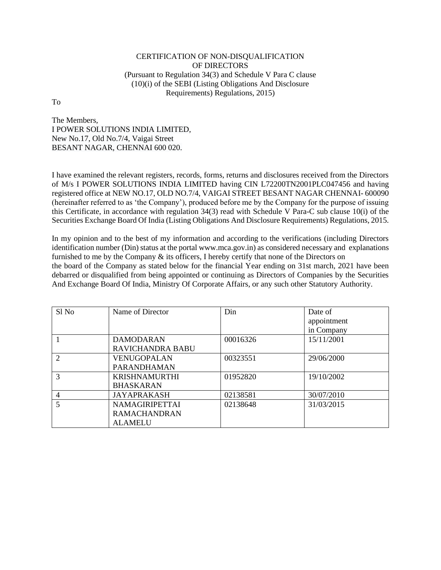### CERTIFICATION OF NON-DISQUALIFICATION OF DIRECTORS (Pursuant to Regulation 34(3) and Schedule V Para C clause (10)(i) of the SEBI (Listing Obligations And Disclosure Requirements) Regulations, 2015)

To

The Members, I POWER SOLUTIONS INDIA LIMITED, New No.17, Old No.7/4, Vaigai Street BESANT NAGAR, CHENNAI 600 020.

I have examined the relevant registers, records, forms, returns and disclosures received from the Directors of M/s I POWER SOLUTIONS INDIA LIMITED having CIN L72200TN2001PLC047456 and having registered office at NEW NO.17, OLD NO.7/4, VAIGAI STREET BESANT NAGAR CHENNAI- 600090 (hereinafter referred to as 'the Company'), produced before me by the Company for the purpose of issuing this Certificate, in accordance with regulation 34(3) read with Schedule V Para-C sub clause 10(i) of the Securities Exchange Board Of India (Listing Obligations And Disclosure Requirements) Regulations, 2015.

In my opinion and to the best of my information and according to the verifications (including Directors identification number (Din) status at the portal www.mca.gov.in) as considered necessary and explanations furnished to me by the Company & its officers, I hereby certify that none of the Directors on the board of the Company as stated below for the financial Year ending on 31st march, 2021 have been debarred or disqualified from being appointed or continuing as Directors of Companies by the Securities And Exchange Board Of India, Ministry Of Corporate Affairs, or any such other Statutory Authority.

| Sl <sub>No</sub> | Name of Director        | Din      | Date of     |
|------------------|-------------------------|----------|-------------|
|                  |                         |          | appointment |
|                  |                         |          | in Company  |
|                  | <b>DAMODARAN</b>        | 00016326 | 15/11/2001  |
|                  | <b>RAVICHANDRA BABU</b> |          |             |
| $\mathcal{D}$    | <b>VENUGOPALAN</b>      | 00323551 | 29/06/2000  |
|                  | <b>PARANDHAMAN</b>      |          |             |
| 3                | <b>KRISHNAMURTHI</b>    | 01952820 | 19/10/2002  |
|                  | <b>BHASKARAN</b>        |          |             |
| $\overline{4}$   | <b>JAYAPRAKASH</b>      | 02138581 | 30/07/2010  |
| 5                | <b>NAMAGIRIPETTAI</b>   | 02138648 | 31/03/2015  |
|                  | <b>RAMACHANDRAN</b>     |          |             |
|                  | <b>ALAMELU</b>          |          |             |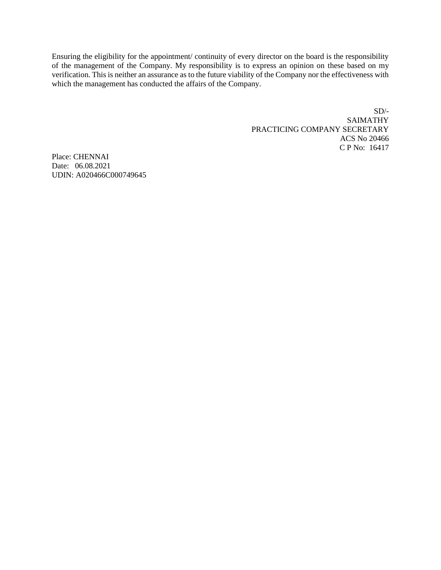Ensuring the eligibility for the appointment/ continuity of every director on the board is the responsibility of the management of the Company. My responsibility is to express an opinion on these based on my verification. This is neither an assurance as to the future viability of the Company nor the effectiveness with which the management has conducted the affairs of the Company.

> SD/- SAIMATHY PRACTICING COMPANY SECRETARY ACS No 20466 C P No: 16417

Place: CHENNAI Date: 06.08.2021 UDIN: A020466C000749645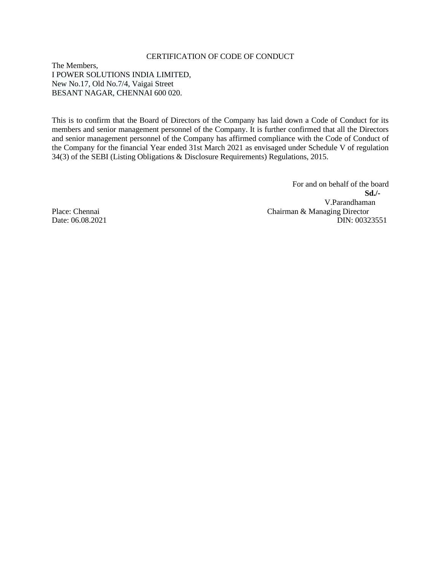#### CERTIFICATION OF CODE OF CONDUCT

The Members, I POWER SOLUTIONS INDIA LIMITED, New No.17, Old No.7/4, Vaigai Street BESANT NAGAR, CHENNAI 600 020.

This is to confirm that the Board of Directors of the Company has laid down a Code of Conduct for its members and senior management personnel of the Company. It is further confirmed that all the Directors and senior management personnel of the Company has affirmed compliance with the Code of Conduct of the Company for the financial Year ended 31st March 2021 as envisaged under Schedule V of regulation 34(3) of the SEBI (Listing Obligations & Disclosure Requirements) Regulations, 2015.

 For and on behalf of the board  **Sd./-** V.Parandhaman Place: Chennai Chairman & Managing Director<br>Date: 06.08.2021 DIN: 00323551

Date: 06.08.2021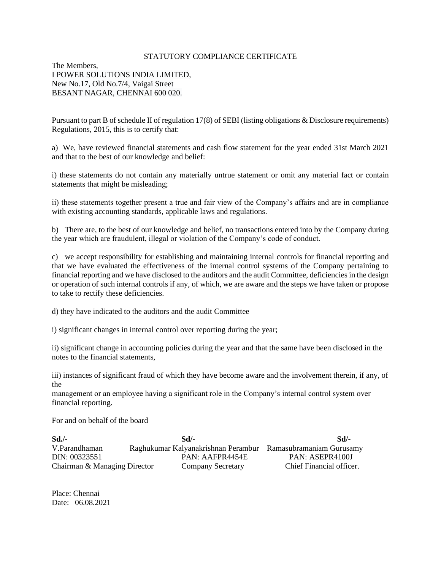#### STATUTORY COMPLIANCE CERTIFICATE

The Members, I POWER SOLUTIONS INDIA LIMITED, New No.17, Old No.7/4, Vaigai Street BESANT NAGAR, CHENNAI 600 020.

Pursuant to part B of schedule II of regulation 17(8) of SEBI (listing obligations & Disclosure requirements) Regulations, 2015, this is to certify that:

a) We, have reviewed financial statements and cash flow statement for the year ended 31st March 2021 and that to the best of our knowledge and belief:

i) these statements do not contain any materially untrue statement or omit any material fact or contain statements that might be misleading;

ii) these statements together present a true and fair view of the Company's affairs and are in compliance with existing accounting standards, applicable laws and regulations.

b) There are, to the best of our knowledge and belief, no transactions entered into by the Company during the year which are fraudulent, illegal or violation of the Company's code of conduct.

c) we accept responsibility for establishing and maintaining internal controls for financial reporting and that we have evaluated the effectiveness of the internal control systems of the Company pertaining to financial reporting and we have disclosed to the auditors and the audit Committee, deficiencies in the design or operation of such internal controls if any, of which, we are aware and the steps we have taken or propose to take to rectify these deficiencies.

d) they have indicated to the auditors and the audit Committee

i) significant changes in internal control over reporting during the year;

ii) significant change in accounting policies during the year and that the same have been disclosed in the notes to the financial statements,

iii) instances of significant fraud of which they have become aware and the involvement therein, if any, of the

management or an employee having a significant role in the Company's internal control system over financial reporting.

For and on behalf of the board

| $Sd$ ./-                     | Sd/-                     | $Sd$ .                                                       |
|------------------------------|--------------------------|--------------------------------------------------------------|
| V.Parandhaman                |                          | Raghukumar Kalyanakrishnan Perambur Ramasubramaniam Gurusamy |
| DIN: 00323551                | PAN: AAFPR4454E          | PAN: ASEPR4100J                                              |
| Chairman & Managing Director | <b>Company Secretary</b> | Chief Financial officer.                                     |

Place: Chennai Date: 06.08.2021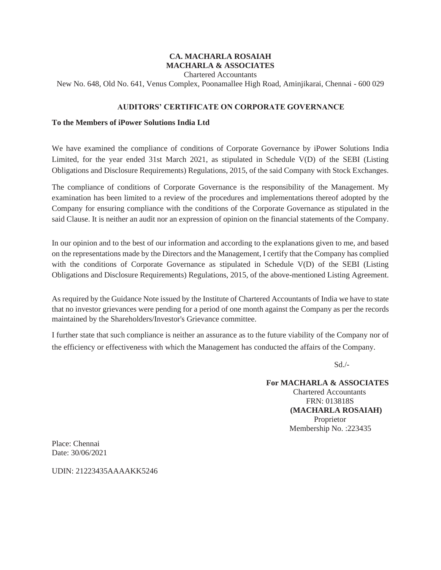# **CA. MACHARLA ROSAIAH MACHARLA & ASSOCIATES**

Chartered Accountants

New No. 648, Old No. 641, Venus Complex, Poonamallee High Road, Aminjikarai, Chennai - 600 029

### **AUDITORS' CERTIFICATE ON CORPORATE GOVERNANCE**

#### **To the Members of iPower Solutions India Ltd**

We have examined the compliance of conditions of Corporate Governance by iPower Solutions India Limited, for the year ended 31st March 2021, as stipulated in Schedule V(D) of the SEBI (Listing Obligations and Disclosure Requirements) Regulations, 2015, of the said Company with Stock Exchanges.

The compliance of conditions of Corporate Governance is the responsibility of the Management. My examination has been limited to a review of the procedures and implementations thereof adopted by the Company for ensuring compliance with the conditions of the Corporate Governance as stipulated in the said Clause. It is neither an audit nor an expression of opinion on the financial statements of the Company.

In our opinion and to the best of our information and according to the explanations given to me, and based on the representations made by the Directors and the Management, I certify that the Company has complied with the conditions of Corporate Governance as stipulated in Schedule V(D) of the SEBI (Listing Obligations and Disclosure Requirements) Regulations, 2015, of the above-mentioned Listing Agreement.

As required by the Guidance Note issued by the Institute of Chartered Accountants of India we have to state that no investor grievances were pending for a period of one month against the Company as per the records maintained by the Shareholders/Investor's Grievance committee.

I further state that such compliance is neither an assurance as to the future viability of the Company nor of the efficiency or effectiveness with which the Management has conducted the affairs of the Company.

 $Sd$ ./-

**For MACHARLA & ASSOCIATES** Chartered Accountants FRN: 013818S **(MACHARLA ROSAIAH)** Proprietor Membership No. :223435

Place: Chennai Date: 30/06/2021

UDIN: 21223435AAAAKK5246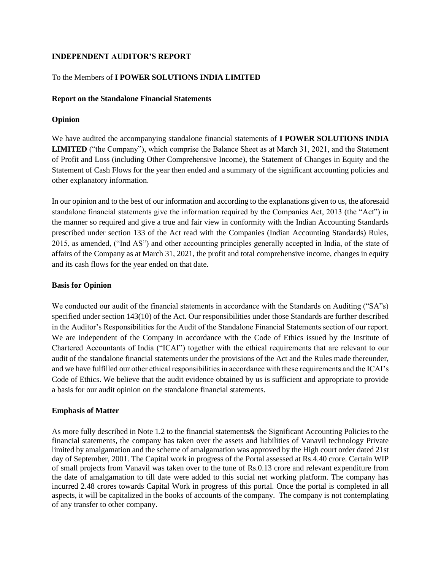### **INDEPENDENT AUDITOR'S REPORT**

#### To the Members of **I POWER SOLUTIONS INDIA LIMITED**

#### **Report on the Standalone Financial Statements**

#### **Opinion**

We have audited the accompanying standalone financial statements of **I POWER SOLUTIONS INDIA LIMITED** ("the Company"), which comprise the Balance Sheet as at March 31, 2021, and the Statement of Profit and Loss (including Other Comprehensive Income), the Statement of Changes in Equity and the Statement of Cash Flows for the year then ended and a summary of the significant accounting policies and other explanatory information.

In our opinion and to the best of our information and according to the explanations given to us, the aforesaid standalone financial statements give the information required by the Companies Act, 2013 (the "Act") in the manner so required and give a true and fair view in conformity with the Indian Accounting Standards prescribed under section 133 of the Act read with the Companies (Indian Accounting Standards) Rules, 2015, as amended, ("Ind AS") and other accounting principles generally accepted in India, of the state of affairs of the Company as at March 31, 2021, the profit and total comprehensive income, changes in equity and its cash flows for the year ended on that date.

#### **Basis for Opinion**

We conducted our audit of the financial statements in accordance with the Standards on Auditing ("SA"s) specified under section 143(10) of the Act. Our responsibilities under those Standards are further described in the Auditor's Responsibilities for the Audit of the Standalone Financial Statements section of our report. We are independent of the Company in accordance with the Code of Ethics issued by the Institute of Chartered Accountants of India ("ICAI") together with the ethical requirements that are relevant to our audit of the standalone financial statements under the provisions of the Act and the Rules made thereunder, and we have fulfilled our other ethical responsibilities in accordance with these requirements and the ICAI's Code of Ethics. We believe that the audit evidence obtained by us is sufficient and appropriate to provide a basis for our audit opinion on the standalone financial statements.

#### **Emphasis of Matter**

As more fully described in Note 1.2 to the financial statements& the Significant Accounting Policies to the financial statements, the company has taken over the assets and liabilities of Vanavil technology Private limited by amalgamation and the scheme of amalgamation was approved by the High court order dated 21st day of September, 2001. The Capital work in progress of the Portal assessed at Rs.4.40 crore. Certain WIP of small projects from Vanavil was taken over to the tune of Rs.0.13 crore and relevant expenditure from the date of amalgamation to till date were added to this social net working platform. The company has incurred 2.48 crores towards Capital Work in progress of this portal. Once the portal is completed in all aspects, it will be capitalized in the books of accounts of the company. The company is not contemplating of any transfer to other company.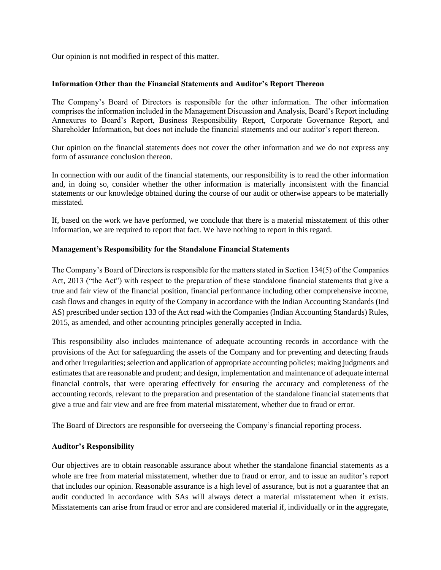Our opinion is not modified in respect of this matter.

#### **Information Other than the Financial Statements and Auditor's Report Thereon**

The Company's Board of Directors is responsible for the other information. The other information comprises the information included in the Management Discussion and Analysis, Board's Report including Annexures to Board's Report, Business Responsibility Report, Corporate Governance Report, and Shareholder Information, but does not include the financial statements and our auditor's report thereon.

Our opinion on the financial statements does not cover the other information and we do not express any form of assurance conclusion thereon.

In connection with our audit of the financial statements, our responsibility is to read the other information and, in doing so, consider whether the other information is materially inconsistent with the financial statements or our knowledge obtained during the course of our audit or otherwise appears to be materially misstated.

If, based on the work we have performed, we conclude that there is a material misstatement of this other information, we are required to report that fact. We have nothing to report in this regard.

### **Management's Responsibility for the Standalone Financial Statements**

The Company's Board of Directors is responsible for the matters stated in Section 134(5) of the Companies Act, 2013 ("the Act") with respect to the preparation of these standalone financial statements that give a true and fair view of the financial position, financial performance including other comprehensive income, cash flows and changes in equity of the Company in accordance with the Indian Accounting Standards (Ind AS) prescribed under section 133 of the Act read with the Companies (Indian Accounting Standards) Rules, 2015, as amended, and other accounting principles generally accepted in India.

This responsibility also includes maintenance of adequate accounting records in accordance with the provisions of the Act for safeguarding the assets of the Company and for preventing and detecting frauds and other irregularities; selection and application of appropriate accounting policies; making judgments and estimates that are reasonable and prudent; and design, implementation and maintenance of adequate internal financial controls, that were operating effectively for ensuring the accuracy and completeness of the accounting records, relevant to the preparation and presentation of the standalone financial statements that give a true and fair view and are free from material misstatement, whether due to fraud or error.

The Board of Directors are responsible for overseeing the Company's financial reporting process.

#### **Auditor's Responsibility**

Our objectives are to obtain reasonable assurance about whether the standalone financial statements as a whole are free from material misstatement, whether due to fraud or error, and to issue an auditor's report that includes our opinion. Reasonable assurance is a high level of assurance, but is not a guarantee that an audit conducted in accordance with SAs will always detect a material misstatement when it exists. Misstatements can arise from fraud or error and are considered material if, individually or in the aggregate,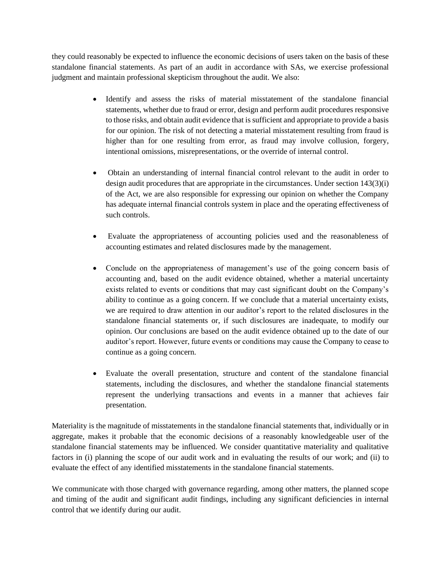they could reasonably be expected to influence the economic decisions of users taken on the basis of these standalone financial statements. As part of an audit in accordance with SAs, we exercise professional judgment and maintain professional skepticism throughout the audit. We also:

- Identify and assess the risks of material misstatement of the standalone financial statements, whether due to fraud or error, design and perform audit procedures responsive to those risks, and obtain audit evidence that is sufficient and appropriate to provide a basis for our opinion. The risk of not detecting a material misstatement resulting from fraud is higher than for one resulting from error, as fraud may involve collusion, forgery, intentional omissions, misrepresentations, or the override of internal control.
- Obtain an understanding of internal financial control relevant to the audit in order to design audit procedures that are appropriate in the circumstances. Under section 143(3)(i) of the Act, we are also responsible for expressing our opinion on whether the Company has adequate internal financial controls system in place and the operating effectiveness of such controls.
- Evaluate the appropriateness of accounting policies used and the reasonableness of accounting estimates and related disclosures made by the management.
- Conclude on the appropriateness of management's use of the going concern basis of accounting and, based on the audit evidence obtained, whether a material uncertainty exists related to events or conditions that may cast significant doubt on the Company's ability to continue as a going concern. If we conclude that a material uncertainty exists, we are required to draw attention in our auditor's report to the related disclosures in the standalone financial statements or, if such disclosures are inadequate, to modify our opinion. Our conclusions are based on the audit evidence obtained up to the date of our auditor's report. However, future events or conditions may cause the Company to cease to continue as a going concern.
- Evaluate the overall presentation, structure and content of the standalone financial statements, including the disclosures, and whether the standalone financial statements represent the underlying transactions and events in a manner that achieves fair presentation.

Materiality is the magnitude of misstatements in the standalone financial statements that, individually or in aggregate, makes it probable that the economic decisions of a reasonably knowledgeable user of the standalone financial statements may be influenced. We consider quantitative materiality and qualitative factors in (i) planning the scope of our audit work and in evaluating the results of our work; and (ii) to evaluate the effect of any identified misstatements in the standalone financial statements.

We communicate with those charged with governance regarding, among other matters, the planned scope and timing of the audit and significant audit findings, including any significant deficiencies in internal control that we identify during our audit.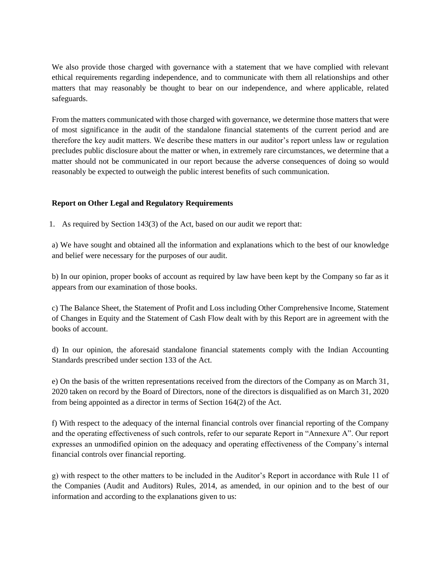We also provide those charged with governance with a statement that we have complied with relevant ethical requirements regarding independence, and to communicate with them all relationships and other matters that may reasonably be thought to bear on our independence, and where applicable, related safeguards.

From the matters communicated with those charged with governance, we determine those matters that were of most significance in the audit of the standalone financial statements of the current period and are therefore the key audit matters. We describe these matters in our auditor's report unless law or regulation precludes public disclosure about the matter or when, in extremely rare circumstances, we determine that a matter should not be communicated in our report because the adverse consequences of doing so would reasonably be expected to outweigh the public interest benefits of such communication.

## **Report on Other Legal and Regulatory Requirements**

1. As required by Section 143(3) of the Act, based on our audit we report that:

a) We have sought and obtained all the information and explanations which to the best of our knowledge and belief were necessary for the purposes of our audit.

b) In our opinion, proper books of account as required by law have been kept by the Company so far as it appears from our examination of those books.

c) The Balance Sheet, the Statement of Profit and Loss including Other Comprehensive Income, Statement of Changes in Equity and the Statement of Cash Flow dealt with by this Report are in agreement with the books of account.

d) In our opinion, the aforesaid standalone financial statements comply with the Indian Accounting Standards prescribed under section 133 of the Act.

e) On the basis of the written representations received from the directors of the Company as on March 31, 2020 taken on record by the Board of Directors, none of the directors is disqualified as on March 31, 2020 from being appointed as a director in terms of Section 164(2) of the Act.

f) With respect to the adequacy of the internal financial controls over financial reporting of the Company and the operating effectiveness of such controls, refer to our separate Report in "Annexure A". Our report expresses an unmodified opinion on the adequacy and operating effectiveness of the Company's internal financial controls over financial reporting.

g) with respect to the other matters to be included in the Auditor's Report in accordance with Rule 11 of the Companies (Audit and Auditors) Rules, 2014, as amended, in our opinion and to the best of our information and according to the explanations given to us: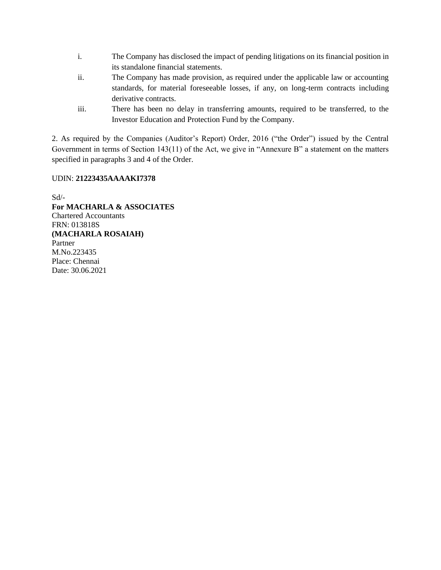- i. The Company has disclosed the impact of pending litigations on its financial position in its standalone financial statements.
- ii. The Company has made provision, as required under the applicable law or accounting standards, for material foreseeable losses, if any, on long-term contracts including derivative contracts.
- iii. There has been no delay in transferring amounts, required to be transferred, to the Investor Education and Protection Fund by the Company.

2. As required by the Companies (Auditor's Report) Order, 2016 ("the Order") issued by the Central Government in terms of Section 143(11) of the Act, we give in "Annexure B" a statement on the matters specified in paragraphs 3 and 4 of the Order.

## UDIN: **21223435AAAAKI7378**

Sd/- **For MACHARLA & ASSOCIATES** Chartered Accountants FRN: 013818S **(MACHARLA ROSAIAH)** Partner M.No.223435 Place: Chennai Date: 30.06.2021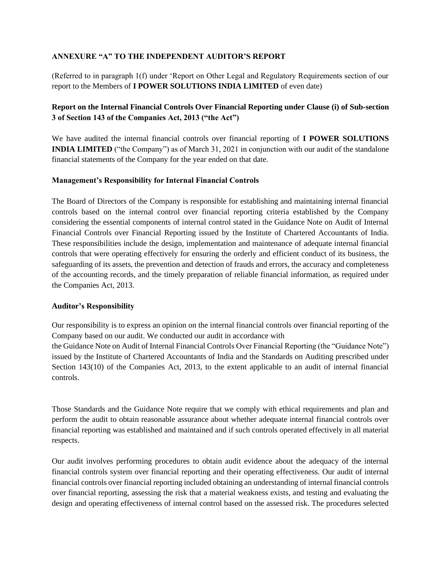# **ANNEXURE "A" TO THE INDEPENDENT AUDITOR'S REPORT**

(Referred to in paragraph 1(f) under 'Report on Other Legal and Regulatory Requirements section of our report to the Members of **I POWER SOLUTIONS INDIA LIMITED** of even date)

# **Report on the Internal Financial Controls Over Financial Reporting under Clause (i) of Sub-section 3 of Section 143 of the Companies Act, 2013 ("the Act")**

We have audited the internal financial controls over financial reporting of **I POWER SOLUTIONS INDIA LIMITED** ("the Company") as of March 31, 2021 in conjunction with our audit of the standalone financial statements of the Company for the year ended on that date.

# **Management's Responsibility for Internal Financial Controls**

The Board of Directors of the Company is responsible for establishing and maintaining internal financial controls based on the internal control over financial reporting criteria established by the Company considering the essential components of internal control stated in the Guidance Note on Audit of Internal Financial Controls over Financial Reporting issued by the Institute of Chartered Accountants of India. These responsibilities include the design, implementation and maintenance of adequate internal financial controls that were operating effectively for ensuring the orderly and efficient conduct of its business, the safeguarding of its assets, the prevention and detection of frauds and errors, the accuracy and completeness of the accounting records, and the timely preparation of reliable financial information, as required under the Companies Act, 2013.

# **Auditor's Responsibility**

Our responsibility is to express an opinion on the internal financial controls over financial reporting of the Company based on our audit. We conducted our audit in accordance with the Guidance Note on Audit of Internal Financial Controls Over Financial Reporting (the "Guidance Note") issued by the Institute of Chartered Accountants of India and the Standards on Auditing prescribed under Section 143(10) of the Companies Act, 2013, to the extent applicable to an audit of internal financial controls.

Those Standards and the Guidance Note require that we comply with ethical requirements and plan and perform the audit to obtain reasonable assurance about whether adequate internal financial controls over financial reporting was established and maintained and if such controls operated effectively in all material respects.

Our audit involves performing procedures to obtain audit evidence about the adequacy of the internal financial controls system over financial reporting and their operating effectiveness. Our audit of internal financial controls over financial reporting included obtaining an understanding of internal financial controls over financial reporting, assessing the risk that a material weakness exists, and testing and evaluating the design and operating effectiveness of internal control based on the assessed risk. The procedures selected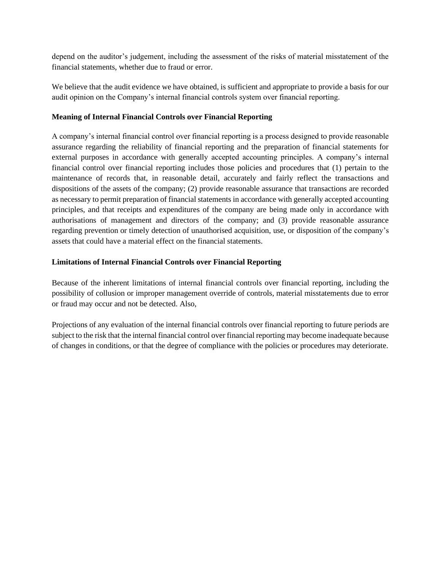depend on the auditor's judgement, including the assessment of the risks of material misstatement of the financial statements, whether due to fraud or error.

We believe that the audit evidence we have obtained, is sufficient and appropriate to provide a basis for our audit opinion on the Company's internal financial controls system over financial reporting.

# **Meaning of Internal Financial Controls over Financial Reporting**

A company's internal financial control over financial reporting is a process designed to provide reasonable assurance regarding the reliability of financial reporting and the preparation of financial statements for external purposes in accordance with generally accepted accounting principles. A company's internal financial control over financial reporting includes those policies and procedures that (1) pertain to the maintenance of records that, in reasonable detail, accurately and fairly reflect the transactions and dispositions of the assets of the company; (2) provide reasonable assurance that transactions are recorded as necessary to permit preparation of financial statements in accordance with generally accepted accounting principles, and that receipts and expenditures of the company are being made only in accordance with authorisations of management and directors of the company; and (3) provide reasonable assurance regarding prevention or timely detection of unauthorised acquisition, use, or disposition of the company's assets that could have a material effect on the financial statements.

# **Limitations of Internal Financial Controls over Financial Reporting**

Because of the inherent limitations of internal financial controls over financial reporting, including the possibility of collusion or improper management override of controls, material misstatements due to error or fraud may occur and not be detected. Also,

Projections of any evaluation of the internal financial controls over financial reporting to future periods are subject to the risk that the internal financial control over financial reporting may become inadequate because of changes in conditions, or that the degree of compliance with the policies or procedures may deteriorate.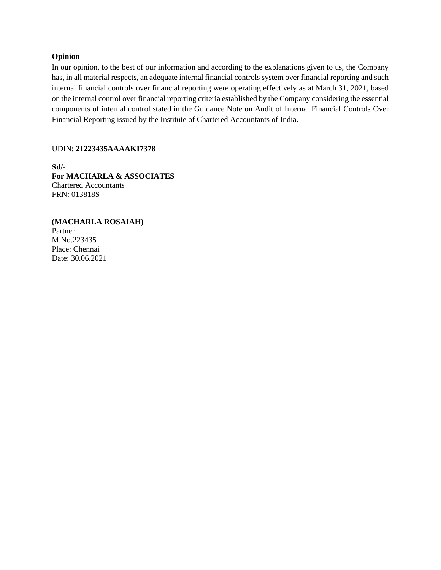#### **Opinion**

In our opinion, to the best of our information and according to the explanations given to us, the Company has, in all material respects, an adequate internal financial controls system over financial reporting and such internal financial controls over financial reporting were operating effectively as at March 31, 2021, based on the internal control over financial reporting criteria established by the Company considering the essential components of internal control stated in the Guidance Note on Audit of Internal Financial Controls Over Financial Reporting issued by the Institute of Chartered Accountants of India.

UDIN: **21223435AAAAKI7378**

**Sd/- For MACHARLA & ASSOCIATES** Chartered Accountants FRN: 013818S

# **(MACHARLA ROSAIAH)**

Partner M.No.223435 Place: Chennai Date: 30.06.2021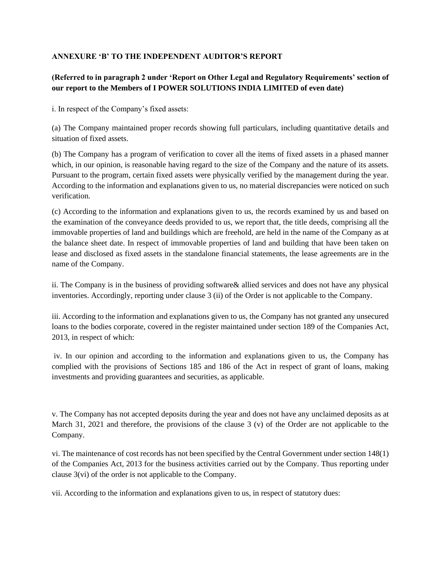# **ANNEXURE 'B' TO THE INDEPENDENT AUDITOR'S REPORT**

# **(Referred to in paragraph 2 under 'Report on Other Legal and Regulatory Requirements' section of our report to the Members of I POWER SOLUTIONS INDIA LIMITED of even date)**

i. In respect of the Company's fixed assets:

(a) The Company maintained proper records showing full particulars, including quantitative details and situation of fixed assets.

(b) The Company has a program of verification to cover all the items of fixed assets in a phased manner which, in our opinion, is reasonable having regard to the size of the Company and the nature of its assets. Pursuant to the program, certain fixed assets were physically verified by the management during the year. According to the information and explanations given to us, no material discrepancies were noticed on such verification.

(c) According to the information and explanations given to us, the records examined by us and based on the examination of the conveyance deeds provided to us, we report that, the title deeds, comprising all the immovable properties of land and buildings which are freehold, are held in the name of the Company as at the balance sheet date. In respect of immovable properties of land and building that have been taken on lease and disclosed as fixed assets in the standalone financial statements, the lease agreements are in the name of the Company.

ii. The Company is in the business of providing software& allied services and does not have any physical inventories. Accordingly, reporting under clause 3 (ii) of the Order is not applicable to the Company.

iii. According to the information and explanations given to us, the Company has not granted any unsecured loans to the bodies corporate, covered in the register maintained under section 189 of the Companies Act, 2013, in respect of which:

iv. In our opinion and according to the information and explanations given to us, the Company has complied with the provisions of Sections 185 and 186 of the Act in respect of grant of loans, making investments and providing guarantees and securities, as applicable.

v. The Company has not accepted deposits during the year and does not have any unclaimed deposits as at March 31, 2021 and therefore, the provisions of the clause 3 (v) of the Order are not applicable to the Company.

vi. The maintenance of cost records has not been specified by the Central Government under section 148(1) of the Companies Act, 2013 for the business activities carried out by the Company. Thus reporting under clause 3(vi) of the order is not applicable to the Company.

vii. According to the information and explanations given to us, in respect of statutory dues: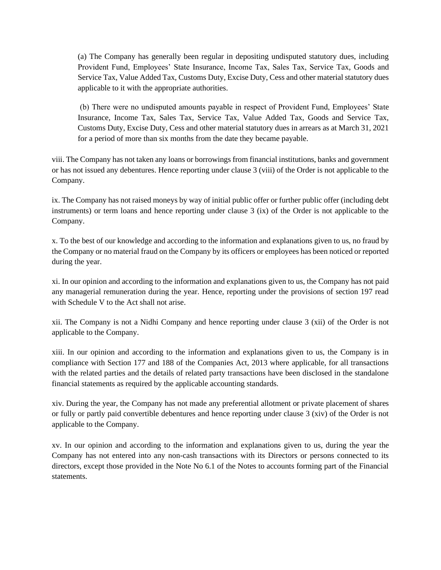(a) The Company has generally been regular in depositing undisputed statutory dues, including Provident Fund, Employees' State Insurance, Income Tax, Sales Tax, Service Tax, Goods and Service Tax, Value Added Tax, Customs Duty, Excise Duty, Cess and other material statutory dues applicable to it with the appropriate authorities.

(b) There were no undisputed amounts payable in respect of Provident Fund, Employees' State Insurance, Income Tax, Sales Tax, Service Tax, Value Added Tax, Goods and Service Tax, Customs Duty, Excise Duty, Cess and other material statutory dues in arrears as at March 31, 2021 for a period of more than six months from the date they became payable.

viii. The Company has not taken any loans or borrowings from financial institutions, banks and government or has not issued any debentures. Hence reporting under clause 3 (viii) of the Order is not applicable to the Company.

ix. The Company has not raised moneys by way of initial public offer or further public offer (including debt instruments) or term loans and hence reporting under clause 3 (ix) of the Order is not applicable to the Company.

x. To the best of our knowledge and according to the information and explanations given to us, no fraud by the Company or no material fraud on the Company by its officers or employees has been noticed or reported during the year.

xi. In our opinion and according to the information and explanations given to us, the Company has not paid any managerial remuneration during the year. Hence, reporting under the provisions of section 197 read with Schedule V to the Act shall not arise.

xii. The Company is not a Nidhi Company and hence reporting under clause 3 (xii) of the Order is not applicable to the Company.

xiii. In our opinion and according to the information and explanations given to us, the Company is in compliance with Section 177 and 188 of the Companies Act, 2013 where applicable, for all transactions with the related parties and the details of related party transactions have been disclosed in the standalone financial statements as required by the applicable accounting standards.

xiv. During the year, the Company has not made any preferential allotment or private placement of shares or fully or partly paid convertible debentures and hence reporting under clause 3 (xiv) of the Order is not applicable to the Company.

xv. In our opinion and according to the information and explanations given to us, during the year the Company has not entered into any non-cash transactions with its Directors or persons connected to its directors, except those provided in the Note No 6.1 of the Notes to accounts forming part of the Financial statements.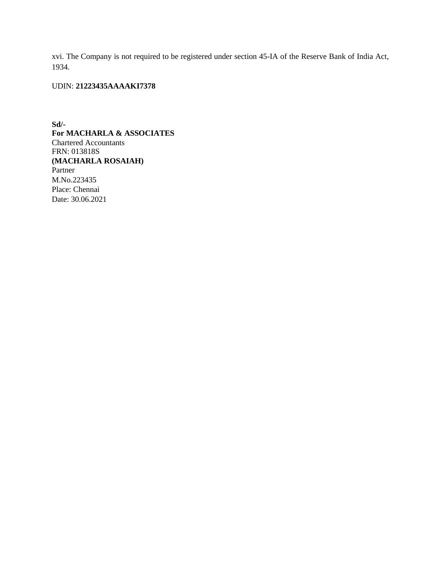xvi. The Company is not required to be registered under section 45-IA of the Reserve Bank of India Act, 1934.

#### UDIN: **21223435AAAAKI7378**

**Sd/- For MACHARLA & ASSOCIATES** Chartered Accountants FRN: 013818S **(MACHARLA ROSAIAH)** Partner M.No.223435 Place: Chennai Date: 30.06.2021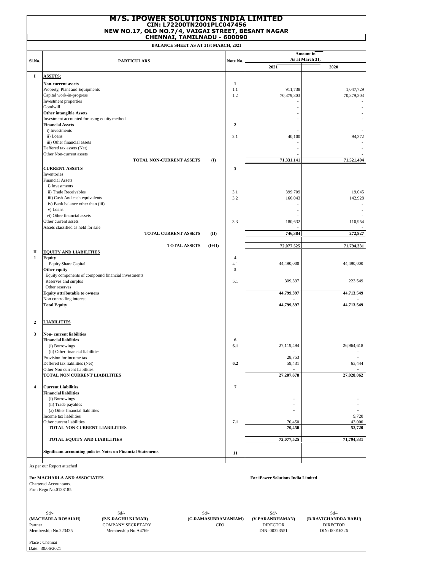### **CIN: L72200TN2001PLC047456 M/S. IPOWER SOLUTIONS INDIA LIMITED NEW NO.17, OLD NO.7/4, VAIGAI STREET, BESANT NAGAR CHENNAI, TAMILNADU - 600090**

**BALANCE SHEET AS AT 31st MARCH, 2021**

|                | BALANCE SHEET AS AT 31St MARCH, 2021                                                              |                         |                                     |                                         |  |
|----------------|---------------------------------------------------------------------------------------------------|-------------------------|-------------------------------------|-----------------------------------------|--|
|                |                                                                                                   |                         | <b>Amount</b> in<br>As at March 31, |                                         |  |
| Sl.No.         | <b>PARTICULARS</b>                                                                                | Note No.                | 2021                                |                                         |  |
|                |                                                                                                   |                         |                                     | 2020                                    |  |
| $\bf{I}$       | <b>ASSETS:</b>                                                                                    |                         |                                     |                                         |  |
|                | Non-current assets                                                                                | $\mathbf{1}$            |                                     |                                         |  |
|                | Property, Plant and Equipments                                                                    | 1.1                     | 911,738                             | 1,047,729                               |  |
|                | Capital work-in-progress<br>Investment properties                                                 | 1.2                     | 70,379,303                          | 70,379,303                              |  |
|                | Goodwill                                                                                          |                         |                                     |                                         |  |
|                | <b>Other intangible Assets</b>                                                                    |                         |                                     |                                         |  |
|                | Investment accounted for using equity method                                                      |                         |                                     |                                         |  |
|                | <b>Financial Assets</b>                                                                           | $\mathbf{2}$            |                                     |                                         |  |
|                | i) Investments                                                                                    |                         |                                     |                                         |  |
|                | ii) Loans                                                                                         | 2.1                     | 40,100                              | 94,372                                  |  |
|                | iii) Other financial assets                                                                       |                         |                                     |                                         |  |
|                | Deffered tax assets (Net)<br>Other Non-current assets                                             |                         |                                     |                                         |  |
|                | TOTAL NON-CURRENT ASSETS<br>(I)                                                                   |                         | 71,331,141                          | 71,521,404                              |  |
|                |                                                                                                   |                         |                                     |                                         |  |
|                | <b>CURRENT ASSETS</b>                                                                             | 3                       |                                     |                                         |  |
|                | Inventories<br><b>Financial Assets</b>                                                            |                         |                                     |                                         |  |
|                | i) Investments                                                                                    |                         |                                     |                                         |  |
|                | ii) Trade Receivables                                                                             | 3.1                     | 399,709                             | 19,045                                  |  |
|                | iii) Cash And cash equivalents                                                                    | 3.2                     | 166,043                             | 142.928                                 |  |
|                | iv) Bank balance other than (iii)                                                                 |                         |                                     |                                         |  |
|                | v) Loans                                                                                          |                         | $\overline{a}$                      |                                         |  |
|                | vi) Other financial assets                                                                        |                         |                                     |                                         |  |
|                | Other current assets                                                                              | 3.3                     | 180,632                             | 110,954                                 |  |
|                | Assets classified as held for sale                                                                |                         |                                     |                                         |  |
|                | TOTAL CURRENT ASSETS<br>(II)                                                                      |                         | 746,384                             | 272,927                                 |  |
|                | <b>TOTAL ASSETS</b><br>$(I+II)$                                                                   |                         | 72,077,525                          | 71,794,331                              |  |
| $\mathbf{I}$   | <b>EQUITY AND LIABILITIES</b>                                                                     |                         |                                     |                                         |  |
| $\mathbf{1}$   | <b>Equity</b>                                                                                     | $\overline{\mathbf{4}}$ |                                     |                                         |  |
|                | Equity Share Capital                                                                              | 4.1                     | 44,490,000                          | 44,490,000                              |  |
|                | Other equity                                                                                      | 5                       |                                     |                                         |  |
|                | Equity components of compound financial investments                                               |                         |                                     |                                         |  |
|                | Reserves and surplus                                                                              | 5.1                     | 309,397                             | 223,549                                 |  |
|                | Other reserves                                                                                    |                         |                                     |                                         |  |
|                | <b>Equity attributable to owners</b>                                                              |                         | 44,799,397                          | 44,713,549                              |  |
|                | Non controlling interest<br><b>Total Equity</b>                                                   |                         | 44,799,397                          | 44,713,549                              |  |
|                |                                                                                                   |                         |                                     |                                         |  |
| 2              | <b>LIABILITIES</b>                                                                                |                         |                                     |                                         |  |
|                |                                                                                                   |                         |                                     |                                         |  |
| 3              | Non-current liabilities                                                                           |                         |                                     |                                         |  |
|                | <b>Financial liabilities</b>                                                                      | 6                       | 27,119,494                          | 26,964,618                              |  |
|                | (i) Borrowings<br>(ii) Other financial liabilities                                                | 6.1                     |                                     |                                         |  |
|                | Provision for income tax                                                                          |                         | 28,753                              |                                         |  |
|                | Deffered tax liabilities (Net)                                                                    | 6.2                     | 59,431                              | 63,444                                  |  |
|                | Other Non current liabilities                                                                     |                         |                                     |                                         |  |
|                | TOTAL NON CURRENT LIABILITIES                                                                     |                         | 27,207,678                          | 27,028,062                              |  |
|                |                                                                                                   |                         |                                     |                                         |  |
| $\overline{4}$ | <b>Current Liabilities</b>                                                                        | 7                       |                                     |                                         |  |
|                | <b>Financial liabilities</b>                                                                      |                         |                                     |                                         |  |
|                | (i) Borrowings                                                                                    |                         |                                     |                                         |  |
|                | (ii) Trade payables<br>(a) Other financial liabilities                                            |                         |                                     |                                         |  |
|                | Income tax liabilities                                                                            |                         |                                     | 9,720                                   |  |
|                | Other current liabilities                                                                         | 7.1                     | 70,450                              | 43,000                                  |  |
|                | TOTAL NON CURRENT LIABILITIES                                                                     |                         | 70,450                              | 52,720                                  |  |
|                |                                                                                                   |                         |                                     |                                         |  |
|                | TOTAL EQUITY AND LIABILITIES                                                                      |                         | 72,077,525                          | 71,794,331                              |  |
|                | <b>Significant accounting policies Notes on Financial Statements</b>                              | 11                      |                                     |                                         |  |
|                | As per our Report attached                                                                        |                         |                                     |                                         |  |
|                | For MACHARLA AND ASSOCIATES                                                                       |                         | For iPower Solutions India Limited  |                                         |  |
|                | Chartered Accountants.                                                                            |                         |                                     |                                         |  |
|                | Firm Regn No.0138185                                                                              |                         |                                     |                                         |  |
|                |                                                                                                   |                         |                                     |                                         |  |
|                |                                                                                                   |                         |                                     |                                         |  |
|                |                                                                                                   |                         |                                     |                                         |  |
|                | Sd/-<br>Sd/-<br>Sd/-                                                                              |                         | Sd/-                                | Sd/-                                    |  |
| Partner        | (MACHARLA ROSAIAH)<br>(P.K.RAGHU KUMAR)<br>(G.RAMASUBRAMANIAM)<br><b>COMPANY SECRETARY</b><br>CFO |                         | (V.PARANDHAMAN)<br><b>DIRECTOR</b>  | (D.RAVICHANDRA BABU)<br><b>DIRECTOR</b> |  |
|                | Membership No.223435<br>Membership No.A4769                                                       |                         | DIN: 00323551                       | DIN: 00016326                           |  |
|                |                                                                                                   |                         |                                     |                                         |  |

Place : Chennai Date: 30/06/2021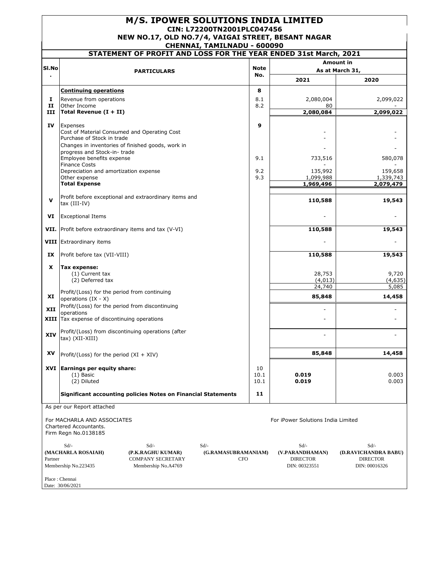# **M/S. IPOWER SOLUTIONS INDIA LIMITED NEW NO.17, OLD NO.7/4, VAIGAI STREET, BESANT NAGAR CHENNAI, TAMILNADU - 600090 CIN: L72200TN2001PLC047456**

|             | STATEMENT OF PROFIT AND LOSS FOR THE YEAR ENDED 31st March, 2021                                  |             | Amount in                          |                                         |  |  |
|-------------|---------------------------------------------------------------------------------------------------|-------------|------------------------------------|-----------------------------------------|--|--|
| SI.No       |                                                                                                   | <b>Note</b> | As at March 31,                    |                                         |  |  |
|             | <b>PARTICULARS</b>                                                                                | No.         | 2021                               | 2020                                    |  |  |
|             | <b>Continuing operations</b>                                                                      | 8           |                                    |                                         |  |  |
| Т.          | Revenue from operations                                                                           | 8.1         | 2,080,004                          | 2,099,022                               |  |  |
| п           | Other Income                                                                                      | 8.2         | 80                                 |                                         |  |  |
| ш           | Total Revenue $(I + II)$                                                                          |             | 2,080,084                          | 2,099,022                               |  |  |
| IV          | Expenses                                                                                          | 9           |                                    |                                         |  |  |
|             | Cost of Material Consumed and Operating Cost                                                      |             |                                    |                                         |  |  |
|             | Purchase of Stock in trade                                                                        |             |                                    |                                         |  |  |
|             | Changes in inventories of finished goods, work in<br>progress and Stock-in- trade                 |             |                                    |                                         |  |  |
|             | Employee benefits expense                                                                         | 9.1         | 733,516                            | 580,078                                 |  |  |
|             | <b>Finance Costs</b>                                                                              |             |                                    |                                         |  |  |
|             | Depreciation and amortization expense                                                             | 9.2         | 135,992                            | 159,658                                 |  |  |
|             | Other expense<br><b>Total Expense</b>                                                             | 9.3         | 1,099,988<br>1,969,496             | 1,339,743<br>2,079,479                  |  |  |
|             |                                                                                                   |             |                                    |                                         |  |  |
| $\mathbf v$ | Profit before exceptional and extraordinary items and<br>$tax (III-IV)$                           |             | 110,588                            | 19,543                                  |  |  |
| VI          | <b>Exceptional Items</b>                                                                          |             |                                    |                                         |  |  |
| VII.        | Profit before extraordinary items and tax (V-VI)                                                  |             | 110,588                            | 19,543                                  |  |  |
| VIII        | <b>Extraordinary items</b>                                                                        |             |                                    |                                         |  |  |
| IX          | Profit before tax (VII-VIII)                                                                      |             | 110,588                            | 19,543                                  |  |  |
| x           | Tax expense:                                                                                      |             |                                    |                                         |  |  |
|             | (1) Current tax                                                                                   |             | 28,753                             | 9,720                                   |  |  |
|             | (2) Deferred tax                                                                                  |             | (4,013)<br>24,740                  | (4,635)<br>5,085                        |  |  |
| XI          | Profit/(Loss) for the period from continuing                                                      |             | 85,848                             | 14,458                                  |  |  |
|             | operations $(IX - X)$                                                                             |             |                                    |                                         |  |  |
| XII         | Profit/(Loss) for the period from discontinuing<br>operations                                     |             |                                    |                                         |  |  |
|             | <b>XIII</b> Tax expense of discontinuing operations                                               |             |                                    |                                         |  |  |
|             | Profit/(Loss) from discontinuing operations (after                                                |             |                                    |                                         |  |  |
| XIV         | tax) (XII-XIII)                                                                                   |             |                                    |                                         |  |  |
| XV          | Profit/(Loss) for the period $(XI + XIV)$                                                         |             | 85,848                             | 14,458                                  |  |  |
|             | XVI Earnings per equity share:                                                                    | 10          |                                    |                                         |  |  |
|             | $(1)$ Basic                                                                                       | 10.1        | 0.019                              | 0.003                                   |  |  |
|             | (2) Diluted                                                                                       | 10.1        | 0.019                              | 0.003                                   |  |  |
|             | <b>Significant accounting policies Notes on Financial Statements</b>                              | 11          |                                    |                                         |  |  |
|             | As per our Report attached                                                                        |             |                                    |                                         |  |  |
|             |                                                                                                   |             |                                    |                                         |  |  |
|             | For MACHARLA AND ASSOCIATES                                                                       |             | For iPower Solutions India Limited |                                         |  |  |
|             | Chartered Accountants.<br>Firm Regn No.0138185                                                    |             |                                    |                                         |  |  |
|             |                                                                                                   |             |                                    |                                         |  |  |
|             | Sd/-<br>Sd/-<br>$Sd$ /-                                                                           |             | Sd/-                               | Sd/-                                    |  |  |
| Partner     | (MACHARLA ROSAIAH)<br>(P.K.RAGHU KUMAR)<br>(G.RAMASUBRAMANIAM)<br>COMPANY SECRETARY<br><b>CFO</b> |             | (V.PARANDHAMAN)<br><b>DIRECTOR</b> | (D.RAVICHANDRA BABU)<br><b>DIRECTOR</b> |  |  |
|             | Membership No.223435<br>Membership No.A4769                                                       |             | DIN: 00323551                      | DIN: 00016326                           |  |  |
|             |                                                                                                   |             |                                    |                                         |  |  |
|             | Place: Chennai<br>Date: 30/06/2021                                                                |             |                                    |                                         |  |  |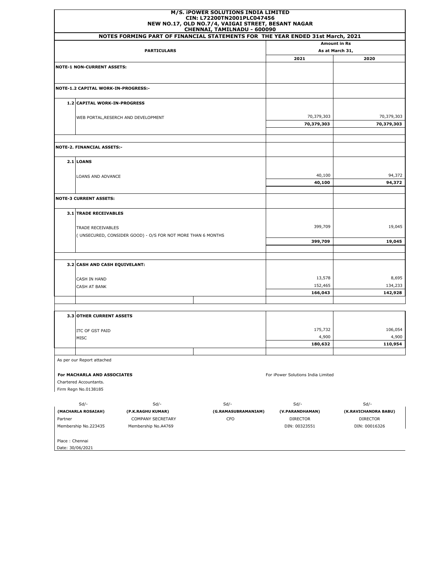|                                     |                                                             |                                     | M/S. IPOWER SOLUTIONS INDIA LIMITED<br>CIN: L72200TN2001PLC047456<br>NEW NO.17, OLD NO.7/4, VAIGAI STREET, BESANT NAGAR |                                        |                      |  |  |
|-------------------------------------|-------------------------------------------------------------|-------------------------------------|-------------------------------------------------------------------------------------------------------------------------|----------------------------------------|----------------------|--|--|
|                                     |                                                             |                                     | CHENNAI, TAMILNADU - 600090                                                                                             |                                        |                      |  |  |
|                                     |                                                             |                                     | NOTES FORMING PART OF FINANCIAL STATEMENTS FOR THE YEAR ENDED 31st March, 2021                                          |                                        |                      |  |  |
|                                     |                                                             | <b>PARTICULARS</b>                  |                                                                                                                         | <b>Amount in Rs</b><br>As at March 31, |                      |  |  |
|                                     |                                                             |                                     |                                                                                                                         | 2021                                   | 2020                 |  |  |
| <b>NOTE-1 NON-CURRENT ASSETS:</b>   |                                                             |                                     |                                                                                                                         |                                        |                      |  |  |
|                                     |                                                             |                                     |                                                                                                                         |                                        |                      |  |  |
| NOTE-1.2 CAPITAL WORK-IN-PROGRESS:- |                                                             |                                     |                                                                                                                         |                                        |                      |  |  |
|                                     |                                                             | 1.2 CAPITAL WORK-IN-PROGRESS        |                                                                                                                         |                                        |                      |  |  |
|                                     |                                                             | WEB PORTAL, RESERCH AND DEVELOPMENT |                                                                                                                         | 70,379,303                             | 70,379,303           |  |  |
|                                     |                                                             |                                     |                                                                                                                         | 70,379,303                             | 70,379,303           |  |  |
|                                     |                                                             |                                     |                                                                                                                         |                                        |                      |  |  |
| NOTE-2. FINANCIAL ASSETS:-          |                                                             |                                     |                                                                                                                         |                                        |                      |  |  |
| 2.1 LOANS                           |                                                             |                                     |                                                                                                                         |                                        |                      |  |  |
|                                     |                                                             |                                     |                                                                                                                         |                                        |                      |  |  |
|                                     | <b>LOANS AND ADVANCE</b>                                    |                                     | 40,100                                                                                                                  | 94,372                                 |                      |  |  |
|                                     |                                                             |                                     | 40,100                                                                                                                  | 94,372                                 |                      |  |  |
| <b>NOTE-3 CURRENT ASSETS:</b>       |                                                             |                                     |                                                                                                                         |                                        |                      |  |  |
|                                     | <b>3.1 TRADE RECEIVABLES</b>                                |                                     |                                                                                                                         |                                        |                      |  |  |
|                                     | TRADE RECEIVABLES                                           |                                     |                                                                                                                         | 399,709                                | 19,045               |  |  |
|                                     | (UNSECURED, CONSIDER GOOD) - O/S FOR NOT MORE THAN 6 MONTHS |                                     |                                                                                                                         |                                        |                      |  |  |
|                                     |                                                             |                                     |                                                                                                                         | 399,709                                | 19,045               |  |  |
|                                     |                                                             |                                     |                                                                                                                         |                                        |                      |  |  |
|                                     |                                                             | 3.2 CASH AND CASH EQUIVELANT:       |                                                                                                                         |                                        |                      |  |  |
|                                     | CASH IN HAND                                                |                                     |                                                                                                                         | 13,578                                 | 8,695                |  |  |
|                                     | CASH AT BANK                                                |                                     |                                                                                                                         | 152,465                                | 134,233              |  |  |
|                                     |                                                             |                                     |                                                                                                                         | 166,043                                | 142,928              |  |  |
|                                     |                                                             |                                     |                                                                                                                         |                                        |                      |  |  |
|                                     | <b>3.3 OTHER CURRENT ASSETS</b>                             |                                     |                                                                                                                         |                                        |                      |  |  |
|                                     |                                                             |                                     |                                                                                                                         | 175,732                                | 106,054              |  |  |
| MISC                                | ITC OF GST PAID                                             |                                     |                                                                                                                         | 4,900                                  | 4,900                |  |  |
|                                     |                                                             |                                     |                                                                                                                         | 180,632                                | 110,954              |  |  |
|                                     |                                                             |                                     |                                                                                                                         |                                        |                      |  |  |
| As per our Report attached          |                                                             |                                     |                                                                                                                         |                                        |                      |  |  |
| For MACHARLA AND ASSOCIATES         |                                                             |                                     |                                                                                                                         | For iPower Solutions India Limited     |                      |  |  |
| Chartered Accountants.              |                                                             |                                     |                                                                                                                         |                                        |                      |  |  |
| Firm Regn No.0138185                |                                                             |                                     |                                                                                                                         |                                        |                      |  |  |
| $Sd$ -                              |                                                             | $Sd$ -                              | $Sd$ -                                                                                                                  | $Sd$ -                                 | $Sd$ -               |  |  |
| (MACHARLA ROSAIAH)                  |                                                             | (P.K.RAGHU KUMAR)                   | (G.RAMASUBRAMANIAM)                                                                                                     | (V.PARANDHAMAN)                        | (K.RAVICHANDRA BABU) |  |  |
| Partner                             |                                                             | <b>COMPANY SECRETARY</b>            | CFO                                                                                                                     | <b>DIRECTOR</b>                        | <b>DIRECTOR</b>      |  |  |
| Membership No.223435                |                                                             | Membership No.A4769                 |                                                                                                                         | DIN: 00323551                          | DIN: 00016326        |  |  |
| Place: Chennai                      |                                                             |                                     |                                                                                                                         |                                        |                      |  |  |
| Date: 30/06/2021                    |                                                             |                                     |                                                                                                                         |                                        |                      |  |  |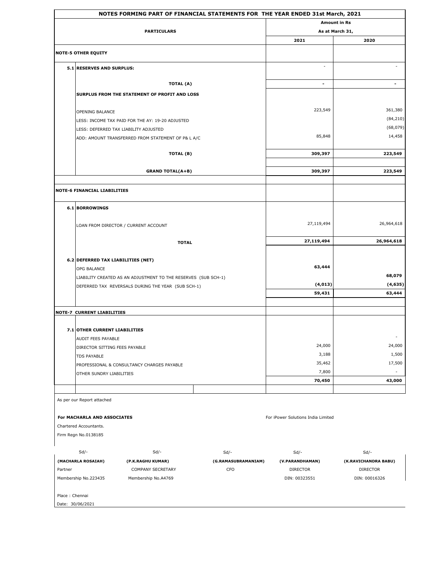|                                                                |                                                     | NOTES FORMING PART OF FINANCIAL STATEMENTS FOR THE YEAR ENDED 31st March, 2021                                       |                 |                                    |                          |
|----------------------------------------------------------------|-----------------------------------------------------|----------------------------------------------------------------------------------------------------------------------|-----------------|------------------------------------|--------------------------|
|                                                                |                                                     |                                                                                                                      |                 | <b>Amount in Rs</b>                |                          |
|                                                                |                                                     | <b>PARTICULARS</b>                                                                                                   |                 | As at March 31,                    |                          |
|                                                                |                                                     |                                                                                                                      |                 | 2021                               | 2020                     |
|                                                                | <b>NOTE-5 OTHER EQUITY</b>                          |                                                                                                                      |                 |                                    |                          |
|                                                                | 5.1 RESERVES AND SURPLUS:                           |                                                                                                                      |                 | $\overline{\phantom{a}}$           |                          |
|                                                                |                                                     | TOTAL (A)                                                                                                            |                 | $\overline{\phantom{a}}$           | $\blacksquare$           |
|                                                                |                                                     | SURPLUS FROM THE STATEMENT OF PROFIT AND LOSS                                                                        |                 |                                    |                          |
|                                                                |                                                     |                                                                                                                      |                 |                                    |                          |
|                                                                | OPENING BALANCE                                     |                                                                                                                      | 223,549         | 361,380                            |                          |
|                                                                |                                                     | LESS: INCOME TAX PAID FOR THE AY: 19-20 ADJUSTED                                                                     |                 |                                    | (84, 210)                |
|                                                                |                                                     | LESS: DEFERRED TAX LIABILITY ADJUSTED                                                                                |                 |                                    | (68, 079)                |
|                                                                |                                                     | ADD: AMOUNT TRANSFERRED FROM STATEMENT OF P& L A/C                                                                   |                 | 85,848                             | 14,458                   |
|                                                                |                                                     | TOTAL (B)                                                                                                            |                 | 309,397                            | 223,549                  |
|                                                                |                                                     | <b>GRAND TOTAL(A+B)</b>                                                                                              |                 | 309,397                            | 223,549                  |
|                                                                |                                                     |                                                                                                                      |                 |                                    |                          |
|                                                                | <b>NOTE-6 FINANCIAL LIABILITIES</b>                 |                                                                                                                      |                 |                                    |                          |
|                                                                | 6.1 BORROWINGS                                      |                                                                                                                      |                 |                                    |                          |
|                                                                |                                                     | LOAN FROM DIRECTOR / CURRENT ACCOUNT                                                                                 | 27,119,494      | 26,964,618                         |                          |
|                                                                |                                                     | <b>TOTAL</b>                                                                                                         |                 | 27,119,494                         | 26,964,618               |
|                                                                |                                                     |                                                                                                                      |                 |                                    |                          |
|                                                                | 6.2 DEFERRED TAX LIABILITIES (NET)                  |                                                                                                                      |                 | 63,444                             |                          |
|                                                                | OPG BALANCE                                         |                                                                                                                      |                 |                                    | 68,079                   |
|                                                                |                                                     | LIABILITY CREATED AS AN ADJUSTMENT TO THE RESERVES (SUB SCH-1)<br>DEFERRED TAX REVERSALS DURING THE YEAR (SUB SCH-1) |                 | (4, 013)                           | (4, 635)                 |
|                                                                |                                                     |                                                                                                                      |                 | 59,431                             | 63,444                   |
|                                                                |                                                     |                                                                                                                      |                 |                                    |                          |
|                                                                | <b>NOTE-7 CURRENT LIABILITIES</b>                   |                                                                                                                      |                 |                                    |                          |
|                                                                |                                                     |                                                                                                                      |                 |                                    |                          |
|                                                                | 7.1 OTHER CURRENT LIABILITIES<br>AUDIT FEES PAYABLE |                                                                                                                      |                 |                                    | $\overline{\phantom{a}}$ |
|                                                                | DIRECTOR SITTING FEES PAYABLE                       |                                                                                                                      |                 | 24,000                             | 24,000                   |
|                                                                | <b>TDS PAYABLE</b>                                  |                                                                                                                      |                 | 3,188                              | 1,500                    |
|                                                                |                                                     | PROFESSIONAL & CONSULTANCY CHARGES PAYABLE                                                                           |                 | 35,462                             | 17,500                   |
|                                                                | OTHER SUNDRY LIABILITIES                            |                                                                                                                      |                 | 7,800                              |                          |
|                                                                |                                                     |                                                                                                                      |                 | 70,450                             | 43,000                   |
|                                                                | As per our Report attached                          |                                                                                                                      |                 |                                    |                          |
|                                                                |                                                     |                                                                                                                      |                 |                                    |                          |
|                                                                | For MACHARLA AND ASSOCIATES                         |                                                                                                                      |                 | For iPower Solutions India Limited |                          |
|                                                                | Chartered Accountants.                              |                                                                                                                      |                 |                                    |                          |
|                                                                | Firm Regn No.0138185                                |                                                                                                                      |                 |                                    |                          |
|                                                                | $Sd$ /-                                             | $Sd$ -                                                                                                               | $Sd$ /-         | $Sd$ /-                            | $Sd$ /-                  |
| (MACHARLA ROSAIAH)<br>(G.RAMASUBRAMANIAM)<br>(P.K.RAGHU KUMAR) |                                                     |                                                                                                                      | (V.PARANDHAMAN) | (K.RAVICHANDRA BABU)               |                          |
| Partner                                                        |                                                     | <b>COMPANY SECRETARY</b>                                                                                             | <b>DIRECTOR</b> | <b>DIRECTOR</b>                    |                          |
|                                                                | Membership No.223435                                | Membership No.A4769                                                                                                  |                 | DIN: 00323551                      | DIN: 00016326            |
| Place: Chennai                                                 |                                                     |                                                                                                                      |                 |                                    |                          |
|                                                                | Date: 30/06/2021                                    |                                                                                                                      |                 |                                    |                          |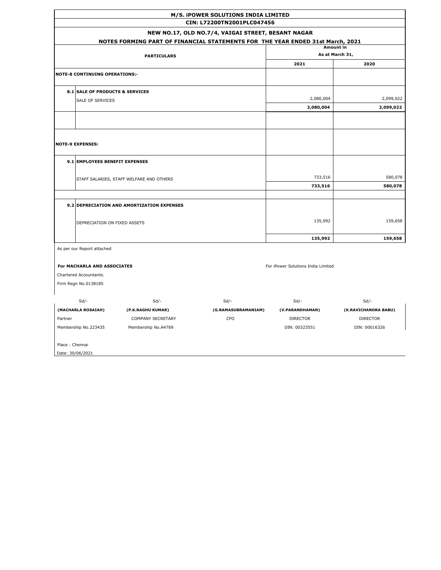|                |                                       |                                                                                | M/S. IPOWER SOLUTIONS INDIA LIMITED                |                                    |                      |  |
|----------------|---------------------------------------|--------------------------------------------------------------------------------|----------------------------------------------------|------------------------------------|----------------------|--|
|                |                                       |                                                                                | CIN: L72200TN2001PLC047456                         |                                    |                      |  |
|                |                                       |                                                                                | NEW NO.17, OLD NO.7/4, VAIGAI STREET, BESANT NAGAR |                                    |                      |  |
|                |                                       | NOTES FORMING PART OF FINANCIAL STATEMENTS FOR THE YEAR ENDED 31st March, 2021 |                                                    |                                    |                      |  |
|                |                                       | <b>PARTICULARS</b>                                                             |                                                    | Amount in                          | As at March 31,      |  |
|                |                                       |                                                                                |                                                    | 2021                               | 2020                 |  |
|                | <b>NOTE-8 CONTINUING OPERATIONS:-</b> |                                                                                |                                                    |                                    |                      |  |
|                | 8.1 SALE OF PRODUCTS & SERVICES       |                                                                                |                                                    |                                    |                      |  |
|                | SALE OF SERVICES                      |                                                                                |                                                    | 2,080,004                          | 2,099,022            |  |
|                |                                       |                                                                                |                                                    | 2,080,004                          | 2,099,022            |  |
|                | <b>NOTE-9 EXPENSES:</b>               |                                                                                |                                                    |                                    |                      |  |
|                | 9.1 EMPLOYEES BENEFIT EXPENSES        |                                                                                |                                                    |                                    |                      |  |
|                |                                       | STAFF SALARIES, STAFF WELFARE AND OTHERS                                       |                                                    | 733,516                            | 580,078              |  |
|                |                                       |                                                                                |                                                    | 733,516                            | 580,078              |  |
|                |                                       |                                                                                |                                                    |                                    |                      |  |
|                |                                       | 9.2 DEPRECIATION AND AMORTIZATION EXPENSES                                     |                                                    |                                    |                      |  |
|                | DEPRECIATION ON FIXED ASSETS          |                                                                                |                                                    | 135,992                            |                      |  |
|                |                                       |                                                                                |                                                    | 135,992                            | 159,658              |  |
|                | As per our Report attached            |                                                                                |                                                    |                                    |                      |  |
|                | For MACHARLA AND ASSOCIATES           |                                                                                |                                                    | For iPower Solutions India Limited |                      |  |
|                | Chartered Accountants.                |                                                                                |                                                    |                                    |                      |  |
|                | Firm Regn No.0138185                  |                                                                                |                                                    |                                    |                      |  |
|                | $Sd$ /-                               | $Sd$ -                                                                         | $Sd$ -                                             | $Sd$ -                             | $Sd$ -               |  |
|                | (MACHARLA ROSAIAH)                    | (P.K.RAGHU KUMAR)                                                              | (G.RAMASUBRAMANIAM)                                | (V.PARANDHAMAN)                    | (K.RAVICHANDRA BABU) |  |
| Partner        |                                       | <b>COMPANY SECRETARY</b>                                                       | CFO                                                | <b>DIRECTOR</b>                    | <b>DIRECTOR</b>      |  |
|                | Membership No.223435                  | Membership No.A4769                                                            |                                                    | DIN: 00323551                      | DIN: 00016326        |  |
| Place: Chennai |                                       |                                                                                |                                                    |                                    |                      |  |
|                | Date: 30/06/2021                      |                                                                                |                                                    |                                    |                      |  |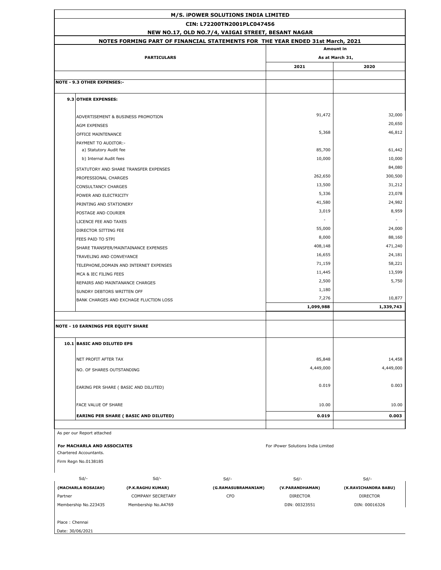#### **M/S. iPOWER SOLUTIONS INDIA LIMITED**

**CIN: L72200TN2001PLC047456**

### **NEW NO.17, OLD NO.7/4, VAIGAI STREET, BESANT NAGAR**

| NOTES FORMING PART OF FINANCIAL STATEMENTS FOR THE YEAR ENDED 31st March, 2021 |       |                 |
|--------------------------------------------------------------------------------|-------|-----------------|
|                                                                                |       | Amount in       |
| <b>PARTICULARS</b>                                                             |       | As at March 31, |
|                                                                                | י רחר |                 |

|                                            | 2021      | 2020      |
|--------------------------------------------|-----------|-----------|
|                                            |           |           |
| <b>NOTE - 9.3 OTHER EXPENSES:-</b>         |           |           |
| 9.3 OTHER EXPENSES:                        |           |           |
| ADVERTISEMENT & BUSINESS PROMOTION         | 91,472    | 32,000    |
| <b>AGM EXPENSES</b>                        |           | 20,650    |
| OFFICE MAINTENANCE                         | 5,368     | 46,812    |
| PAYMENT TO AUDITOR:-                       |           |           |
| a) Statutory Audit fee                     | 85,700    | 61,442    |
| b) Internal Audit fees                     | 10,000    | 10,000    |
| STATUTORY AND SHARE TRANSFER EXPENSES      |           | 84,080    |
| PROFESSIONAL CHARGES                       | 262,650   | 300,500   |
| CONSULTANCY CHARGES                        | 13,500    | 31,212    |
| POWER AND ELECTRICITY                      | 5,336     | 23,078    |
| PRINTING AND STATIONERY                    | 41,580    | 24,982    |
| POSTAGE AND COURIER                        | 3,019     | 8,959     |
| LICENCE FEE AND TAXES                      |           |           |
| DIRECTOR SITTING FEE                       | 55,000    | 24,000    |
| FEES PAID TO STPI                          | 8,000     | 88,160    |
| SHARE TRANSFER/MAINTAINANCE EXPENSES       | 408,148   | 471,240   |
| TRAVELING AND CONVEYANCE                   | 16,655    | 24,181    |
| TELEPHONE, DOMAIN AND INTERNET EXPENSES    | 71,159    | 58,221    |
| MCA & IEC FILING FEES                      | 11,445    | 13,599    |
| REPAIRS AND MAINTANANCE CHARGES            | 2,500     | 5,750     |
| SUNDRY DEBTORS WRITTEN OFF                 | 1,180     |           |
| BANK CHARGES AND EXCHAGE FLUCTION LOSS     | 7,276     | 10,877    |
|                                            | 1,099,988 | 1,339,743 |
|                                            |           |           |
| <b>NOTE - 10 EARNINGS PER EQUITY SHARE</b> |           |           |
| 10.1 BASIC AND DILUTED EPS                 |           |           |
| NET PROFIT AFTER TAX                       | 85,848    | 14,458    |
| NO. OF SHARES OUTSTANDING                  | 4,449,000 | 4,449,000 |
| EARING PER SHARE ( BASIC AND DILUTED)      | 0.019     | 0.003     |
| FACE VALUE OF SHARE                        | 10.00     | 10.00     |
| EARING PER SHARE ( BASIC AND DILUTED)      | 0.019     | 0.003     |
|                                            |           |           |

As per our Report attached

Date: 30/06/2021

| For MACHARLA AND ASSOCIATES<br>Chartered Accountants. |                          |                     | For iPower Solutions India Limited |                      |
|-------------------------------------------------------|--------------------------|---------------------|------------------------------------|----------------------|
| Firm Regn No.0138185                                  |                          |                     |                                    |                      |
| $Sd$ -                                                | $Sd$ /-                  | $Sd$ /-             | $Sd$ /-                            | $Sd$ -               |
| (MACHARLA ROSAIAH)                                    | (P.K.RAGHU KUMAR)        | (G.RAMASUBRAMANIAM) | (V.PARANDHAMAN)                    | (K.RAVICHANDRA BABU) |
| Partner                                               | <b>COMPANY SECRETARY</b> | CFO                 | <b>DIRECTOR</b>                    | <b>DIRECTOR</b>      |
| Membership No.223435                                  | Membership No.A4769      |                     | DIN: 00323551                      | DIN: 00016326        |
|                                                       |                          |                     |                                    |                      |
| Place: Chennai                                        |                          |                     |                                    |                      |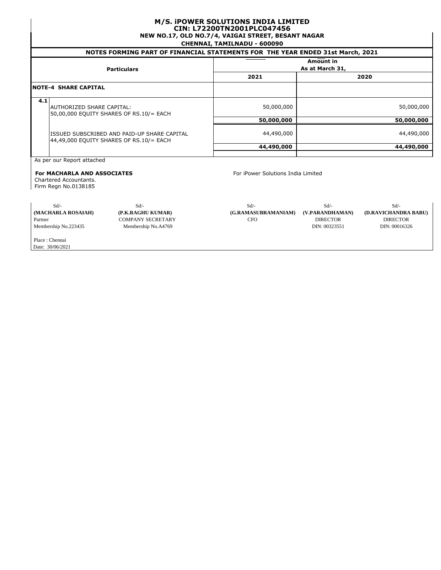#### **CIN: L72200TN2001PLC047456 M/S. iPOWER SOLUTIONS INDIA LIMITED NEW NO.17, OLD NO.7/4, VAIGAI STREET, BESANT NAGAR CHENNAI, TAMILNADU - 600090**

| CHENNAL, IAMILINADO - 600090                                                           |                              |            |  |  |  |  |  |
|----------------------------------------------------------------------------------------|------------------------------|------------|--|--|--|--|--|
| NOTES FORMING PART OF FINANCIAL STATEMENTS FOR THE YEAR ENDED 31st March, 2021         |                              |            |  |  |  |  |  |
| <b>Particulars</b>                                                                     | Amount in<br>As at March 31, |            |  |  |  |  |  |
|                                                                                        | 2021                         | 2020       |  |  |  |  |  |
| <b>INOTE-4 SHARE CAPITAL</b>                                                           |                              |            |  |  |  |  |  |
| 4.1<br>AUTHORIZED SHARE CAPITAL:<br>50,00,000 EQUITY SHARES OF RS.10/= EACH            | 50,000,000                   | 50,000,000 |  |  |  |  |  |
|                                                                                        | 50,000,000                   | 50,000,000 |  |  |  |  |  |
| ISSUED SUBSCRIBED AND PAID-UP SHARE CAPITAL<br>44,49,000 EQUITY SHARES OF RS.10/= EACH | 44,490,000                   | 44,490,000 |  |  |  |  |  |
|                                                                                        | 44,490,000                   | 44,490,000 |  |  |  |  |  |
|                                                                                        |                              |            |  |  |  |  |  |

As per our Report attached

#### **For MACHARLA AND ASSOCIATES For MACHARLA AND ASSOCIATES For iPower Solutions India Limited**

Chartered Accountants. Firm Regn No.0138185

| $Sd$ -               | $Sd$ /-                  | $Sd/-$              | Sd              | Sd/-                 |
|----------------------|--------------------------|---------------------|-----------------|----------------------|
| (MACHARLA ROSAIAH)   | (P.K.RAGHU KUMAR)        | (G.RAMASUBRAMANIAM) | (V.PARANDHAMAN) | (D.RAVICHANDRA BABU) |
| Partner              | <b>COMPANY SECRETARY</b> | CFO                 | <b>DIRECTOR</b> | <b>DIRECTOR</b>      |
| Membership No.223435 | Membership No.A4769      |                     | DIN: 00323551   | DIN: 00016326        |
|                      |                          |                     |                 |                      |
| Place: Chennai       |                          |                     |                 |                      |
| Date: 30/06/2021     |                          |                     |                 |                      |
|                      |                          |                     |                 |                      |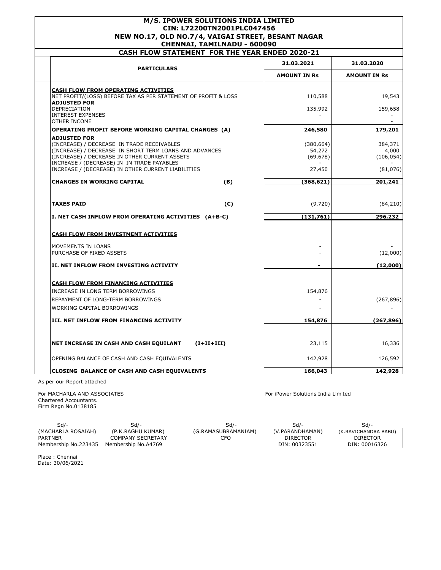#### **CIN: L72200TN2001PLC047456 M/S. IPOWER SOLUTIONS INDIA LIMITED NEW NO.17, OLD NO.7/4, VAIGAI STREET, BESANT NAGAR CASH FLOW STATEMENT FOR THE YEAR ENDED 2020-21 CHENNAI, TAMILNADU - 600090**

|                                                                                                                                                                                                                                                                                  | <b>PARTICULARS</b>                                             | 31.03.2021                                  | 31.03.2020                                 |  |
|----------------------------------------------------------------------------------------------------------------------------------------------------------------------------------------------------------------------------------------------------------------------------------|----------------------------------------------------------------|---------------------------------------------|--------------------------------------------|--|
|                                                                                                                                                                                                                                                                                  |                                                                | <b>AMOUNT IN Rs</b>                         | <b>AMOUNT IN Rs</b>                        |  |
| CASH FLOW FROM OPERATING ACTIVITIES                                                                                                                                                                                                                                              | NET PROFIT/(LOSS) BEFORE TAX AS PER STATEMENT OF PROFIT & LOSS | 110,588                                     | 19,543                                     |  |
| <b>ADJUSTED FOR</b><br><b>DEPRECIATION</b><br><b>INTEREST EXPENSES</b><br>OTHER INCOME                                                                                                                                                                                           |                                                                | 135,992                                     | 159,658                                    |  |
|                                                                                                                                                                                                                                                                                  | <b>OPERATING PROFIT BEFORE WORKING CAPITAL CHANGES (A)</b>     | 246,580                                     | 179,201                                    |  |
| <b>ADJUSTED FOR</b><br>(INCREASE) / DECREASE IN TRADE RECEIVABLES<br>(INCREASE) / DECREASE IN SHORT TERM LOANS AND ADVANCES<br>(INCREASE) / DECREASE IN OTHER CURRENT ASSETS<br>INCREASE / (DECREASE) IN IN TRADE PAYABLES<br>INCREASE / (DECREASE) IN OTHER CURRENT LIABILITIES |                                                                | (380, 664)<br>54,272<br>(69, 678)<br>27,450 | 384,371<br>4,000<br>(106, 054)<br>(81,076) |  |
| <b>CHANGES IN WORKING CAPITAL</b>                                                                                                                                                                                                                                                | (B)                                                            | (368, 621)                                  | 201,241                                    |  |
|                                                                                                                                                                                                                                                                                  |                                                                |                                             |                                            |  |
| <b>TAXES PAID</b>                                                                                                                                                                                                                                                                | (C)                                                            | (9,720)                                     | (84, 210)                                  |  |
| I. NET CASH INFLOW FROM OPERATING ACTIVITIES (A+B-C)                                                                                                                                                                                                                             |                                                                | (131,761)                                   | 296,232                                    |  |
| CASH FLOW FROM INVESTMENT ACTIVITIES                                                                                                                                                                                                                                             |                                                                |                                             |                                            |  |
| MOVEMENTS IN LOANS<br>PURCHASE OF FIXED ASSETS                                                                                                                                                                                                                                   |                                                                |                                             | (12,000)                                   |  |
| II. NET INFLOW FROM INVESTING ACTIVITY                                                                                                                                                                                                                                           |                                                                | $\blacksquare$                              | (12,000)                                   |  |
| CASH FLOW FROM FINANCING ACTIVITIES                                                                                                                                                                                                                                              |                                                                |                                             |                                            |  |
| INCREASE IN LONG TERM BORROWINGS                                                                                                                                                                                                                                                 |                                                                | 154,876                                     |                                            |  |
| REPAYMENT OF LONG-TERM BORROWINGS                                                                                                                                                                                                                                                |                                                                |                                             | (267, 896)                                 |  |
| <b>WORKING CAPITAL BORROWINGS</b>                                                                                                                                                                                                                                                |                                                                |                                             |                                            |  |
| III. NET INFLOW FROM FINANCING ACTIVITY                                                                                                                                                                                                                                          |                                                                | 154,876                                     | (267, 896)                                 |  |
|                                                                                                                                                                                                                                                                                  |                                                                |                                             |                                            |  |
| NET INCREASE IN CASH AND CASH EQUILANT                                                                                                                                                                                                                                           | $(I+II+III)$                                                   | 23,115                                      | 16,336                                     |  |
| OPENING BALANCE OF CASH AND CASH EQUIVALENTS                                                                                                                                                                                                                                     |                                                                | 142,928                                     | 126,592                                    |  |
| <b>CLOSING BALANCE OF CASH AND CASH EQUIVALENTS</b>                                                                                                                                                                                                                              |                                                                | 166,043                                     | 142,928                                    |  |

per our Report attached

For MACHARLA AND ASSOCIATES For MACHARLA AND ASSOCIATES Chartered Accountants. Firm Regn No.0138185

 Sd/- Sd/- Sd/- Sd/- Sd/- (MACHARLA ROSAIAH) (P.K.RAGHU KUMAR) (V.PARANDHAMAN) (K.RAVICHANDRA BABU) (G.RAMASUBRAMANIAM) PARTNER DIRECTOR DIRECTOR COMPANY SECRETARYMembership No.223435 Membership No.A4769 DIN: 00323551 DIN: 00016326 CFO

Place : Chennai Date: 30/06/2021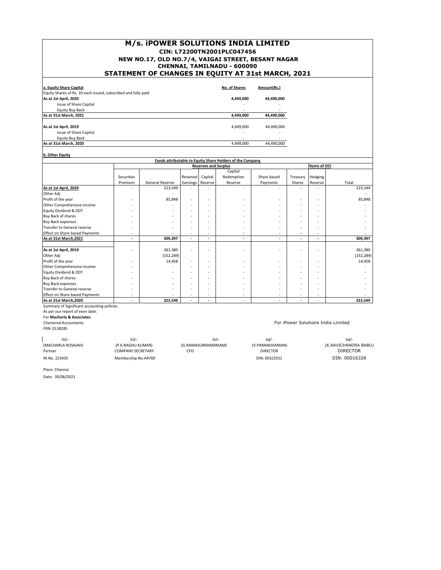| M/s. IPOWER SOLUTIONS INDIA LIMITED<br>CIN: L72200TN2001PLC047456                         |                                                                                   |                                                    |          |                             |                                                           |                 |                |                |                                    |
|-------------------------------------------------------------------------------------------|-----------------------------------------------------------------------------------|----------------------------------------------------|----------|-----------------------------|-----------------------------------------------------------|-----------------|----------------|----------------|------------------------------------|
|                                                                                           | NEW NO.17, OLD NO.7/4, VAIGAI STREET, BESANT NAGAR<br>CHENNAI, TAMILNADU - 600090 |                                                    |          |                             |                                                           |                 |                |                |                                    |
|                                                                                           |                                                                                   | STATEMENT OF CHANGES IN EQUITY AT 31st MARCH, 2021 |          |                             |                                                           |                 |                |                |                                    |
| a. Equity Share Capital<br>Equity Shares of Rs. 10 each issued, subscribed and fully paid |                                                                                   |                                                    |          |                             | No. of Shares                                             | Amount(Rs.)     |                |                |                                    |
| As at 1st April, 2020                                                                     |                                                                                   |                                                    |          |                             | 4,449,000                                                 | 44,490,000      |                |                |                                    |
| Issue of Share Capital                                                                    |                                                                                   |                                                    |          |                             |                                                           |                 |                |                |                                    |
| <b>Equity Buy Back</b>                                                                    |                                                                                   |                                                    |          |                             |                                                           |                 |                |                |                                    |
| As at 31st March, 2021                                                                    |                                                                                   |                                                    |          |                             | 4,449,000                                                 | 44,490,000      |                |                |                                    |
| As at 1st April, 2019                                                                     |                                                                                   |                                                    |          |                             | 4,449,000                                                 | 44,490,000      |                |                |                                    |
| <b>Issue of Share Capital</b>                                                             |                                                                                   |                                                    |          |                             |                                                           |                 |                |                |                                    |
| <b>Equity Buy Back</b>                                                                    |                                                                                   |                                                    |          |                             |                                                           |                 |                |                |                                    |
| As at 31st March, 2020                                                                    |                                                                                   |                                                    |          |                             | 4.449.000                                                 | 44.490.000      |                |                |                                    |
| b. Other Equity                                                                           |                                                                                   |                                                    |          |                             |                                                           |                 |                |                |                                    |
|                                                                                           |                                                                                   |                                                    |          |                             | Funds attributable to Equity Share Holders of the Company |                 |                |                |                                    |
|                                                                                           |                                                                                   |                                                    |          | <b>Reserves and Surplus</b> |                                                           |                 |                | Items of OCI   |                                    |
|                                                                                           |                                                                                   |                                                    |          |                             | Capital                                                   |                 |                |                |                                    |
|                                                                                           | Securities                                                                        |                                                    | Retained | Capital                     | Redemption                                                | Share based     | Treasury       | Hedging        |                                    |
|                                                                                           | Premium                                                                           | <b>General Reserve</b>                             | Earnings | Reserve                     | Reserve                                                   | Payments        | Shares         | Reserve        | Total                              |
| As at 1st April, 2020<br>Other Adj                                                        |                                                                                   | 223,549                                            |          |                             |                                                           | ä,              |                |                | 223,549                            |
| Profit of the year                                                                        |                                                                                   | 85,848                                             |          |                             |                                                           |                 |                |                | 85,848                             |
| Other Comprehensive income                                                                |                                                                                   |                                                    |          |                             |                                                           |                 |                |                |                                    |
| Equity Dividend & DDT                                                                     |                                                                                   |                                                    |          |                             |                                                           |                 |                |                |                                    |
| <b>Buy Back of shares</b>                                                                 |                                                                                   |                                                    |          |                             |                                                           |                 |                |                |                                    |
| <b>Buy Back expenses</b>                                                                  |                                                                                   |                                                    |          |                             |                                                           |                 |                |                |                                    |
| Transfer to General reserve                                                               |                                                                                   |                                                    |          |                             |                                                           |                 |                |                |                                    |
| <b>Effect on Share based Payments</b>                                                     |                                                                                   |                                                    |          |                             |                                                           |                 | ä,             |                |                                    |
| As at 31st March, 2021                                                                    | $\overline{a}$                                                                    | 309,397                                            | ä,       | $\overline{a}$              | $\overline{a}$                                            | $\overline{a}$  | $\overline{a}$ | $\overline{a}$ | 309,397                            |
|                                                                                           |                                                                                   |                                                    |          |                             |                                                           |                 |                |                |                                    |
| As at 1st April, 2019                                                                     |                                                                                   | 361,380                                            | ä,       |                             |                                                           |                 | ä              |                | 361,380                            |
| Other Adj                                                                                 |                                                                                   | (152, 289)                                         |          |                             |                                                           |                 |                |                | (152, 289)                         |
| Profit of the year                                                                        |                                                                                   | 14,458                                             |          |                             |                                                           |                 |                |                | 14,458                             |
| Other Comprehensive income<br>Equity Dividend & DDT                                       |                                                                                   |                                                    |          | ÷                           |                                                           |                 |                |                |                                    |
| Buy Back of shares                                                                        |                                                                                   |                                                    |          |                             |                                                           |                 |                |                |                                    |
| <b>Buy Back expenses</b>                                                                  |                                                                                   |                                                    |          |                             |                                                           |                 |                |                |                                    |
| Transfer to General reserve                                                               |                                                                                   |                                                    |          |                             |                                                           |                 |                |                |                                    |
| <b>Effect on Share based Payments</b>                                                     |                                                                                   |                                                    |          |                             |                                                           |                 |                |                |                                    |
| As at 31st March, 2020                                                                    |                                                                                   | 223.549                                            |          | Ĭ.                          |                                                           |                 |                |                | 223,549                            |
| Summary of Significant accounting policies                                                |                                                                                   |                                                    |          |                             |                                                           |                 |                |                |                                    |
| As per our report of even date.                                                           |                                                                                   |                                                    |          |                             |                                                           |                 |                |                |                                    |
| For Macharla & Associates                                                                 |                                                                                   |                                                    |          |                             |                                                           |                 |                |                |                                    |
| <b>Chartered Accountants</b><br>FRN: 013818S                                              |                                                                                   |                                                    |          |                             |                                                           |                 |                |                | For iPower Solutions India Limited |
|                                                                                           |                                                                                   |                                                    |          |                             |                                                           |                 |                |                |                                    |
| Sd                                                                                        | $Sd$ /-                                                                           |                                                    |          | Sd                          |                                                           | $Sd$ /-         |                |                | $Sd$ /-                            |
| (MACHARLA ROSAIAH)                                                                        | (P.K.RAGHU KUMAR)                                                                 |                                                    |          | (G.RAMASUBRAMANIAM)         |                                                           | (V.PARANDHAMAN) |                |                | (K.RAVICHANDRA BABU)               |
| Partner                                                                                   | <b>COMPANY SECRETARY</b>                                                          |                                                    | CFO      |                             |                                                           | <b>DIRECTOR</b> |                |                | <b>DIRECTOR</b>                    |
| DIN: 00016326<br>DIN: 00323551<br>M.No. 223435<br>Membership No.A4769                     |                                                                                   |                                                    |          |                             |                                                           |                 |                |                |                                    |

Place: Chennai

Date: 30/06/2021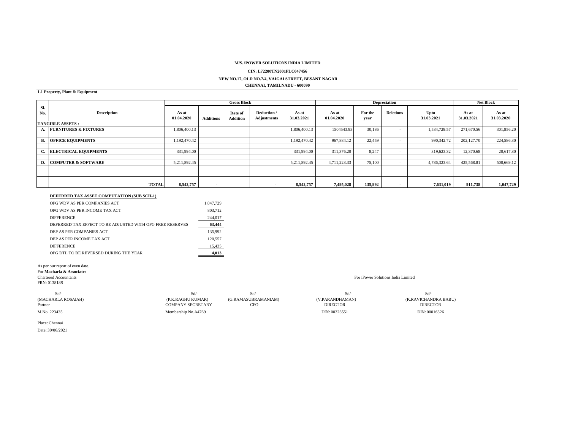#### **M/S. iPOWER SOLUTIONS INDIA LIMITED**

**CIN: L72200TN2001PLC047456**

#### **NEW NO.17, OLD NO.7/4, VAIGAI STREET, BESANT NAGAR**

**CHENNAI, TAMILNADU - 600090**

#### **1.1 Property, Plant & Equipment**

|                         |                                  | <b>Gross Block</b>  |                  |                            |                                  | <b>Depreciation</b> |                     |                 | <b>Net Block</b>         |                    |                     |                     |
|-------------------------|----------------------------------|---------------------|------------------|----------------------------|----------------------------------|---------------------|---------------------|-----------------|--------------------------|--------------------|---------------------|---------------------|
| Sl.<br>No.              | <b>Description</b>               | As at<br>01.04.2020 | <b>Additions</b> | Date of<br><b>Addition</b> | Deduction/<br><b>Adjustments</b> | As at<br>31.03.2021 | As at<br>01.04.2020 | For the<br>vear | <b>Deletions</b>         | Upto<br>31.03.2021 | As at<br>31.03.2021 | As at<br>31.03.2020 |
| <b>TANGIBLE ASSETS:</b> |                                  |                     |                  |                            |                                  |                     |                     |                 |                          |                    |                     |                     |
|                         | <b>FURNITURES &amp; FIXTURES</b> | 1,806,400.13        |                  |                            |                                  | 1.806.400.13        | 1504543.93          | 30,186          |                          | 1.534.729.57       | 271,670.56          | 301,856.20          |
|                         |                                  |                     |                  |                            |                                  |                     |                     |                 |                          |                    |                     |                     |
| В.                      | <b>OFFICE EQUIPMENTS</b>         | 1,192,470.42        |                  |                            |                                  | 1,192,470.42        | 967,884.12          | 22,459          |                          | 990,342.72         | 202,127.70          | 224,586.30          |
|                         |                                  |                     |                  |                            |                                  |                     |                     |                 |                          |                    |                     |                     |
|                         | <b>ELECTRICAL EQUIPMENTS</b>     | 331,994.00          |                  |                            |                                  | 331,994.00          | 311,376.20          | 8,247           | $\overline{\phantom{0}}$ | 319,623.32         | 12,370.68           | 20,617.80           |
|                         |                                  |                     |                  |                            |                                  |                     |                     |                 |                          |                    |                     |                     |
| D.                      | <b>COMPUTER &amp; SOFTWARE</b>   | 5,211,892.45        |                  |                            |                                  | 5,211,892.45        | 4,711,223.33        | 75,100          |                          | 4,786,323.64       | 425,568.81          | 500,669.12          |
|                         |                                  |                     |                  |                            |                                  |                     |                     |                 |                          |                    |                     |                     |
|                         |                                  |                     |                  |                            |                                  |                     |                     |                 |                          |                    |                     |                     |
|                         |                                  |                     |                  |                            |                                  |                     |                     |                 |                          |                    |                     |                     |
|                         | <b>TOTAL</b>                     | 8,542,757           |                  |                            |                                  | 8,542,757           | 7,495,028           | 135,992         |                          | 7,631,019          | 911,738             | 1,047,729           |

For iPower Solutions India Limited

| DEFERRED TAX ASSET COMPUTATION (SUB SCH-1) |           |
|--------------------------------------------|-----------|
| ODC WINY AS DED COMDANIES ACT              | 1.047.720 |

| OPU WDV AS PER COMPANIES ACT                              | 1.047.729 |
|-----------------------------------------------------------|-----------|
| OPG WDV AS PER INCOME TAX ACT                             | 803,712   |
| <b>DIFFERENCE</b>                                         | 244,017   |
| DEFERRED TAX EFFECT TO BE ADJUSTED WITH OPG FREE RESERVES | 63.444    |
| DEP AS PER COMPANIES ACT                                  | 135.992   |
| DEP AS PER INCOME TAX ACT                                 | 120.557   |
| <b>DIFFERENCE</b>                                         | 15,435    |
| OPG DTL TO BE REVERSED DURING THE YEAR                    | 4.013     |

As per our report of even date. For **Macharla & Associates**

Chartered Accountants

FRN: 013818S

| Sd/                | Sd/-                     |                     | Sd/             | Sd/-                 |
|--------------------|--------------------------|---------------------|-----------------|----------------------|
| (MACHARLA ROSAIAH) | (P.K.RAGHU KUMAR)        | (G.RAMASUBRAMANIAM) | (V.PARANDHAMAN) | (K.RAVICHANDRA BABU) |
| Partner            | <b>COMPANY SECRETARY</b> | <b>ν</b>            | <b>DIRECTOR</b> | <b>DIRECTOR</b>      |
| M.No. 223435       | Membership No.A4769      |                     | DIN: 00323551   | DIN: 00016326        |

Place: Chennai Date: 30/06/2021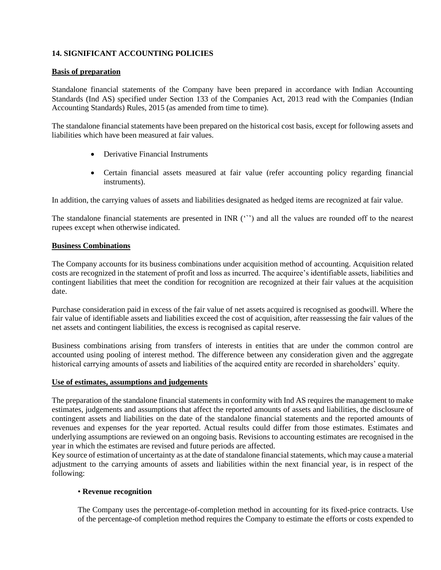# **14. SIGNIFICANT ACCOUNTING POLICIES**

# **Basis of preparation**

Standalone financial statements of the Company have been prepared in accordance with Indian Accounting Standards (Ind AS) specified under Section 133 of the Companies Act, 2013 read with the Companies (Indian Accounting Standards) Rules, 2015 (as amended from time to time).

The standalone financial statements have been prepared on the historical cost basis, except for following assets and liabilities which have been measured at fair values.

- Derivative Financial Instruments
- Certain financial assets measured at fair value (refer accounting policy regarding financial instruments).

In addition, the carrying values of assets and liabilities designated as hedged items are recognized at fair value.

The standalone financial statements are presented in INR (") and all the values are rounded off to the nearest rupees except when otherwise indicated.

### **Business Combinations**

The Company accounts for its business combinations under acquisition method of accounting. Acquisition related costs are recognized in the statement of profit and loss as incurred. The acquiree's identifiable assets, liabilities and contingent liabilities that meet the condition for recognition are recognized at their fair values at the acquisition date.

Purchase consideration paid in excess of the fair value of net assets acquired is recognised as goodwill. Where the fair value of identifiable assets and liabilities exceed the cost of acquisition, after reassessing the fair values of the net assets and contingent liabilities, the excess is recognised as capital reserve.

Business combinations arising from transfers of interests in entities that are under the common control are accounted using pooling of interest method. The difference between any consideration given and the aggregate historical carrying amounts of assets and liabilities of the acquired entity are recorded in shareholders' equity.

#### **Use of estimates, assumptions and judgements**

The preparation of the standalone financial statements in conformity with Ind AS requires the management to make estimates, judgements and assumptions that affect the reported amounts of assets and liabilities, the disclosure of contingent assets and liabilities on the date of the standalone financial statements and the reported amounts of revenues and expenses for the year reported. Actual results could differ from those estimates. Estimates and underlying assumptions are reviewed on an ongoing basis. Revisions to accounting estimates are recognised in the year in which the estimates are revised and future periods are affected.

Key source of estimation of uncertainty as at the date of standalone financial statements, which may cause a material adjustment to the carrying amounts of assets and liabilities within the next financial year, is in respect of the following:

#### • **Revenue recognition**

The Company uses the percentage-of-completion method in accounting for its fixed-price contracts. Use of the percentage-of completion method requires the Company to estimate the efforts or costs expended to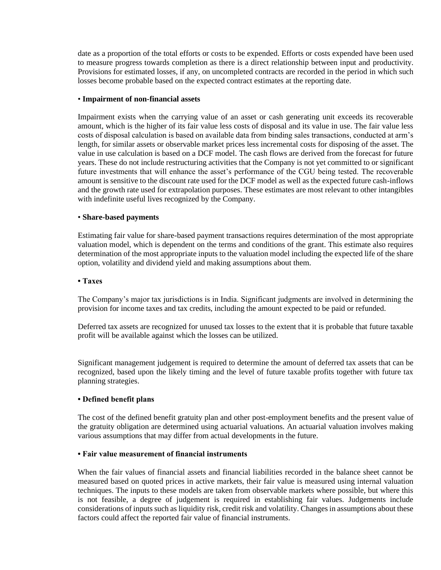date as a proportion of the total efforts or costs to be expended. Efforts or costs expended have been used to measure progress towards completion as there is a direct relationship between input and productivity. Provisions for estimated losses, if any, on uncompleted contracts are recorded in the period in which such losses become probable based on the expected contract estimates at the reporting date.

#### • **Impairment of non-financial assets**

Impairment exists when the carrying value of an asset or cash generating unit exceeds its recoverable amount, which is the higher of its fair value less costs of disposal and its value in use. The fair value less costs of disposal calculation is based on available data from binding sales transactions, conducted at arm's length, for similar assets or observable market prices less incremental costs for disposing of the asset. The value in use calculation is based on a DCF model. The cash flows are derived from the forecast for future years. These do not include restructuring activities that the Company is not yet committed to or significant future investments that will enhance the asset's performance of the CGU being tested. The recoverable amount is sensitive to the discount rate used for the DCF model as well as the expected future cash-inflows and the growth rate used for extrapolation purposes. These estimates are most relevant to other intangibles with indefinite useful lives recognized by the Company.

### • **Share-based payments**

Estimating fair value for share-based payment transactions requires determination of the most appropriate valuation model, which is dependent on the terms and conditions of the grant. This estimate also requires determination of the most appropriate inputs to the valuation model including the expected life of the share option, volatility and dividend yield and making assumptions about them.

### **• Taxes**

The Company's major tax jurisdictions is in India. Significant judgments are involved in determining the provision for income taxes and tax credits, including the amount expected to be paid or refunded.

Deferred tax assets are recognized for unused tax losses to the extent that it is probable that future taxable profit will be available against which the losses can be utilized.

Significant management judgement is required to determine the amount of deferred tax assets that can be recognized, based upon the likely timing and the level of future taxable profits together with future tax planning strategies.

# **• Defined benefit plans**

The cost of the defined benefit gratuity plan and other post-employment benefits and the present value of the gratuity obligation are determined using actuarial valuations. An actuarial valuation involves making various assumptions that may differ from actual developments in the future.

#### **• Fair value measurement of financial instruments**

When the fair values of financial assets and financial liabilities recorded in the balance sheet cannot be measured based on quoted prices in active markets, their fair value is measured using internal valuation techniques. The inputs to these models are taken from observable markets where possible, but where this is not feasible, a degree of judgement is required in establishing fair values. Judgements include considerations of inputs such as liquidity risk, credit risk and volatility. Changes in assumptions about these factors could affect the reported fair value of financial instruments.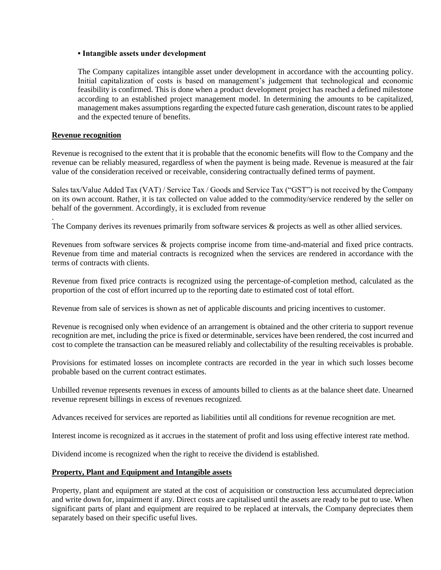### **• Intangible assets under development**

The Company capitalizes intangible asset under development in accordance with the accounting policy. Initial capitalization of costs is based on management's judgement that technological and economic feasibility is confirmed. This is done when a product development project has reached a defined milestone according to an established project management model. In determining the amounts to be capitalized, management makes assumptions regarding the expected future cash generation, discount rates to be applied and the expected tenure of benefits.

### **Revenue recognition**

.

Revenue is recognised to the extent that it is probable that the economic benefits will flow to the Company and the revenue can be reliably measured, regardless of when the payment is being made. Revenue is measured at the fair value of the consideration received or receivable, considering contractually defined terms of payment.

Sales tax/Value Added Tax (VAT) / Service Tax / Goods and Service Tax ("GST") is not received by the Company on its own account. Rather, it is tax collected on value added to the commodity/service rendered by the seller on behalf of the government. Accordingly, it is excluded from revenue

The Company derives its revenues primarily from software services & projects as well as other allied services.

Revenues from software services & projects comprise income from time-and-material and fixed price contracts. Revenue from time and material contracts is recognized when the services are rendered in accordance with the terms of contracts with clients.

Revenue from fixed price contracts is recognized using the percentage-of-completion method, calculated as the proportion of the cost of effort incurred up to the reporting date to estimated cost of total effort.

Revenue from sale of services is shown as net of applicable discounts and pricing incentives to customer.

Revenue is recognised only when evidence of an arrangement is obtained and the other criteria to support revenue recognition are met, including the price is fixed or determinable, services have been rendered, the cost incurred and cost to complete the transaction can be measured reliably and collectability of the resulting receivables is probable.

Provisions for estimated losses on incomplete contracts are recorded in the year in which such losses become probable based on the current contract estimates.

Unbilled revenue represents revenues in excess of amounts billed to clients as at the balance sheet date. Unearned revenue represent billings in excess of revenues recognized.

Advances received for services are reported as liabilities until all conditions for revenue recognition are met.

Interest income is recognized as it accrues in the statement of profit and loss using effective interest rate method.

Dividend income is recognized when the right to receive the dividend is established.

#### **Property, Plant and Equipment and Intangible assets**

Property, plant and equipment are stated at the cost of acquisition or construction less accumulated depreciation and write down for, impairment if any. Direct costs are capitalised until the assets are ready to be put to use. When significant parts of plant and equipment are required to be replaced at intervals, the Company depreciates them separately based on their specific useful lives.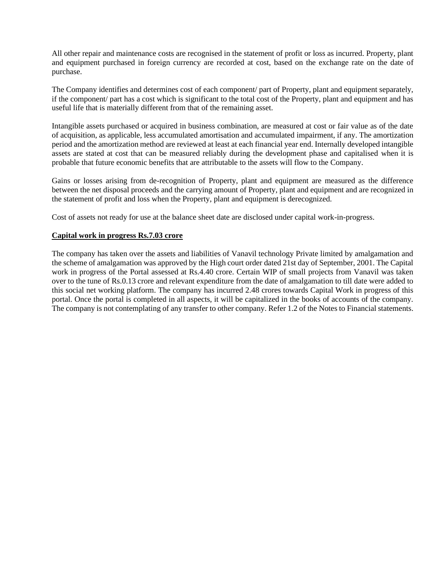All other repair and maintenance costs are recognised in the statement of profit or loss as incurred. Property, plant and equipment purchased in foreign currency are recorded at cost, based on the exchange rate on the date of purchase.

The Company identifies and determines cost of each component/ part of Property, plant and equipment separately, if the component/ part has a cost which is significant to the total cost of the Property, plant and equipment and has useful life that is materially different from that of the remaining asset.

Intangible assets purchased or acquired in business combination, are measured at cost or fair value as of the date of acquisition, as applicable, less accumulated amortisation and accumulated impairment, if any. The amortization period and the amortization method are reviewed at least at each financial year end. Internally developed intangible assets are stated at cost that can be measured reliably during the development phase and capitalised when it is probable that future economic benefits that are attributable to the assets will flow to the Company.

Gains or losses arising from de-recognition of Property, plant and equipment are measured as the difference between the net disposal proceeds and the carrying amount of Property, plant and equipment and are recognized in the statement of profit and loss when the Property, plant and equipment is derecognized.

Cost of assets not ready for use at the balance sheet date are disclosed under capital work-in-progress.

# **Capital work in progress Rs.7.03 crore**

The company has taken over the assets and liabilities of Vanavil technology Private limited by amalgamation and the scheme of amalgamation was approved by the High court order dated 21st day of September, 2001. The Capital work in progress of the Portal assessed at Rs.4.40 crore. Certain WIP of small projects from Vanavil was taken over to the tune of Rs.0.13 crore and relevant expenditure from the date of amalgamation to till date were added to this social net working platform. The company has incurred 2.48 crores towards Capital Work in progress of this portal. Once the portal is completed in all aspects, it will be capitalized in the books of accounts of the company. The company is not contemplating of any transfer to other company. Refer 1.2 of the Notes to Financial statements.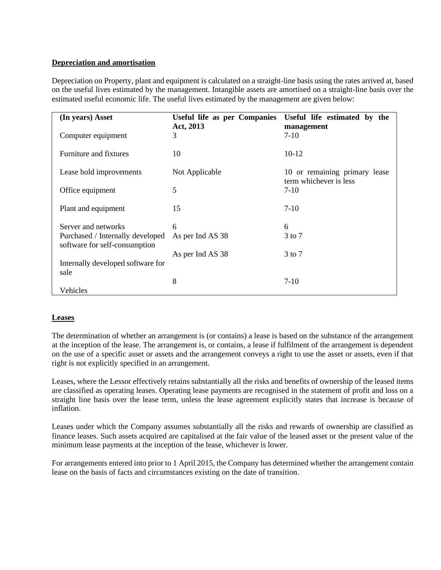# **Depreciation and amortisation**

Depreciation on Property, plant and equipment is calculated on a straight-line basis using the rates arrived at, based on the useful lives estimated by the management. Intangible assets are amortised on a straight-line basis over the estimated useful economic life. The useful lives estimated by the management are given below:

| (In years) Asset                                                  | Useful life as per Companies<br>Act, 2013 | Useful life estimated by the<br>management              |
|-------------------------------------------------------------------|-------------------------------------------|---------------------------------------------------------|
| Computer equipment                                                | 3                                         | $7-10$                                                  |
| Furniture and fixtures                                            | 10                                        | 10-12                                                   |
| Lease hold improvements                                           | Not Applicable                            | 10 or remaining primary lease<br>term whichever is less |
| Office equipment                                                  | 5                                         | $7-10$                                                  |
| Plant and equipment                                               | 15                                        | $7-10$                                                  |
| Server and networks                                               | 6                                         | 6                                                       |
| Purchased / Internally developed<br>software for self-consumption | As per Ind AS 38                          | $3$ to $7$                                              |
| Internally developed software for                                 | As per Ind AS 38                          | $3$ to $7$                                              |
| sale                                                              |                                           |                                                         |
|                                                                   | 8                                         | $7-10$                                                  |
| Vehicles                                                          |                                           |                                                         |

# **Leases**

The determination of whether an arrangement is (or contains) a lease is based on the substance of the arrangement at the inception of the lease. The arrangement is, or contains, a lease if fulfilment of the arrangement is dependent on the use of a specific asset or assets and the arrangement conveys a right to use the asset or assets, even if that right is not explicitly specified in an arrangement.

Leases, where the Lessor effectively retains substantially all the risks and benefits of ownership of the leased items are classified as operating leases. Operating lease payments are recognised in the statement of profit and loss on a straight line basis over the lease term, unless the lease agreement explicitly states that increase is because of inflation.

Leases under which the Company assumes substantially all the risks and rewards of ownership are classified as finance leases. Such assets acquired are capitalised at the fair value of the leased asset or the present value of the minimum lease payments at the inception of the lease, whichever is lower.

For arrangements entered into prior to 1 April 2015, the Company has determined whether the arrangement contain lease on the basis of facts and circumstances existing on the date of transition.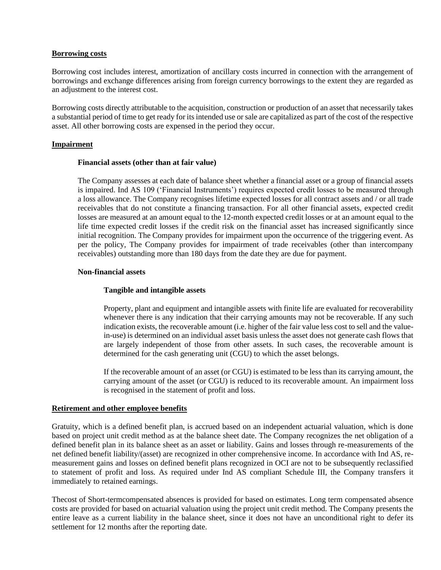### **Borrowing costs**

Borrowing cost includes interest, amortization of ancillary costs incurred in connection with the arrangement of borrowings and exchange differences arising from foreign currency borrowings to the extent they are regarded as an adjustment to the interest cost.

Borrowing costs directly attributable to the acquisition, construction or production of an asset that necessarily takes a substantial period of time to get ready for its intended use or sale are capitalized as part of the cost of the respective asset. All other borrowing costs are expensed in the period they occur.

### **Impairment**

### **Financial assets (other than at fair value)**

The Company assesses at each date of balance sheet whether a financial asset or a group of financial assets is impaired. Ind AS 109 ('Financial Instruments') requires expected credit losses to be measured through a loss allowance. The Company recognises lifetime expected losses for all contract assets and / or all trade receivables that do not constitute a financing transaction. For all other financial assets, expected credit losses are measured at an amount equal to the 12-month expected credit losses or at an amount equal to the life time expected credit losses if the credit risk on the financial asset has increased significantly since initial recognition. The Company provides for impairment upon the occurrence of the triggering event. As per the policy, The Company provides for impairment of trade receivables (other than intercompany receivables) outstanding more than 180 days from the date they are due for payment.

### **Non-financial assets**

# **Tangible and intangible assets**

Property, plant and equipment and intangible assets with finite life are evaluated for recoverability whenever there is any indication that their carrying amounts may not be recoverable. If any such indication exists, the recoverable amount (i.e. higher of the fair value less cost to sell and the valuein-use) is determined on an individual asset basis unless the asset does not generate cash flows that are largely independent of those from other assets. In such cases, the recoverable amount is determined for the cash generating unit (CGU) to which the asset belongs.

If the recoverable amount of an asset (or CGU) is estimated to be less than its carrying amount, the carrying amount of the asset (or CGU) is reduced to its recoverable amount. An impairment loss is recognised in the statement of profit and loss.

#### **Retirement and other employee benefits**

Gratuity, which is a defined benefit plan, is accrued based on an independent actuarial valuation, which is done based on project unit credit method as at the balance sheet date. The Company recognizes the net obligation of a defined benefit plan in its balance sheet as an asset or liability. Gains and losses through re-measurements of the net defined benefit liability/(asset) are recognized in other comprehensive income. In accordance with Ind AS, remeasurement gains and losses on defined benefit plans recognized in OCI are not to be subsequently reclassified to statement of profit and loss. As required under Ind AS compliant Schedule III, the Company transfers it immediately to retained earnings.

Thecost of Short-termcompensated absences is provided for based on estimates. Long term compensated absence costs are provided for based on actuarial valuation using the project unit credit method. The Company presents the entire leave as a current liability in the balance sheet, since it does not have an unconditional right to defer its settlement for 12 months after the reporting date.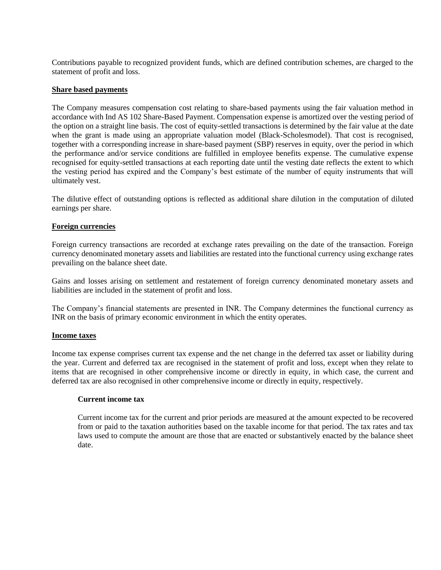Contributions payable to recognized provident funds, which are defined contribution schemes, are charged to the statement of profit and loss.

#### **Share based payments**

The Company measures compensation cost relating to share-based payments using the fair valuation method in accordance with Ind AS 102 Share-Based Payment. Compensation expense is amortized over the vesting period of the option on a straight line basis. The cost of equity-settled transactions is determined by the fair value at the date when the grant is made using an appropriate valuation model (Black-Scholesmodel). That cost is recognised, together with a corresponding increase in share-based payment (SBP) reserves in equity, over the period in which the performance and/or service conditions are fulfilled in employee benefits expense. The cumulative expense recognised for equity-settled transactions at each reporting date until the vesting date reflects the extent to which the vesting period has expired and the Company's best estimate of the number of equity instruments that will ultimately vest.

The dilutive effect of outstanding options is reflected as additional share dilution in the computation of diluted earnings per share.

### **Foreign currencies**

Foreign currency transactions are recorded at exchange rates prevailing on the date of the transaction. Foreign currency denominated monetary assets and liabilities are restated into the functional currency using exchange rates prevailing on the balance sheet date.

Gains and losses arising on settlement and restatement of foreign currency denominated monetary assets and liabilities are included in the statement of profit and loss.

The Company's financial statements are presented in INR. The Company determines the functional currency as INR on the basis of primary economic environment in which the entity operates.

#### **Income taxes**

Income tax expense comprises current tax expense and the net change in the deferred tax asset or liability during the year. Current and deferred tax are recognised in the statement of profit and loss, except when they relate to items that are recognised in other comprehensive income or directly in equity, in which case, the current and deferred tax are also recognised in other comprehensive income or directly in equity, respectively.

### **Current income tax**

Current income tax for the current and prior periods are measured at the amount expected to be recovered from or paid to the taxation authorities based on the taxable income for that period. The tax rates and tax laws used to compute the amount are those that are enacted or substantively enacted by the balance sheet date.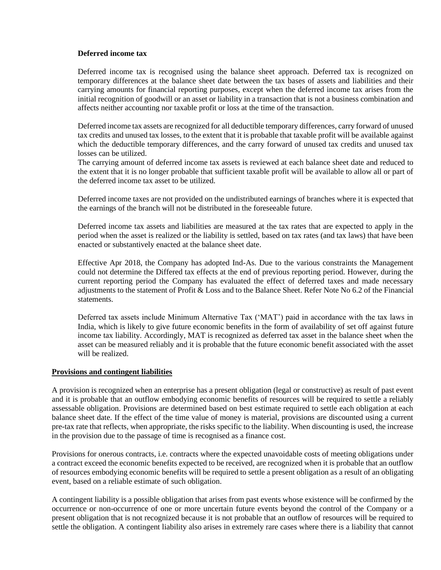# **Deferred income tax**

Deferred income tax is recognised using the balance sheet approach. Deferred tax is recognized on temporary differences at the balance sheet date between the tax bases of assets and liabilities and their carrying amounts for financial reporting purposes, except when the deferred income tax arises from the initial recognition of goodwill or an asset or liability in a transaction that is not a business combination and affects neither accounting nor taxable profit or loss at the time of the transaction.

Deferred income tax assets are recognized for all deductible temporary differences, carry forward of unused tax credits and unused tax losses, to the extent that it is probable that taxable profit will be available against which the deductible temporary differences, and the carry forward of unused tax credits and unused tax losses can be utilized.

The carrying amount of deferred income tax assets is reviewed at each balance sheet date and reduced to the extent that it is no longer probable that sufficient taxable profit will be available to allow all or part of the deferred income tax asset to be utilized.

Deferred income taxes are not provided on the undistributed earnings of branches where it is expected that the earnings of the branch will not be distributed in the foreseeable future.

Deferred income tax assets and liabilities are measured at the tax rates that are expected to apply in the period when the asset is realized or the liability is settled, based on tax rates (and tax laws) that have been enacted or substantively enacted at the balance sheet date.

Effective Apr 2018, the Company has adopted Ind-As. Due to the various constraints the Management could not determine the Differed tax effects at the end of previous reporting period. However, during the current reporting period the Company has evaluated the effect of deferred taxes and made necessary adjustments to the statement of Profit & Loss and to the Balance Sheet. Refer Note No 6.2 of the Financial statements.

Deferred tax assets include Minimum Alternative Tax ('MAT') paid in accordance with the tax laws in India, which is likely to give future economic benefits in the form of availability of set off against future income tax liability. Accordingly, MAT is recognized as deferred tax asset in the balance sheet when the asset can be measured reliably and it is probable that the future economic benefit associated with the asset will be realized.

#### **Provisions and contingent liabilities**

A provision is recognized when an enterprise has a present obligation (legal or constructive) as result of past event and it is probable that an outflow embodying economic benefits of resources will be required to settle a reliably assessable obligation. Provisions are determined based on best estimate required to settle each obligation at each balance sheet date. If the effect of the time value of money is material, provisions are discounted using a current pre-tax rate that reflects, when appropriate, the risks specific to the liability. When discounting is used, the increase in the provision due to the passage of time is recognised as a finance cost.

Provisions for onerous contracts, i.e. contracts where the expected unavoidable costs of meeting obligations under a contract exceed the economic benefits expected to be received, are recognized when it is probable that an outflow of resources embodying economic benefits will be required to settle a present obligation as a result of an obligating event, based on a reliable estimate of such obligation.

A contingent liability is a possible obligation that arises from past events whose existence will be confirmed by the occurrence or non-occurrence of one or more uncertain future events beyond the control of the Company or a present obligation that is not recognized because it is not probable that an outflow of resources will be required to settle the obligation. A contingent liability also arises in extremely rare cases where there is a liability that cannot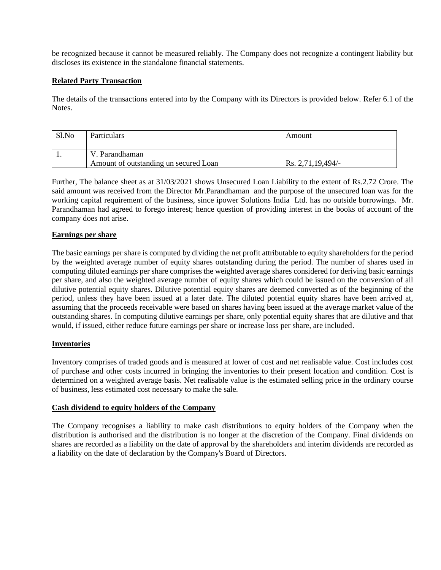be recognized because it cannot be measured reliably. The Company does not recognize a contingent liability but discloses its existence in the standalone financial statements.

# **Related Party Transaction**

The details of the transactions entered into by the Company with its Directors is provided below. Refer 6.1 of the Notes.

| Sl.No | Particulars                           | Amount            |
|-------|---------------------------------------|-------------------|
|       |                                       |                   |
|       | V. Parandhaman                        |                   |
|       | Amount of outstanding un secured Loan | Rs. 2,71,19,494/- |

Further, The balance sheet as at 31/03/2021 shows Unsecured Loan Liability to the extent of Rs.2.72 Crore. The said amount was received from the Director Mr.Parandhaman and the purpose of the unsecured loan was for the working capital requirement of the business, since ipower Solutions India Ltd. has no outside borrowings. Mr. Parandhaman had agreed to forego interest; hence question of providing interest in the books of account of the company does not arise.

### **Earnings per share**

The basic earnings per share is computed by dividing the net profit attributable to equity shareholders for the period by the weighted average number of equity shares outstanding during the period. The number of shares used in computing diluted earnings per share comprises the weighted average shares considered for deriving basic earnings per share, and also the weighted average number of equity shares which could be issued on the conversion of all dilutive potential equity shares. Dilutive potential equity shares are deemed converted as of the beginning of the period, unless they have been issued at a later date. The diluted potential equity shares have been arrived at, assuming that the proceeds receivable were based on shares having been issued at the average market value of the outstanding shares. In computing dilutive earnings per share, only potential equity shares that are dilutive and that would, if issued, either reduce future earnings per share or increase loss per share, are included.

# **Inventories**

Inventory comprises of traded goods and is measured at lower of cost and net realisable value. Cost includes cost of purchase and other costs incurred in bringing the inventories to their present location and condition. Cost is determined on a weighted average basis. Net realisable value is the estimated selling price in the ordinary course of business, less estimated cost necessary to make the sale.

# **Cash dividend to equity holders of the Company**

The Company recognises a liability to make cash distributions to equity holders of the Company when the distribution is authorised and the distribution is no longer at the discretion of the Company. Final dividends on shares are recorded as a liability on the date of approval by the shareholders and interim dividends are recorded as a liability on the date of declaration by the Company's Board of Directors.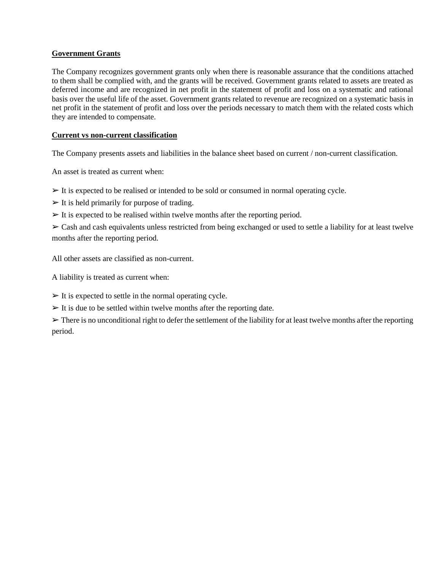# **Government Grants**

The Company recognizes government grants only when there is reasonable assurance that the conditions attached to them shall be complied with, and the grants will be received. Government grants related to assets are treated as deferred income and are recognized in net profit in the statement of profit and loss on a systematic and rational basis over the useful life of the asset. Government grants related to revenue are recognized on a systematic basis in net profit in the statement of profit and loss over the periods necessary to match them with the related costs which they are intended to compensate.

# **Current vs non-current classification**

The Company presents assets and liabilities in the balance sheet based on current / non-current classification.

An asset is treated as current when:

 $\triangleright$  It is expected to be realised or intended to be sold or consumed in normal operating cycle.

 $\triangleright$  It is held primarily for purpose of trading.

 $\triangleright$  It is expected to be realised within twelve months after the reporting period.

 $\geq$  Cash and cash equivalents unless restricted from being exchanged or used to settle a liability for at least twelve months after the reporting period.

All other assets are classified as non-current.

A liability is treated as current when:

 $\triangleright$  It is expected to settle in the normal operating cycle.

 $\triangleright$  It is due to be settled within twelve months after the reporting date.

 $\triangleright$  There is no unconditional right to defer the settlement of the liability for at least twelve months after the reporting period.